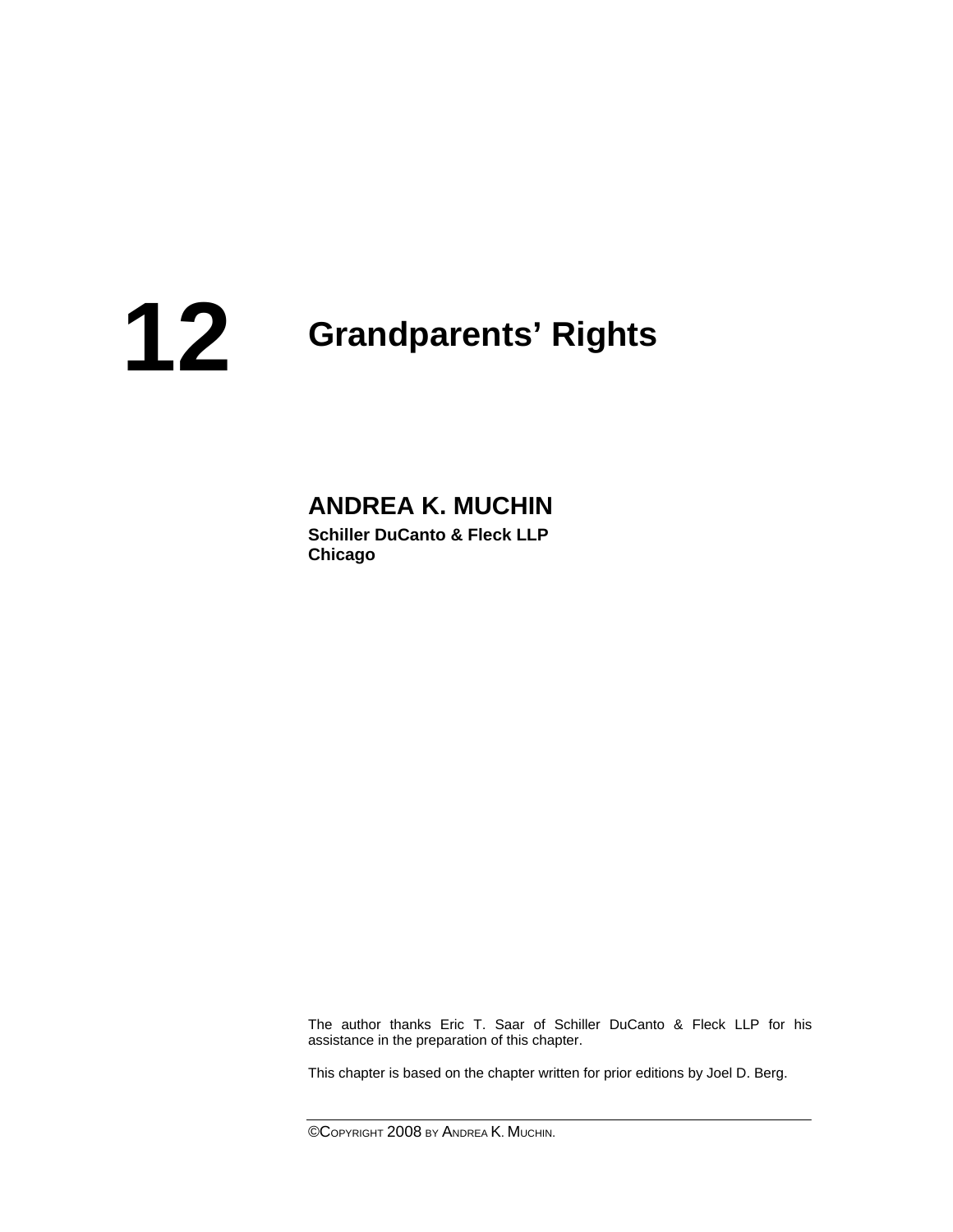# **Grandparents' Rights 12**

# **ANDREA K. MUCHIN**

**Schiller DuCanto & Fleck LLP Chicago** 

 The author thanks Eric T. Saar of Schiller DuCanto & Fleck LLP for his assistance in the preparation of this chapter.

This chapter is based on the chapter written for prior editions by Joel D. Berg.

©COPYRIGHT 2008 BY ANDREA K. MUCHIN.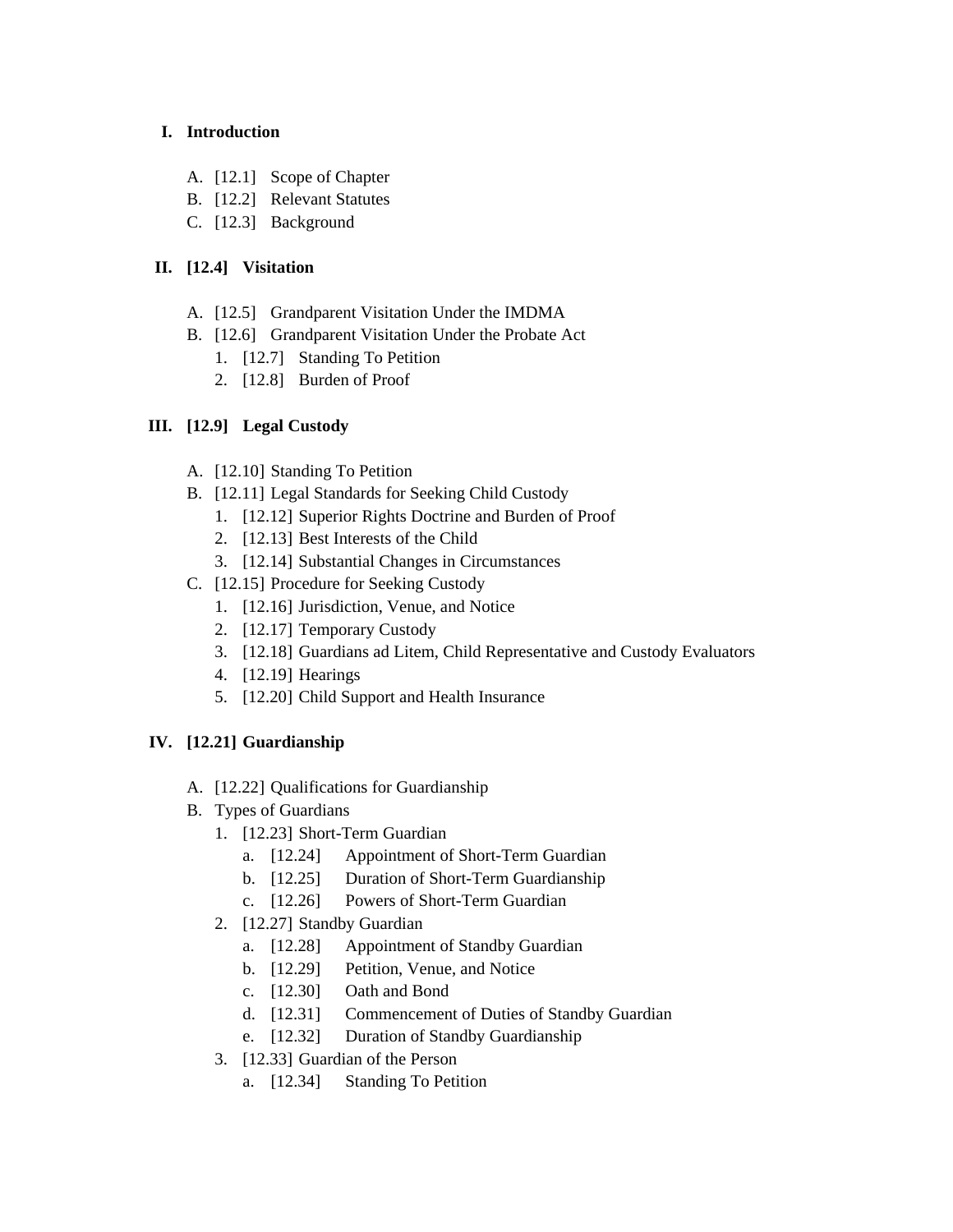# **I. Introduction**

- A. [12.1] Scope of Chapter
- B. [12.2] Relevant Statutes
- C. [12.3] Background

# **II. [12.4] Visitation**

- A. [12.5] Grandparent Visitation Under the IMDMA
- B. [12.6] Grandparent Visitation Under the Probate Act
	- 1. [12.7] Standing To Petition
	- 2. [12.8] Burden of Proof

# **III. [12.9] Legal Custody**

- A. [12.10] Standing To Petition
- B. [12.11] Legal Standards for Seeking Child Custody
	- 1. [12.12] Superior Rights Doctrine and Burden of Proof
	- 2. [12.13] Best Interests of the Child
	- 3. [12.14] Substantial Changes in Circumstances
- C. [12.15] Procedure for Seeking Custody
	- 1. [12.16] Jurisdiction, Venue, and Notice
	- 2. [12.17] Temporary Custody
	- 3. [12.18] Guardians ad Litem, Child Representative and Custody Evaluators
	- 4. [12.19] Hearings
	- 5. [12.20] Child Support and Health Insurance

# **IV. [12.21] Guardianship**

- A. [12.22] Qualifications for Guardianship
- B. Types of Guardians
	- 1. [12.23] Short-Term Guardian
		- a. [12.24] Appointment of Short-Term Guardian
		- b. [12.25] Duration of Short-Term Guardianship
		- c. [12.26] Powers of Short-Term Guardian
	- 2. [12.27] Standby Guardian
		- a. [12.28] Appointment of Standby Guardian
		- b. [12.29] Petition, Venue, and Notice
		- c. [12.30] Oath and Bond
		- d. [12.31] Commencement of Duties of Standby Guardian
		- e. [12.32] Duration of Standby Guardianship
	- 3. [12.33] Guardian of the Person
		- a. [12.34] Standing To Petition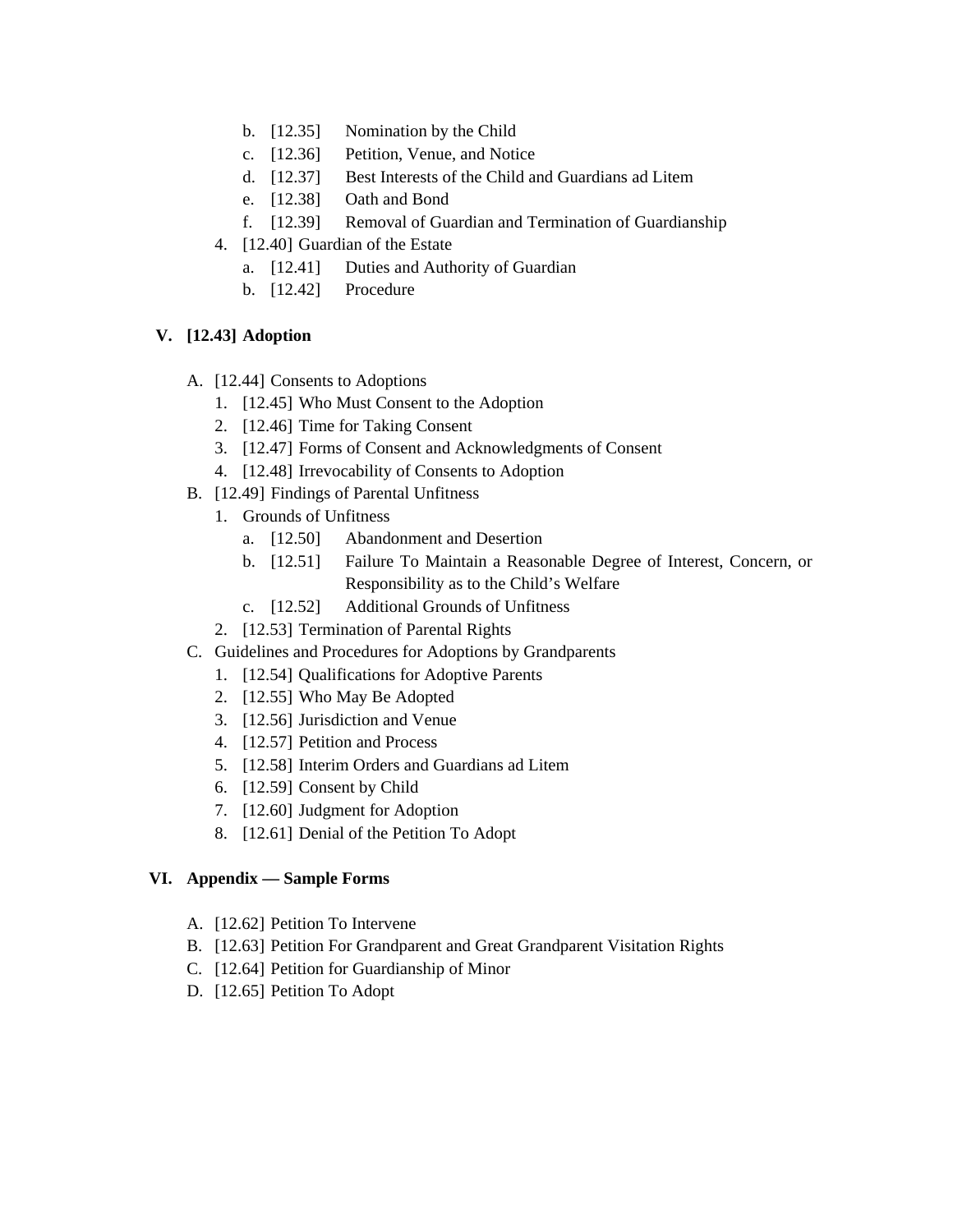- b. [12.35] Nomination by the Child
- c. [12.36] Petition, Venue, and Notice
- d. [12.37] Best Interests of the Child and Guardians ad Litem
- e. [12.38] Oath and Bond
- f. [12.39] Removal of Guardian and Termination of Guardianship
- 4. [12.40] Guardian of the Estate
	- a. [12.41] Duties and Authority of Guardian
	- b. [12.42] Procedure

# **V. [12.43] Adoption**

- A. [12.44] Consents to Adoptions
	- 1. [12.45] Who Must Consent to the Adoption
	- 2. [12.46] Time for Taking Consent
	- 3. [12.47] Forms of Consent and Acknowledgments of Consent
	- 4. [12.48] Irrevocability of Consents to Adoption
- B. [12.49] Findings of Parental Unfitness
	- 1. Grounds of Unfitness
		- a. [12.50] Abandonment and Desertion
		- b. [12.51] Failure To Maintain a Reasonable Degree of Interest, Concern, or Responsibility as to the Child's Welfare
		- c. [12.52] Additional Grounds of Unfitness
	- 2. [12.53] Termination of Parental Rights
- C. Guidelines and Procedures for Adoptions by Grandparents
	- 1. [12.54] Qualifications for Adoptive Parents
	- 2. [12.55] Who May Be Adopted
	- 3. [12.56] Jurisdiction and Venue
	- 4. [12.57] Petition and Process
	- 5. [12.58] Interim Orders and Guardians ad Litem
	- 6. [12.59] Consent by Child
	- 7. [12.60] Judgment for Adoption
	- 8. [12.61] Denial of the Petition To Adopt

# **VI. Appendix — Sample Forms**

- A. [12.62] Petition To Intervene
- B. [12.63] Petition For Grandparent and Great Grandparent Visitation Rights
- C. [12.64] Petition for Guardianship of Minor
- D. [12.65] Petition To Adopt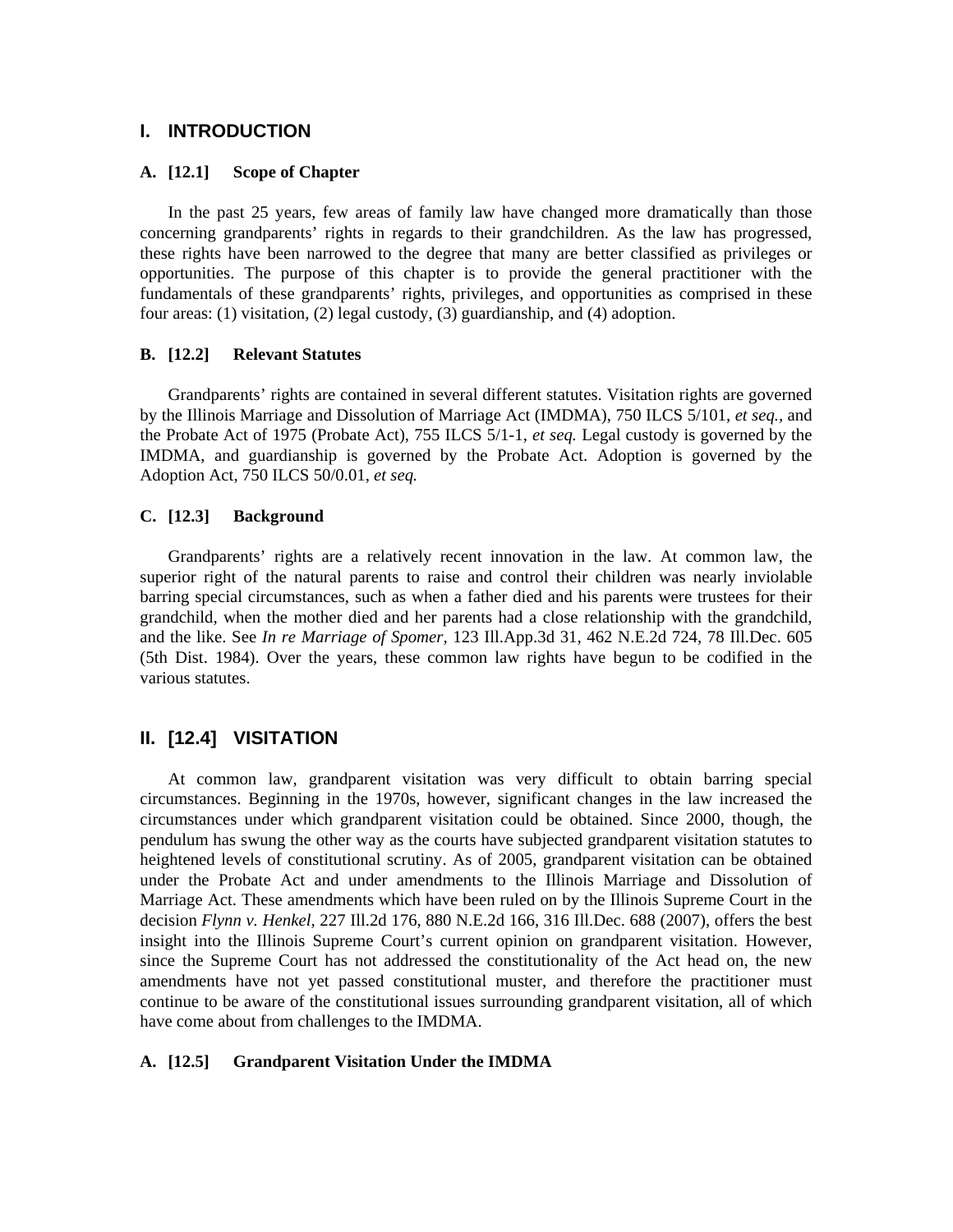# **I. INTRODUCTION**

## **A. [12.1] Scope of Chapter**

 In the past 25 years, few areas of family law have changed more dramatically than those concerning grandparents' rights in regards to their grandchildren. As the law has progressed, these rights have been narrowed to the degree that many are better classified as privileges or opportunities. The purpose of this chapter is to provide the general practitioner with the fundamentals of these grandparents' rights, privileges, and opportunities as comprised in these four areas: (1) visitation, (2) legal custody, (3) guardianship, and (4) adoption.

# **B. [12.2] Relevant Statutes**

 Grandparents' rights are contained in several different statutes. Visitation rights are governed by the Illinois Marriage and Dissolution of Marriage Act (IMDMA), 750 ILCS 5/101, *et seq.,* and the Probate Act of 1975 (Probate Act), 755 ILCS 5/1-1, *et seq.* Legal custody is governed by the IMDMA, and guardianship is governed by the Probate Act. Adoption is governed by the Adoption Act, 750 ILCS 50/0.01, *et seq.*

# **C. [12.3] Background**

 Grandparents' rights are a relatively recent innovation in the law. At common law, the superior right of the natural parents to raise and control their children was nearly inviolable barring special circumstances, such as when a father died and his parents were trustees for their grandchild, when the mother died and her parents had a close relationship with the grandchild, and the like. See *In re Marriage of Spomer,* 123 Ill.App.3d 31, 462 N.E.2d 724, 78 Ill.Dec. 605 (5th Dist. 1984). Over the years, these common law rights have begun to be codified in the various statutes.

# **II. [12.4] VISITATION**

 At common law, grandparent visitation was very difficult to obtain barring special circumstances. Beginning in the 1970s, however, significant changes in the law increased the circumstances under which grandparent visitation could be obtained. Since 2000, though, the pendulum has swung the other way as the courts have subjected grandparent visitation statutes to heightened levels of constitutional scrutiny. As of 2005, grandparent visitation can be obtained under the Probate Act and under amendments to the Illinois Marriage and Dissolution of Marriage Act. These amendments which have been ruled on by the Illinois Supreme Court in the decision *Flynn v. Henkel,* 227 Ill.2d 176, 880 N.E.2d 166, 316 Ill.Dec. 688 (2007), offers the best insight into the Illinois Supreme Court's current opinion on grandparent visitation. However, since the Supreme Court has not addressed the constitutionality of the Act head on, the new amendments have not yet passed constitutional muster, and therefore the practitioner must continue to be aware of the constitutional issues surrounding grandparent visitation, all of which have come about from challenges to the IMDMA.

# **A. [12.5] Grandparent Visitation Under the IMDMA**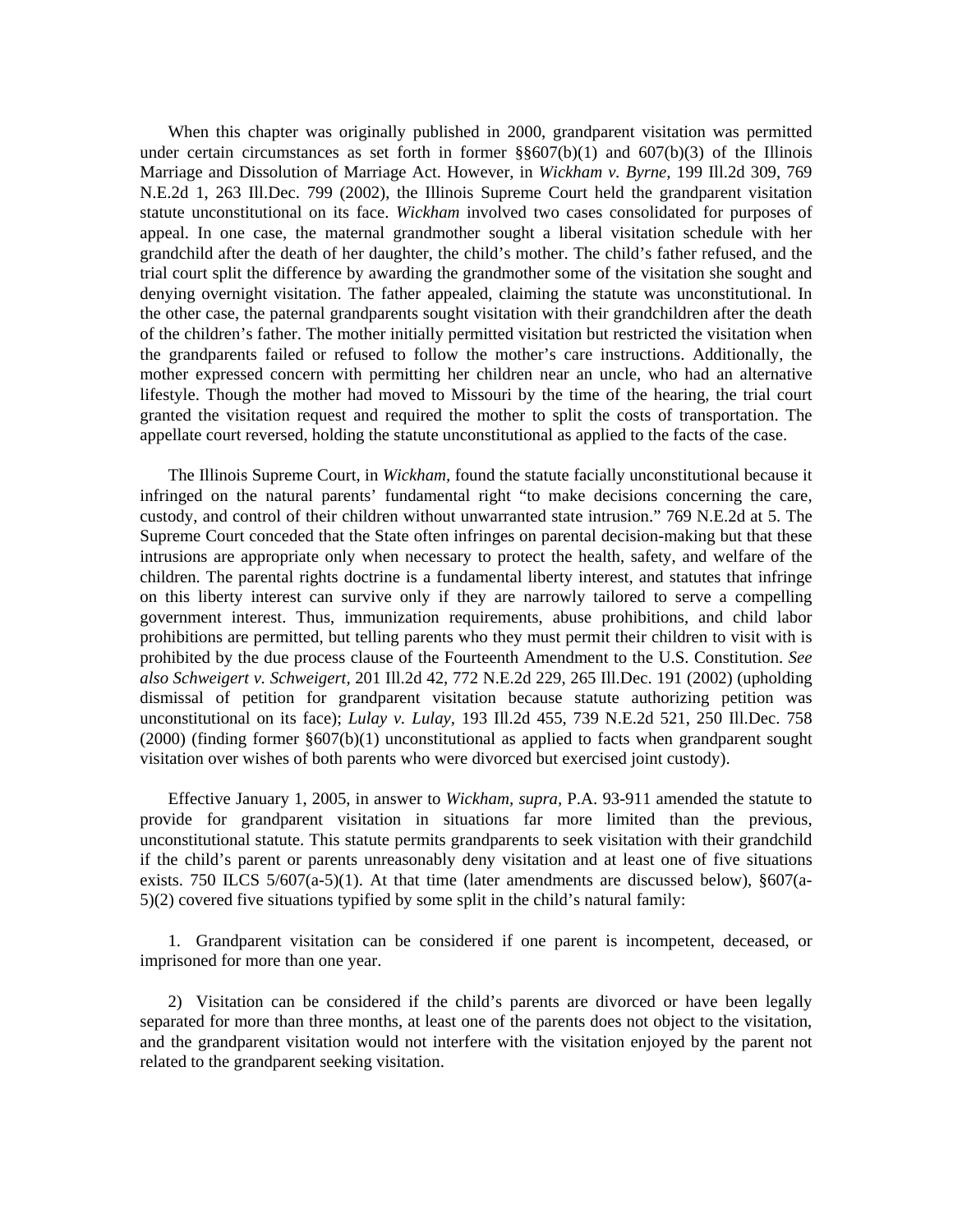When this chapter was originally published in 2000, grandparent visitation was permitted under certain circumstances as set forth in former  $\S$  $\S607(b)(1)$  and  $607(b)(3)$  of the Illinois Marriage and Dissolution of Marriage Act. However, in *Wickham v. Byrne,* 199 Ill.2d 309, 769 N.E.2d 1, 263 Ill.Dec. 799 (2002), the Illinois Supreme Court held the grandparent visitation statute unconstitutional on its face. *Wickham* involved two cases consolidated for purposes of appeal. In one case, the maternal grandmother sought a liberal visitation schedule with her grandchild after the death of her daughter, the child's mother. The child's father refused, and the trial court split the difference by awarding the grandmother some of the visitation she sought and denying overnight visitation. The father appealed, claiming the statute was unconstitutional. In the other case, the paternal grandparents sought visitation with their grandchildren after the death of the children's father. The mother initially permitted visitation but restricted the visitation when the grandparents failed or refused to follow the mother's care instructions. Additionally, the mother expressed concern with permitting her children near an uncle, who had an alternative lifestyle. Though the mother had moved to Missouri by the time of the hearing, the trial court granted the visitation request and required the mother to split the costs of transportation. The appellate court reversed, holding the statute unconstitutional as applied to the facts of the case.

 The Illinois Supreme Court, in *Wickham,* found the statute facially unconstitutional because it infringed on the natural parents' fundamental right "to make decisions concerning the care, custody, and control of their children without unwarranted state intrusion." 769 N.E.2d at 5. The Supreme Court conceded that the State often infringes on parental decision-making but that these intrusions are appropriate only when necessary to protect the health, safety, and welfare of the children. The parental rights doctrine is a fundamental liberty interest, and statutes that infringe on this liberty interest can survive only if they are narrowly tailored to serve a compelling government interest. Thus, immunization requirements, abuse prohibitions, and child labor prohibitions are permitted, but telling parents who they must permit their children to visit with is prohibited by the due process clause of the Fourteenth Amendment to the U.S. Constitution. *See also Schweigert v. Schweigert,* 201 Ill.2d 42, 772 N.E.2d 229, 265 Ill.Dec. 191 (2002) (upholding dismissal of petition for grandparent visitation because statute authorizing petition was unconstitutional on its face); *Lulay v. Lulay,* 193 Ill.2d 455, 739 N.E.2d 521, 250 Ill.Dec. 758 (2000) (finding former §607(b)(1) unconstitutional as applied to facts when grandparent sought visitation over wishes of both parents who were divorced but exercised joint custody).

 Effective January 1, 2005, in answer to *Wickham, supra,* P.A. 93-911 amended the statute to provide for grandparent visitation in situations far more limited than the previous, unconstitutional statute. This statute permits grandparents to seek visitation with their grandchild if the child's parent or parents unreasonably deny visitation and at least one of five situations exists. 750 ILCS 5/607(a-5)(1). At that time (later amendments are discussed below), §607(a-5)(2) covered five situations typified by some split in the child's natural family:

 1. Grandparent visitation can be considered if one parent is incompetent, deceased, or imprisoned for more than one year.

 2) Visitation can be considered if the child's parents are divorced or have been legally separated for more than three months, at least one of the parents does not object to the visitation, and the grandparent visitation would not interfere with the visitation enjoyed by the parent not related to the grandparent seeking visitation.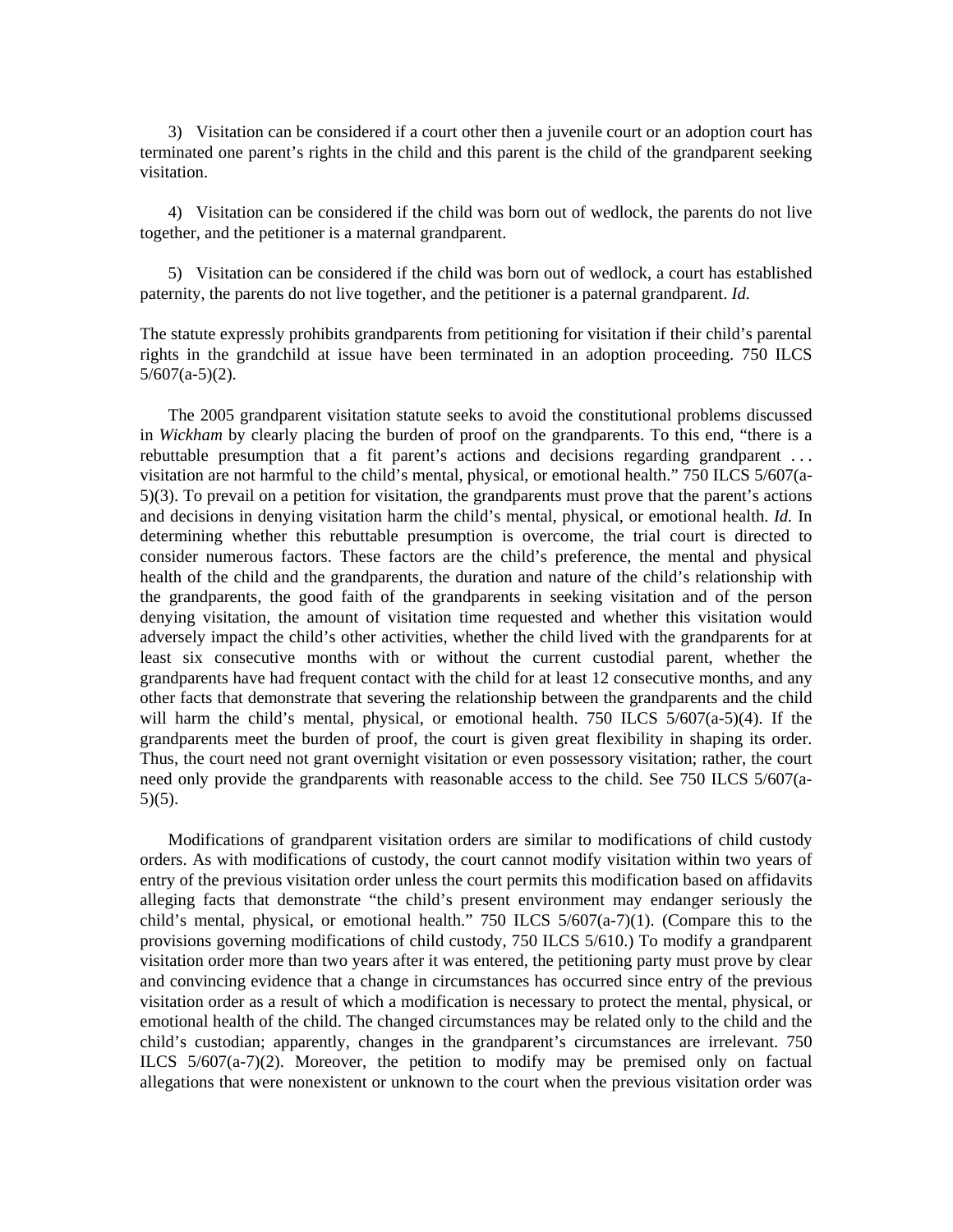3) Visitation can be considered if a court other then a juvenile court or an adoption court has terminated one parent's rights in the child and this parent is the child of the grandparent seeking visitation.

 4) Visitation can be considered if the child was born out of wedlock, the parents do not live together, and the petitioner is a maternal grandparent.

 5) Visitation can be considered if the child was born out of wedlock, a court has established paternity, the parents do not live together, and the petitioner is a paternal grandparent. *Id.*

The statute expressly prohibits grandparents from petitioning for visitation if their child's parental rights in the grandchild at issue have been terminated in an adoption proceeding. 750 ILCS  $5/607(a-5)(2)$ .

 The 2005 grandparent visitation statute seeks to avoid the constitutional problems discussed in *Wickham* by clearly placing the burden of proof on the grandparents. To this end, "there is a rebuttable presumption that a fit parent's actions and decisions regarding grandparent . . . visitation are not harmful to the child's mental, physical, or emotional health." 750 ILCS 5/607(a-5)(3). To prevail on a petition for visitation, the grandparents must prove that the parent's actions and decisions in denying visitation harm the child's mental, physical, or emotional health. *Id.* In determining whether this rebuttable presumption is overcome, the trial court is directed to consider numerous factors. These factors are the child's preference, the mental and physical health of the child and the grandparents, the duration and nature of the child's relationship with the grandparents, the good faith of the grandparents in seeking visitation and of the person denying visitation, the amount of visitation time requested and whether this visitation would adversely impact the child's other activities, whether the child lived with the grandparents for at least six consecutive months with or without the current custodial parent, whether the grandparents have had frequent contact with the child for at least 12 consecutive months, and any other facts that demonstrate that severing the relationship between the grandparents and the child will harm the child's mental, physical, or emotional health. 750 ILCS 5/607(a-5)(4). If the grandparents meet the burden of proof, the court is given great flexibility in shaping its order. Thus, the court need not grant overnight visitation or even possessory visitation; rather, the court need only provide the grandparents with reasonable access to the child. See 750 ILCS 5/607(a- $5)(5)$ .

 Modifications of grandparent visitation orders are similar to modifications of child custody orders. As with modifications of custody, the court cannot modify visitation within two years of entry of the previous visitation order unless the court permits this modification based on affidavits alleging facts that demonstrate "the child's present environment may endanger seriously the child's mental, physical, or emotional health." 750 ILCS  $5/607(a-7)(1)$ . (Compare this to the provisions governing modifications of child custody, 750 ILCS 5/610.) To modify a grandparent visitation order more than two years after it was entered, the petitioning party must prove by clear and convincing evidence that a change in circumstances has occurred since entry of the previous visitation order as a result of which a modification is necessary to protect the mental, physical, or emotional health of the child. The changed circumstances may be related only to the child and the child's custodian; apparently, changes in the grandparent's circumstances are irrelevant. 750 ILCS 5/607(a-7)(2). Moreover, the petition to modify may be premised only on factual allegations that were nonexistent or unknown to the court when the previous visitation order was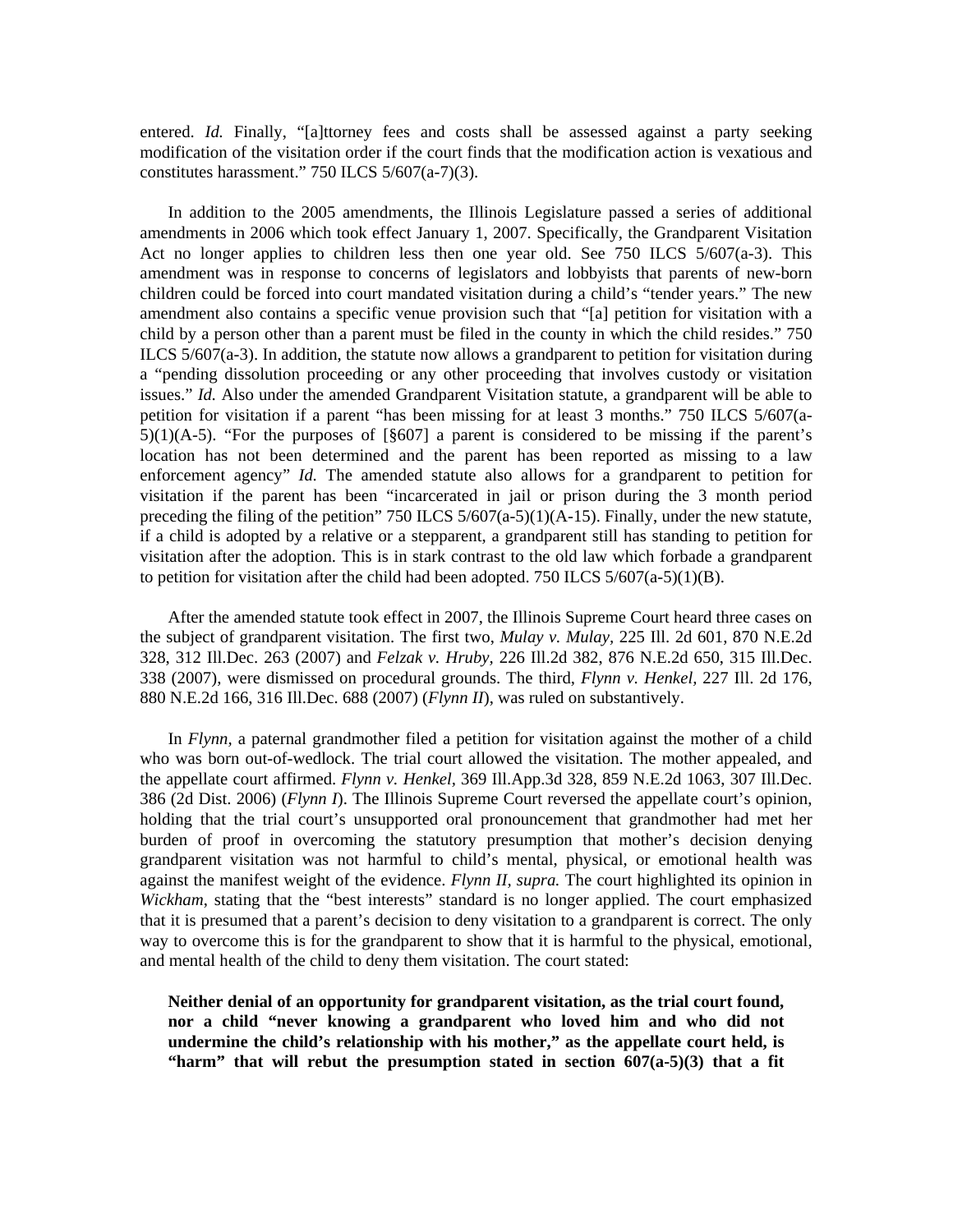entered. *Id.* Finally, "[a]ttorney fees and costs shall be assessed against a party seeking modification of the visitation order if the court finds that the modification action is vexatious and constitutes harassment." 750 ILCS 5/607(a-7)(3).

 In addition to the 2005 amendments, the Illinois Legislature passed a series of additional amendments in 2006 which took effect January 1, 2007. Specifically, the Grandparent Visitation Act no longer applies to children less then one year old. See 750 ILCS 5/607(a-3). This amendment was in response to concerns of legislators and lobbyists that parents of new-born children could be forced into court mandated visitation during a child's "tender years." The new amendment also contains a specific venue provision such that "[a] petition for visitation with a child by a person other than a parent must be filed in the county in which the child resides." 750 ILCS  $5/607(a-3)$ . In addition, the statute now allows a grandparent to petition for visitation during a "pending dissolution proceeding or any other proceeding that involves custody or visitation issues." *Id.* Also under the amended Grandparent Visitation statute, a grandparent will be able to petition for visitation if a parent "has been missing for at least 3 months." 750 ILCS 5/607(a- $5(1)(A-5)$ . "For the purposes of [§607] a parent is considered to be missing if the parent's location has not been determined and the parent has been reported as missing to a law enforcement agency" *Id.* The amended statute also allows for a grandparent to petition for visitation if the parent has been "incarcerated in jail or prison during the 3 month period preceding the filing of the petition" 750 ILCS 5/607(a-5)(1)(A-15). Finally, under the new statute, if a child is adopted by a relative or a stepparent, a grandparent still has standing to petition for visitation after the adoption. This is in stark contrast to the old law which forbade a grandparent to petition for visitation after the child had been adopted. 750 ILCS  $5/607(a-5)(1)(B)$ .

 After the amended statute took effect in 2007, the Illinois Supreme Court heard three cases on the subject of grandparent visitation. The first two, *Mulay v. Mulay,* 225 Ill. 2d 601, 870 N.E.2d 328, 312 Ill.Dec. 263 (2007) and *Felzak v. Hruby,* 226 Ill.2d 382, 876 N.E.2d 650, 315 Ill.Dec. 338 (2007), were dismissed on procedural grounds. The third, *Flynn v. Henkel,* 227 Ill. 2d 176, 880 N.E.2d 166, 316 Ill.Dec. 688 (2007) (*Flynn II*), was ruled on substantively.

 In *Flynn,* a paternal grandmother filed a petition for visitation against the mother of a child who was born out-of-wedlock. The trial court allowed the visitation. The mother appealed, and the appellate court affirmed. *Flynn v. Henkel,* 369 Ill.App.3d 328, 859 N.E.2d 1063, 307 Ill.Dec. 386 (2d Dist. 2006) (*Flynn I*). The Illinois Supreme Court reversed the appellate court's opinion, holding that the trial court's unsupported oral pronouncement that grandmother had met her burden of proof in overcoming the statutory presumption that mother's decision denying grandparent visitation was not harmful to child's mental, physical, or emotional health was against the manifest weight of the evidence. *Flynn II, supra.* The court highlighted its opinion in *Wickham*, stating that the "best interests" standard is no longer applied. The court emphasized that it is presumed that a parent's decision to deny visitation to a grandparent is correct. The only way to overcome this is for the grandparent to show that it is harmful to the physical, emotional, and mental health of the child to deny them visitation. The court stated:

**Neither denial of an opportunity for grandparent visitation, as the trial court found, nor a child "never knowing a grandparent who loved him and who did not undermine the child's relationship with his mother," as the appellate court held, is "harm" that will rebut the presumption stated in section 607(a-5)(3) that a fit**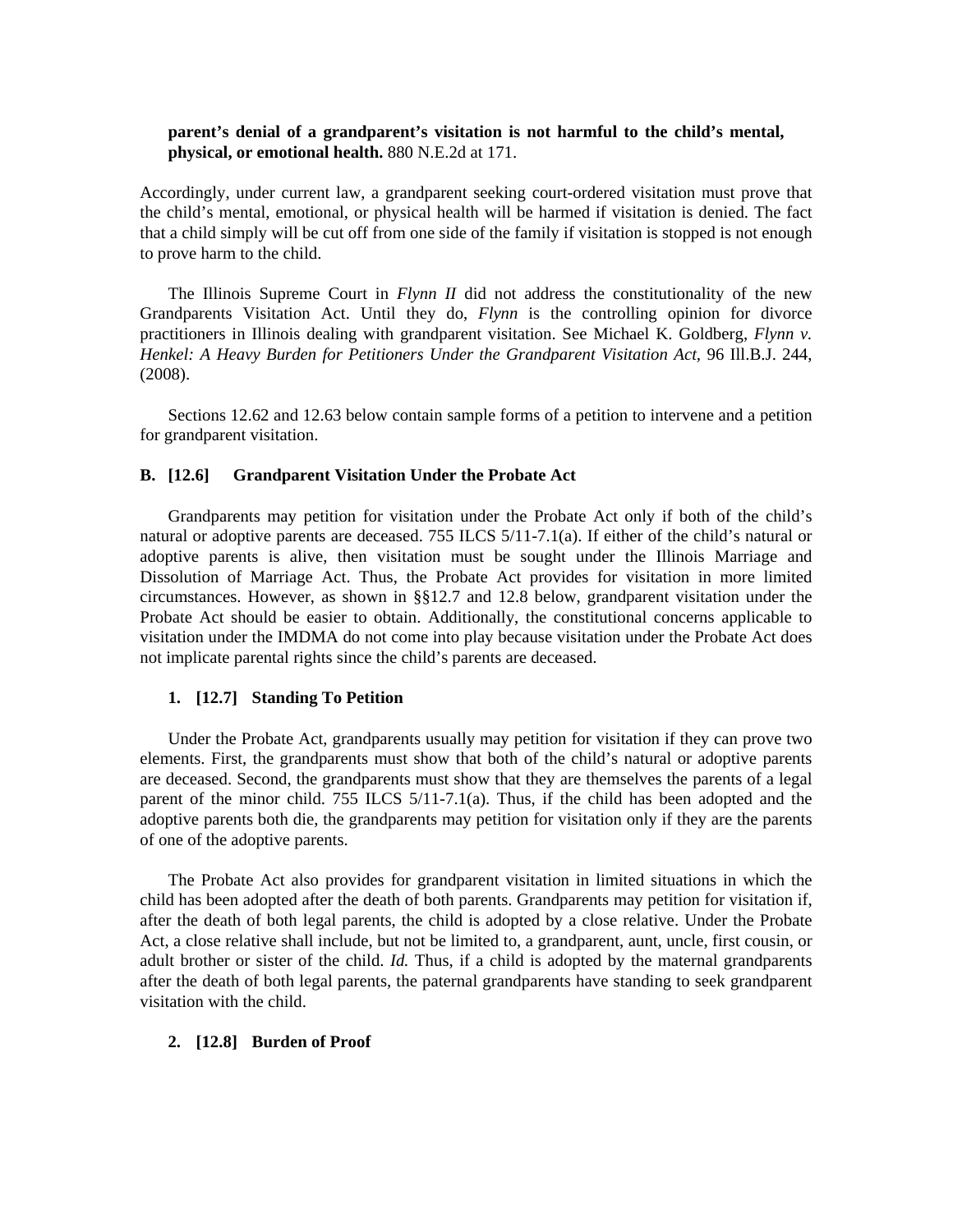## **parent's denial of a grandparent's visitation is not harmful to the child's mental, physical, or emotional health.** 880 N.E.2d at 171.

Accordingly, under current law, a grandparent seeking court-ordered visitation must prove that the child's mental, emotional, or physical health will be harmed if visitation is denied. The fact that a child simply will be cut off from one side of the family if visitation is stopped is not enough to prove harm to the child.

 The Illinois Supreme Court in *Flynn II* did not address the constitutionality of the new Grandparents Visitation Act. Until they do, *Flynn* is the controlling opinion for divorce practitioners in Illinois dealing with grandparent visitation. See Michael K. Goldberg, *Flynn v. Henkel: A Heavy Burden for Petitioners Under the Grandparent Visitation Act,* 96 Ill.B.J. 244, (2008).

 Sections 12.62 and 12.63 below contain sample forms of a petition to intervene and a petition for grandparent visitation.

#### **B. [12.6] Grandparent Visitation Under the Probate Act**

 Grandparents may petition for visitation under the Probate Act only if both of the child's natural or adoptive parents are deceased. 755 ILCS 5/11-7.1(a). If either of the child's natural or adoptive parents is alive, then visitation must be sought under the Illinois Marriage and Dissolution of Marriage Act. Thus, the Probate Act provides for visitation in more limited circumstances. However, as shown in §§12.7 and 12.8 below, grandparent visitation under the Probate Act should be easier to obtain. Additionally, the constitutional concerns applicable to visitation under the IMDMA do not come into play because visitation under the Probate Act does not implicate parental rights since the child's parents are deceased.

#### **1. [12.7] Standing To Petition**

 Under the Probate Act, grandparents usually may petition for visitation if they can prove two elements. First, the grandparents must show that both of the child's natural or adoptive parents are deceased. Second, the grandparents must show that they are themselves the parents of a legal parent of the minor child. 755 ILCS 5/11-7.1(a). Thus, if the child has been adopted and the adoptive parents both die, the grandparents may petition for visitation only if they are the parents of one of the adoptive parents.

 The Probate Act also provides for grandparent visitation in limited situations in which the child has been adopted after the death of both parents. Grandparents may petition for visitation if, after the death of both legal parents, the child is adopted by a close relative. Under the Probate Act, a close relative shall include, but not be limited to, a grandparent, aunt, uncle, first cousin, or adult brother or sister of the child. *Id.* Thus, if a child is adopted by the maternal grandparents after the death of both legal parents, the paternal grandparents have standing to seek grandparent visitation with the child.

#### **2. [12.8] Burden of Proof**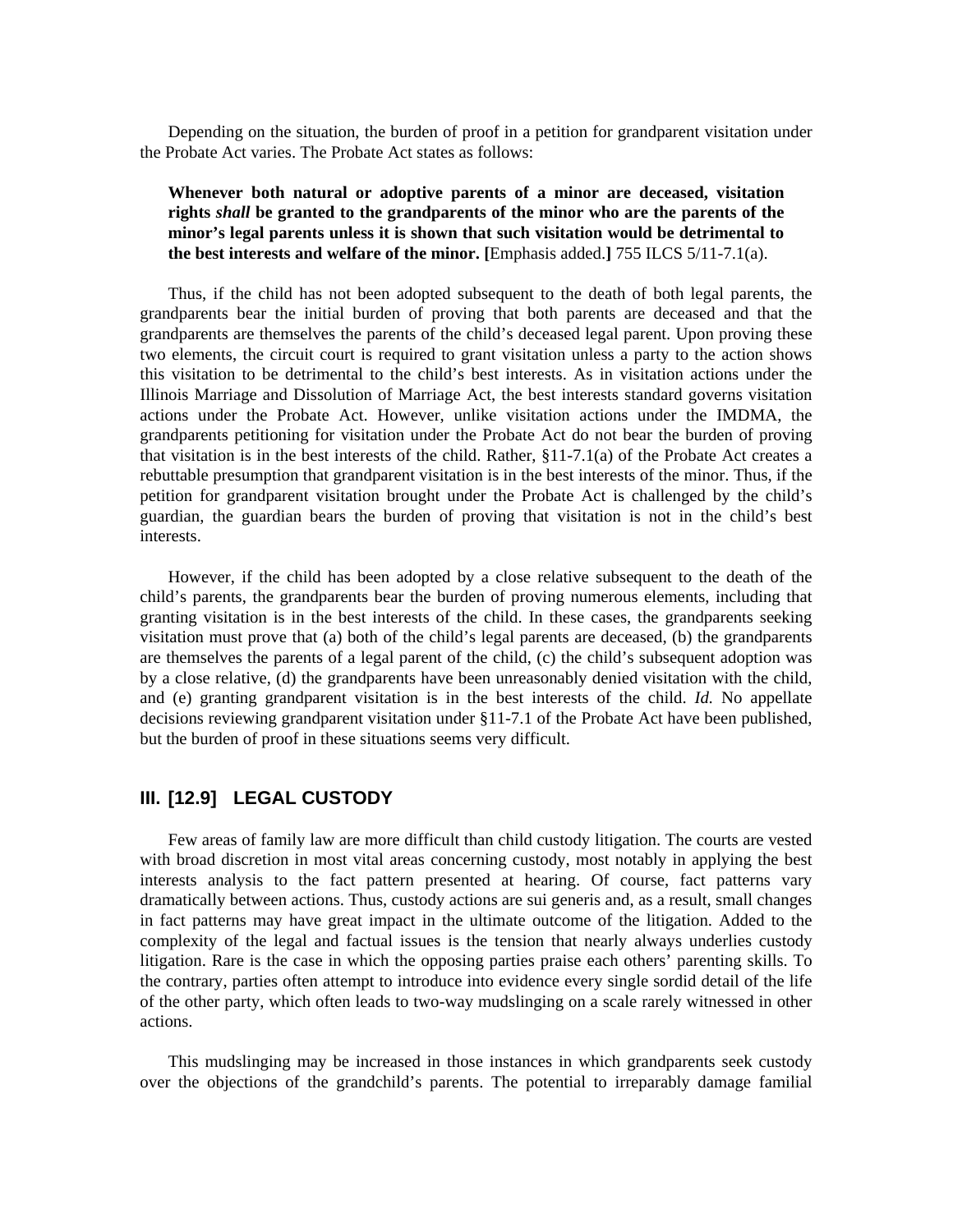Depending on the situation, the burden of proof in a petition for grandparent visitation under the Probate Act varies. The Probate Act states as follows:

# **Whenever both natural or adoptive parents of a minor are deceased, visitation rights** *shall* **be granted to the grandparents of the minor who are the parents of the minor's legal parents unless it is shown that such visitation would be detrimental to the best interests and welfare of the minor. [**Emphasis added.**]** 755 ILCS 5/11-7.1(a).

 Thus, if the child has not been adopted subsequent to the death of both legal parents, the grandparents bear the initial burden of proving that both parents are deceased and that the grandparents are themselves the parents of the child's deceased legal parent. Upon proving these two elements, the circuit court is required to grant visitation unless a party to the action shows this visitation to be detrimental to the child's best interests. As in visitation actions under the Illinois Marriage and Dissolution of Marriage Act, the best interests standard governs visitation actions under the Probate Act. However, unlike visitation actions under the IMDMA, the grandparents petitioning for visitation under the Probate Act do not bear the burden of proving that visitation is in the best interests of the child. Rather,  $\S11-7.1(a)$  of the Probate Act creates a rebuttable presumption that grandparent visitation is in the best interests of the minor. Thus, if the petition for grandparent visitation brought under the Probate Act is challenged by the child's guardian, the guardian bears the burden of proving that visitation is not in the child's best interests.

 However, if the child has been adopted by a close relative subsequent to the death of the child's parents, the grandparents bear the burden of proving numerous elements, including that granting visitation is in the best interests of the child. In these cases, the grandparents seeking visitation must prove that (a) both of the child's legal parents are deceased, (b) the grandparents are themselves the parents of a legal parent of the child, (c) the child's subsequent adoption was by a close relative, (d) the grandparents have been unreasonably denied visitation with the child, and (e) granting grandparent visitation is in the best interests of the child. *Id.* No appellate decisions reviewing grandparent visitation under §11-7.1 of the Probate Act have been published, but the burden of proof in these situations seems very difficult.

# **III. [12.9] LEGAL CUSTODY**

 Few areas of family law are more difficult than child custody litigation. The courts are vested with broad discretion in most vital areas concerning custody, most notably in applying the best interests analysis to the fact pattern presented at hearing. Of course, fact patterns vary dramatically between actions. Thus, custody actions are sui generis and, as a result, small changes in fact patterns may have great impact in the ultimate outcome of the litigation. Added to the complexity of the legal and factual issues is the tension that nearly always underlies custody litigation. Rare is the case in which the opposing parties praise each others' parenting skills. To the contrary, parties often attempt to introduce into evidence every single sordid detail of the life of the other party, which often leads to two-way mudslinging on a scale rarely witnessed in other actions.

 This mudslinging may be increased in those instances in which grandparents seek custody over the objections of the grandchild's parents. The potential to irreparably damage familial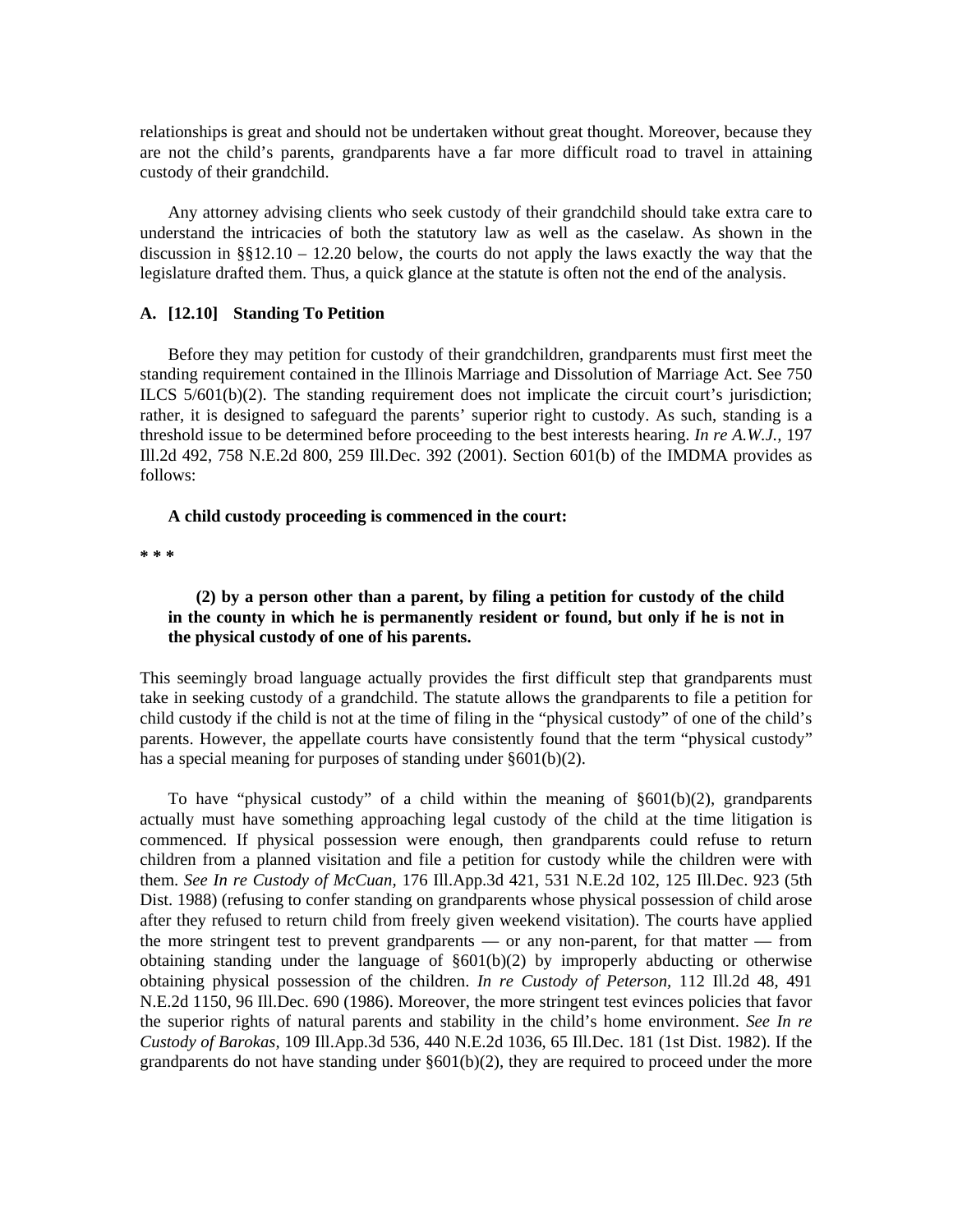relationships is great and should not be undertaken without great thought. Moreover, because they are not the child's parents, grandparents have a far more difficult road to travel in attaining custody of their grandchild.

 Any attorney advising clients who seek custody of their grandchild should take extra care to understand the intricacies of both the statutory law as well as the caselaw. As shown in the discussion in  $\S$ §12.10 – 12.20 below, the courts do not apply the laws exactly the way that the legislature drafted them. Thus, a quick glance at the statute is often not the end of the analysis.

#### **A. [12.10] Standing To Petition**

 Before they may petition for custody of their grandchildren, grandparents must first meet the standing requirement contained in the Illinois Marriage and Dissolution of Marriage Act. See 750 ILCS 5/601(b)(2). The standing requirement does not implicate the circuit court's jurisdiction; rather, it is designed to safeguard the parents' superior right to custody. As such, standing is a threshold issue to be determined before proceeding to the best interests hearing. *In re A.W.J.,* 197 Ill.2d 492, 758 N.E.2d 800, 259 Ill.Dec. 392 (2001). Section 601(b) of the IMDMA provides as follows:

#### **A child custody proceeding is commenced in the court:**

**\* \* \*** 

# **(2) by a person other than a parent, by filing a petition for custody of the child in the county in which he is permanently resident or found, but only if he is not in the physical custody of one of his parents.**

This seemingly broad language actually provides the first difficult step that grandparents must take in seeking custody of a grandchild. The statute allows the grandparents to file a petition for child custody if the child is not at the time of filing in the "physical custody" of one of the child's parents. However, the appellate courts have consistently found that the term "physical custody" has a special meaning for purposes of standing under §601(b)(2).

To have "physical custody" of a child within the meaning of  $\S601(b)(2)$ , grandparents actually must have something approaching legal custody of the child at the time litigation is commenced. If physical possession were enough, then grandparents could refuse to return children from a planned visitation and file a petition for custody while the children were with them. *See In re Custody of McCuan,* 176 Ill.App.3d 421, 531 N.E.2d 102, 125 Ill.Dec. 923 (5th Dist. 1988) (refusing to confer standing on grandparents whose physical possession of child arose after they refused to return child from freely given weekend visitation). The courts have applied the more stringent test to prevent grandparents — or any non-parent, for that matter — from obtaining standing under the language of §601(b)(2) by improperly abducting or otherwise obtaining physical possession of the children. *In re Custody of Peterson,* 112 Ill.2d 48, 491 N.E.2d 1150, 96 Ill.Dec. 690 (1986). Moreover, the more stringent test evinces policies that favor the superior rights of natural parents and stability in the child's home environment. *See In re Custody of Barokas,* 109 Ill.App.3d 536, 440 N.E.2d 1036, 65 Ill.Dec. 181 (1st Dist. 1982). If the grandparents do not have standing under  $\S601(b)(2)$ , they are required to proceed under the more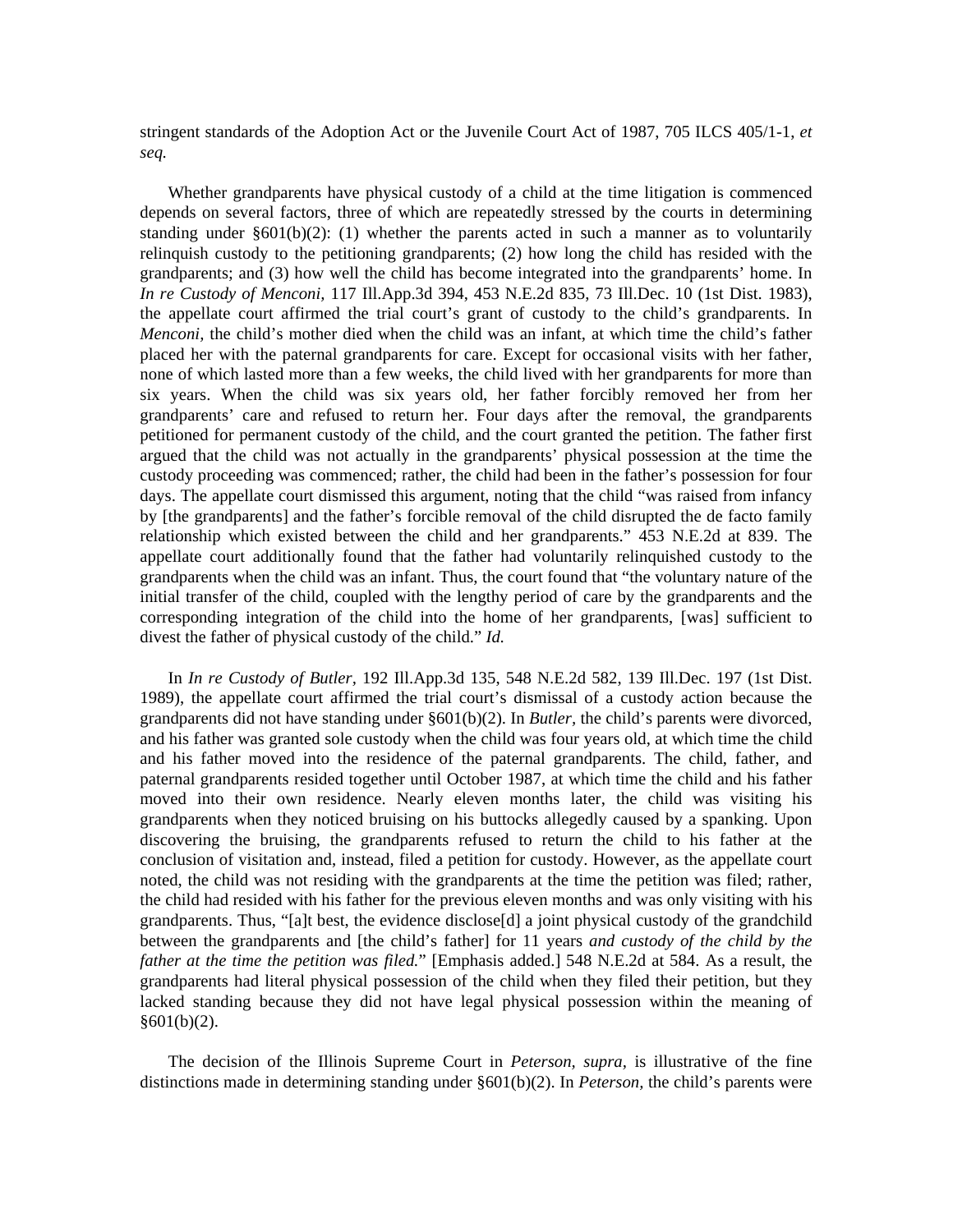stringent standards of the Adoption Act or the Juvenile Court Act of 1987, 705 ILCS 405/1-1, *et seq.* 

 Whether grandparents have physical custody of a child at the time litigation is commenced depends on several factors, three of which are repeatedly stressed by the courts in determining standing under  $\S601(b)(2)$ : (1) whether the parents acted in such a manner as to voluntarily relinquish custody to the petitioning grandparents; (2) how long the child has resided with the grandparents; and (3) how well the child has become integrated into the grandparents' home. In *In re Custody of Menconi,* 117 Ill.App.3d 394, 453 N.E.2d 835, 73 Ill.Dec. 10 (1st Dist. 1983), the appellate court affirmed the trial court's grant of custody to the child's grandparents. In *Menconi,* the child's mother died when the child was an infant, at which time the child's father placed her with the paternal grandparents for care. Except for occasional visits with her father, none of which lasted more than a few weeks, the child lived with her grandparents for more than six years. When the child was six years old, her father forcibly removed her from her grandparents' care and refused to return her. Four days after the removal, the grandparents petitioned for permanent custody of the child, and the court granted the petition. The father first argued that the child was not actually in the grandparents' physical possession at the time the custody proceeding was commenced; rather, the child had been in the father's possession for four days. The appellate court dismissed this argument, noting that the child "was raised from infancy by [the grandparents] and the father's forcible removal of the child disrupted the de facto family relationship which existed between the child and her grandparents." 453 N.E.2d at 839. The appellate court additionally found that the father had voluntarily relinquished custody to the grandparents when the child was an infant. Thus, the court found that "the voluntary nature of the initial transfer of the child, coupled with the lengthy period of care by the grandparents and the corresponding integration of the child into the home of her grandparents, [was] sufficient to divest the father of physical custody of the child." *Id.*

 In *In re Custody of Butler,* 192 Ill.App.3d 135, 548 N.E.2d 582, 139 Ill.Dec. 197 (1st Dist. 1989), the appellate court affirmed the trial court's dismissal of a custody action because the grandparents did not have standing under §601(b)(2). In *Butler,* the child's parents were divorced, and his father was granted sole custody when the child was four years old, at which time the child and his father moved into the residence of the paternal grandparents. The child, father, and paternal grandparents resided together until October 1987, at which time the child and his father moved into their own residence. Nearly eleven months later, the child was visiting his grandparents when they noticed bruising on his buttocks allegedly caused by a spanking. Upon discovering the bruising, the grandparents refused to return the child to his father at the conclusion of visitation and, instead, filed a petition for custody. However, as the appellate court noted, the child was not residing with the grandparents at the time the petition was filed; rather, the child had resided with his father for the previous eleven months and was only visiting with his grandparents. Thus, "[a]t best, the evidence disclose[d] a joint physical custody of the grandchild between the grandparents and [the child's father] for 11 years *and custody of the child by the father at the time the petition was filed.*" [Emphasis added.] 548 N.E.2d at 584. As a result, the grandparents had literal physical possession of the child when they filed their petition, but they lacked standing because they did not have legal physical possession within the meaning of  $§601(b)(2)$ .

 The decision of the Illinois Supreme Court in *Peterson, supra,* is illustrative of the fine distinctions made in determining standing under §601(b)(2). In *Peterson,* the child's parents were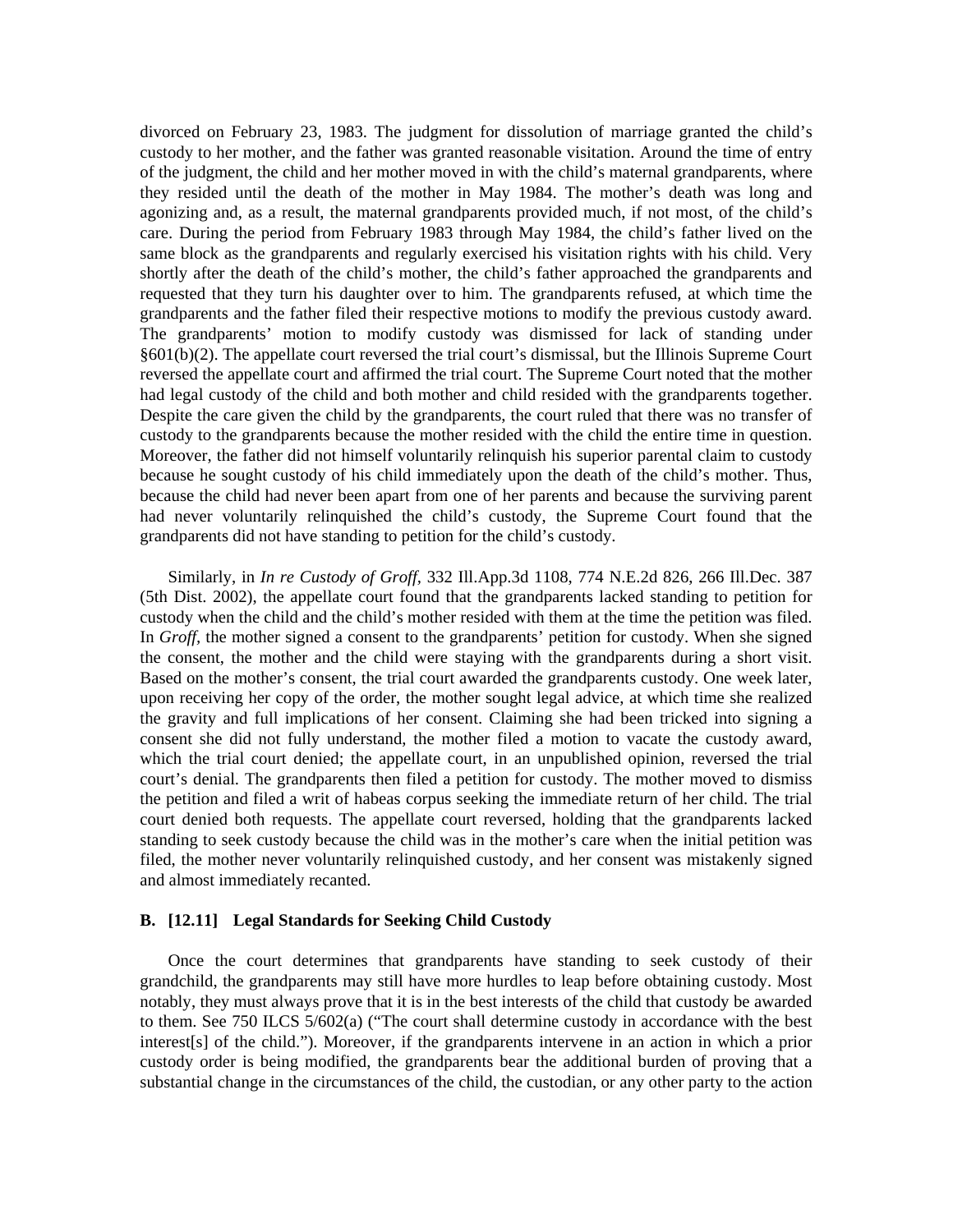divorced on February 23, 1983. The judgment for dissolution of marriage granted the child's custody to her mother, and the father was granted reasonable visitation. Around the time of entry of the judgment, the child and her mother moved in with the child's maternal grandparents, where they resided until the death of the mother in May 1984. The mother's death was long and agonizing and, as a result, the maternal grandparents provided much, if not most, of the child's care. During the period from February 1983 through May 1984, the child's father lived on the same block as the grandparents and regularly exercised his visitation rights with his child. Very shortly after the death of the child's mother, the child's father approached the grandparents and requested that they turn his daughter over to him. The grandparents refused, at which time the grandparents and the father filed their respective motions to modify the previous custody award. The grandparents' motion to modify custody was dismissed for lack of standing under §601(b)(2). The appellate court reversed the trial court's dismissal, but the Illinois Supreme Court reversed the appellate court and affirmed the trial court. The Supreme Court noted that the mother had legal custody of the child and both mother and child resided with the grandparents together. Despite the care given the child by the grandparents, the court ruled that there was no transfer of custody to the grandparents because the mother resided with the child the entire time in question. Moreover, the father did not himself voluntarily relinquish his superior parental claim to custody because he sought custody of his child immediately upon the death of the child's mother. Thus, because the child had never been apart from one of her parents and because the surviving parent had never voluntarily relinquished the child's custody, the Supreme Court found that the grandparents did not have standing to petition for the child's custody.

 Similarly, in *In re Custody of Groff,* 332 Ill.App.3d 1108, 774 N.E.2d 826, 266 Ill.Dec. 387 (5th Dist. 2002), the appellate court found that the grandparents lacked standing to petition for custody when the child and the child's mother resided with them at the time the petition was filed. In *Groff,* the mother signed a consent to the grandparents' petition for custody. When she signed the consent, the mother and the child were staying with the grandparents during a short visit. Based on the mother's consent, the trial court awarded the grandparents custody. One week later, upon receiving her copy of the order, the mother sought legal advice, at which time she realized the gravity and full implications of her consent. Claiming she had been tricked into signing a consent she did not fully understand, the mother filed a motion to vacate the custody award, which the trial court denied; the appellate court, in an unpublished opinion, reversed the trial court's denial. The grandparents then filed a petition for custody. The mother moved to dismiss the petition and filed a writ of habeas corpus seeking the immediate return of her child. The trial court denied both requests. The appellate court reversed, holding that the grandparents lacked standing to seek custody because the child was in the mother's care when the initial petition was filed, the mother never voluntarily relinquished custody, and her consent was mistakenly signed and almost immediately recanted.

#### **B. [12.11] Legal Standards for Seeking Child Custody**

 Once the court determines that grandparents have standing to seek custody of their grandchild, the grandparents may still have more hurdles to leap before obtaining custody. Most notably, they must always prove that it is in the best interests of the child that custody be awarded to them. See 750 ILCS 5/602(a) ("The court shall determine custody in accordance with the best interest[s] of the child."). Moreover, if the grandparents intervene in an action in which a prior custody order is being modified, the grandparents bear the additional burden of proving that a substantial change in the circumstances of the child, the custodian, or any other party to the action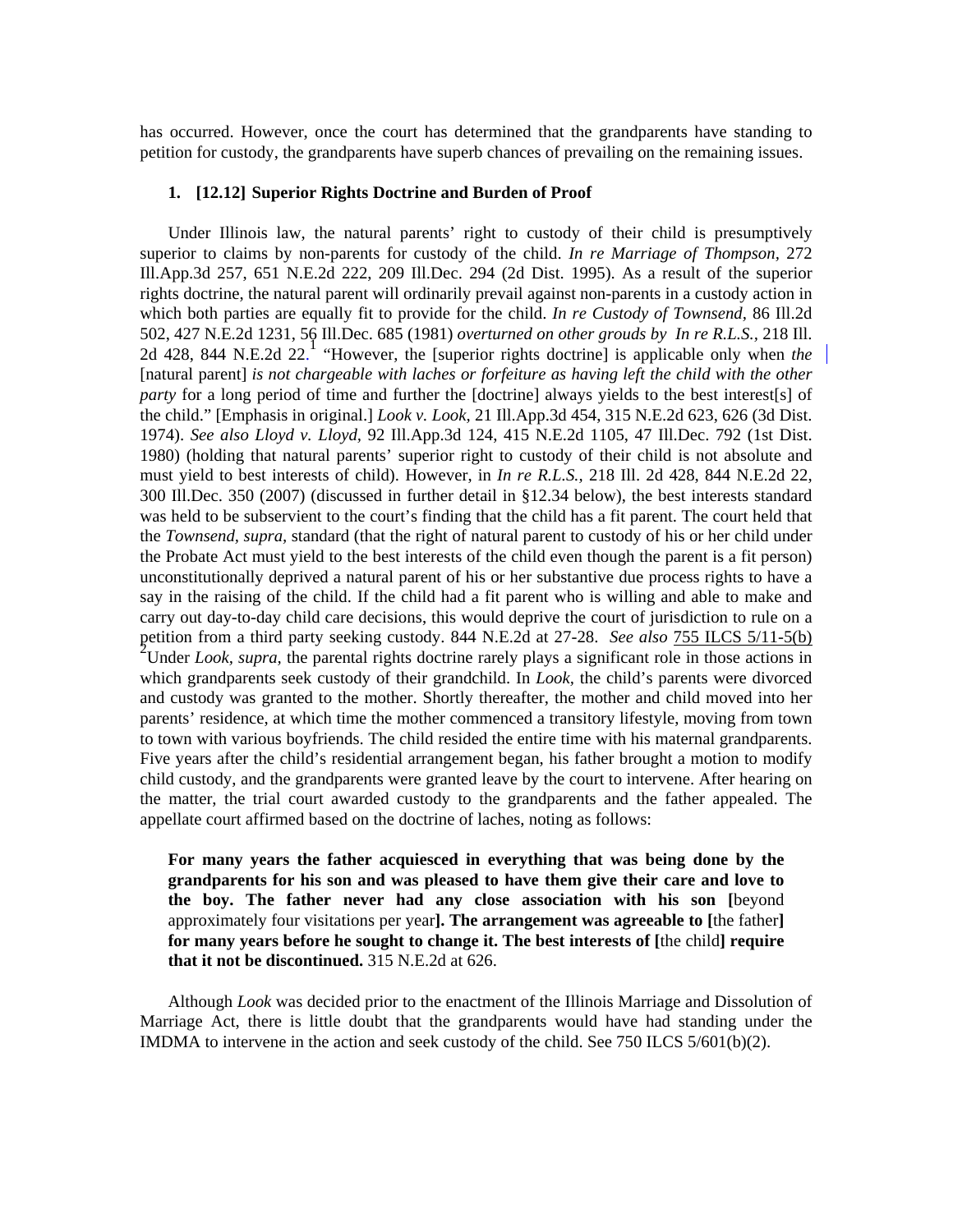has occurred. However, once the court has determined that the grandparents have standing to petition for custody, the grandparents have superb chances of prevailing on the remaining issues.

#### **1. [12.12] Superior Rights Doctrine and Burden of Proof**

 Under Illinois law, the natural parents' right to custody of their child is presumptively superior to claims by non-parents for custody of the child. *In re Marriage of Thompson,* 272 Ill.App.3d 257, 651 N.E.2d 222, 209 Ill.Dec. 294 (2d Dist. 1995). As a result of the superior rights doctrine, the natural parent will ordinarily prevail against non-parents in a custody action in which both parties are equally fit to provide for the child. *In re Custody of Townsend,* 86 Ill.2d 502, 427 N.E.2d 1231, 56 Ill.Dec. 685 (1981) *overturned on other grouds by In re R.L.S.,* 218 Ill. 2d 428, 844 N.E.2d 22. <sup>1</sup> "However, the [superior rights doctrine] is applicable only when *the* [natural parent] *is not chargeable with laches or forfeiture as having left the child with the other party* for a long period of time and further the [doctrine] always yields to the best interest[s] of the child." [Emphasis in original.] *Look v. Look,* 21 Ill.App.3d 454, 315 N.E.2d 623, 626 (3d Dist. 1974). *See also Lloyd v. Lloyd,* 92 Ill.App.3d 124, 415 N.E.2d 1105, 47 Ill.Dec. 792 (1st Dist. 1980) (holding that natural parents' superior right to custody of their child is not absolute and must yield to best interests of child). However, in *In re R.L.S.,* 218 Ill. 2d 428, 844 N.E.2d 22, 300 Ill.Dec. 350 (2007) (discussed in further detail in §12.34 below), the best interests standard was held to be subservient to the court's finding that the child has a fit parent. The court held that the *Townsend, supra,* standard (that the right of natural parent to custody of his or her child under the Probate Act must yield to the best interests of the child even though the parent is a fit person) unconstitutionally deprived a natural parent of his or her substantive due process rights to have a say in the raising of the child. If the child had a fit parent who is willing and able to make and carry out day-to-day child care decisions, this would deprive the court of jurisdiction to rule on a petition from a third party seeking custody. 844 N.E.2d at 27-28. *See also* 755 ILCS 5/11-5(b) <sup>2</sup> Under *Look, supra,* the parental rights doctrine rarely plays a significant role in those actions in which grandparents seek custody of their grandchild. In *Look,* the child's parents were divorced and custody was granted to the mother. Shortly thereafter, the mother and child moved into her parents' residence, at which time the mother commenced a transitory lifestyle, moving from town to town with various boyfriends. The child resided the entire time with his maternal grandparents. Five years after the child's residential arrangement began, his father brought a motion to modify child custody, and the grandparents were granted leave by the court to intervene. After hearing on the matter, the trial court awarded custody to the grandparents and the father appealed. The appellate court affirmed based on the doctrine of laches, noting as follows:

**For many years the father acquiesced in everything that was being done by the grandparents for his son and was pleased to have them give their care and love to the boy. The father never had any close association with his son [**beyond approximately four visitations per year**]. The arrangement was agreeable to [**the father**] for many years before he sought to change it. The best interests of [**the child**] require that it not be discontinued.** 315 N.E.2d at 626.

 Although *Look* was decided prior to the enactment of the Illinois Marriage and Dissolution of Marriage Act, there is little doubt that the grandparents would have had standing under the IMDMA to intervene in the action and seek custody of the child. See 750 ILCS 5/601(b)(2).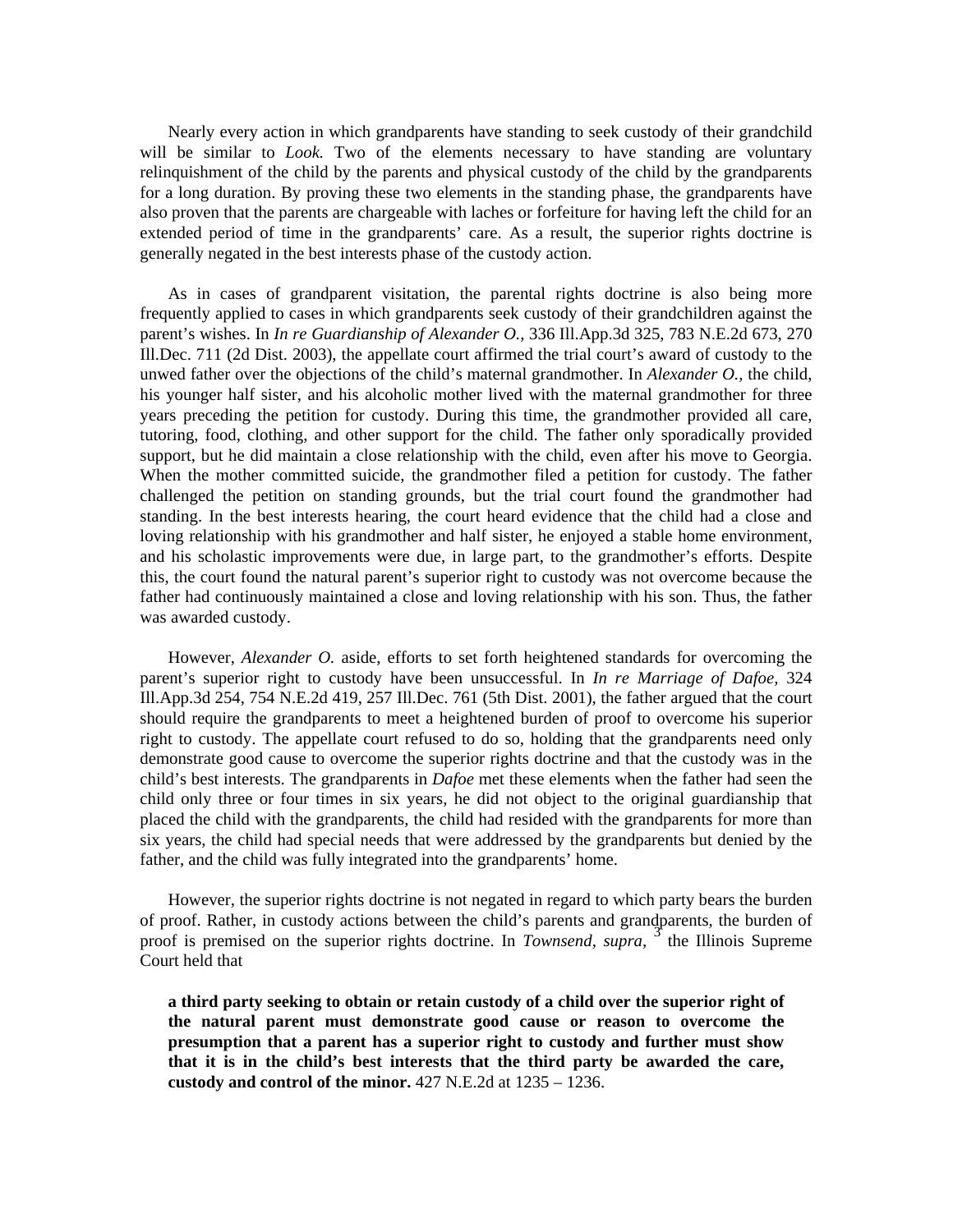Nearly every action in which grandparents have standing to seek custody of their grandchild will be similar to *Look*. Two of the elements necessary to have standing are voluntary relinquishment of the child by the parents and physical custody of the child by the grandparents for a long duration. By proving these two elements in the standing phase, the grandparents have also proven that the parents are chargeable with laches or forfeiture for having left the child for an extended period of time in the grandparents' care. As a result, the superior rights doctrine is generally negated in the best interests phase of the custody action.

 As in cases of grandparent visitation, the parental rights doctrine is also being more frequently applied to cases in which grandparents seek custody of their grandchildren against the parent's wishes. In *In re Guardianship of Alexander O.,* 336 Ill.App.3d 325, 783 N.E.2d 673, 270 Ill.Dec. 711 (2d Dist. 2003), the appellate court affirmed the trial court's award of custody to the unwed father over the objections of the child's maternal grandmother. In *Alexander O.,* the child, his younger half sister, and his alcoholic mother lived with the maternal grandmother for three years preceding the petition for custody. During this time, the grandmother provided all care, tutoring, food, clothing, and other support for the child. The father only sporadically provided support, but he did maintain a close relationship with the child, even after his move to Georgia. When the mother committed suicide, the grandmother filed a petition for custody. The father challenged the petition on standing grounds, but the trial court found the grandmother had standing. In the best interests hearing, the court heard evidence that the child had a close and loving relationship with his grandmother and half sister, he enjoyed a stable home environment, and his scholastic improvements were due, in large part, to the grandmother's efforts. Despite this, the court found the natural parent's superior right to custody was not overcome because the father had continuously maintained a close and loving relationship with his son. Thus, the father was awarded custody.

 However, *Alexander O.* aside, efforts to set forth heightened standards for overcoming the parent's superior right to custody have been unsuccessful. In *In re Marriage of Dafoe,* 324 Ill.App.3d 254, 754 N.E.2d 419, 257 Ill.Dec. 761 (5th Dist. 2001), the father argued that the court should require the grandparents to meet a heightened burden of proof to overcome his superior right to custody. The appellate court refused to do so, holding that the grandparents need only demonstrate good cause to overcome the superior rights doctrine and that the custody was in the child's best interests. The grandparents in *Dafoe* met these elements when the father had seen the child only three or four times in six years, he did not object to the original guardianship that placed the child with the grandparents, the child had resided with the grandparents for more than six years, the child had special needs that were addressed by the grandparents but denied by the father, and the child was fully integrated into the grandparents' home.

 However, the superior rights doctrine is not negated in regard to which party bears the burden of proof. Rather, in custody actions between the child's parents and grandparents, the burden of proof is premised on the superior rights doctrine. In *Townsend, supra*, <sup>3</sup> the Illinois Supreme Court held that

 **a third party seeking to obtain or retain custody of a child over the superior right of the natural parent must demonstrate good cause or reason to overcome the presumption that a parent has a superior right to custody and further must show that it is in the child's best interests that the third party be awarded the care, custody and control of the minor.** 427 N.E.2d at 1235 – 1236.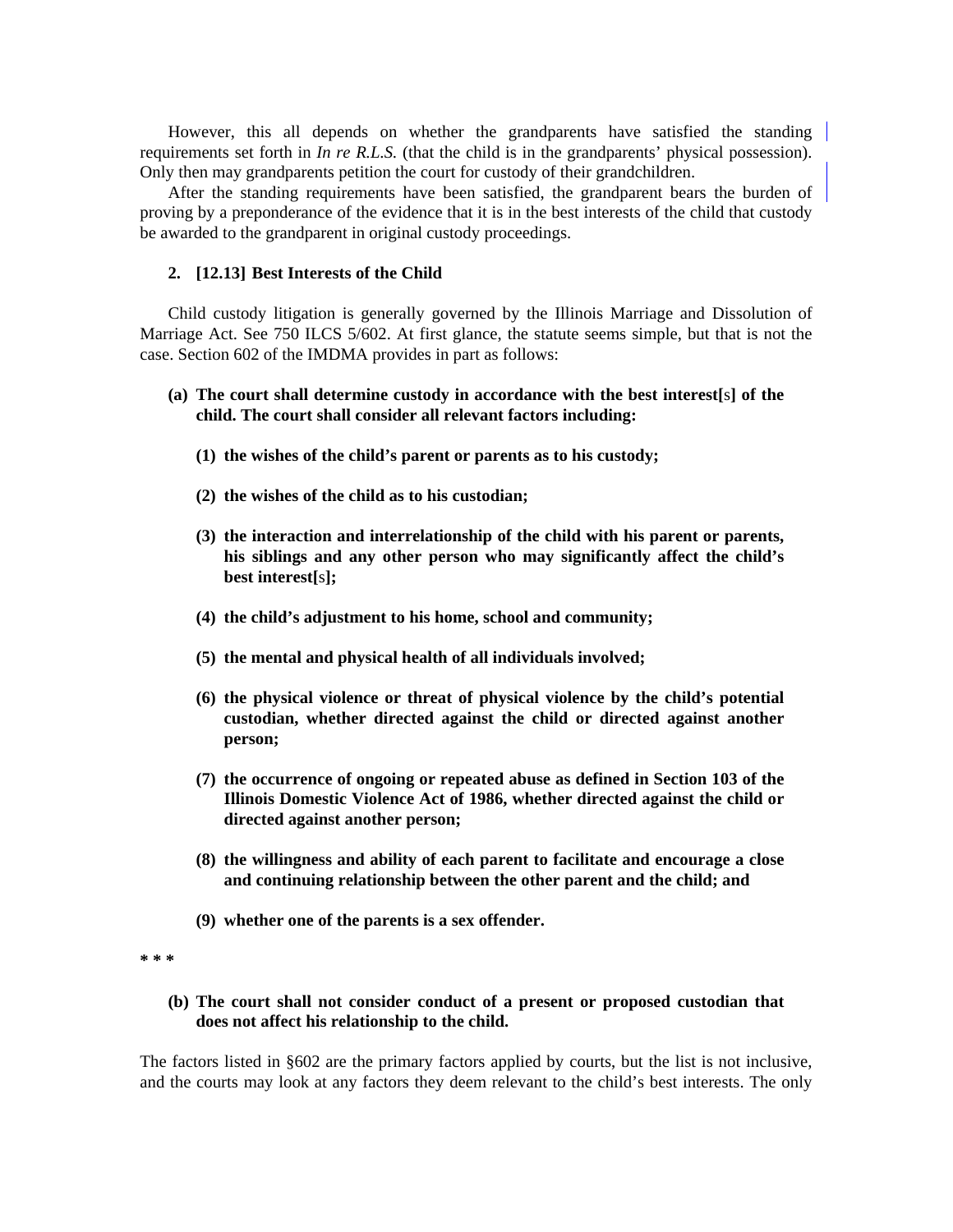However, this all depends on whether the grandparents have satisfied the standing requirements set forth in *In re R.L.S.* (that the child is in the grandparents' physical possession). Only then may grandparents petition the court for custody of their grandchildren.

After the standing requirements have been satisfied, the grandparent bears the burden of proving by a preponderance of the evidence that it is in the best interests of the child that custody be awarded to the grandparent in original custody proceedings.

#### **2. [12.13] Best Interests of the Child**

 Child custody litigation is generally governed by the Illinois Marriage and Dissolution of Marriage Act. See 750 ILCS 5/602. At first glance, the statute seems simple, but that is not the case. Section 602 of the IMDMA provides in part as follows:

## **(a) The court shall determine custody in accordance with the best interest[**s**] of the child. The court shall consider all relevant factors including:**

- **(1) the wishes of the child's parent or parents as to his custody;**
- **(2) the wishes of the child as to his custodian;**
- **(3) the interaction and interrelationship of the child with his parent or parents, his siblings and any other person who may significantly affect the child's best interest[**s**];**
- **(4) the child's adjustment to his home, school and community;**
- **(5) the mental and physical health of all individuals involved;**
- **(6) the physical violence or threat of physical violence by the child's potential custodian, whether directed against the child or directed against another person;**
- **(7) the occurrence of ongoing or repeated abuse as defined in Section 103 of the Illinois Domestic Violence Act of 1986, whether directed against the child or directed against another person;**
- **(8) the willingness and ability of each parent to facilitate and encourage a close and continuing relationship between the other parent and the child; and**
- **(9) whether one of the parents is a sex offender.**

**\* \* \*** 

 **(b) The court shall not consider conduct of a present or proposed custodian that does not affect his relationship to the child.** 

The factors listed in §602 are the primary factors applied by courts, but the list is not inclusive, and the courts may look at any factors they deem relevant to the child's best interests. The only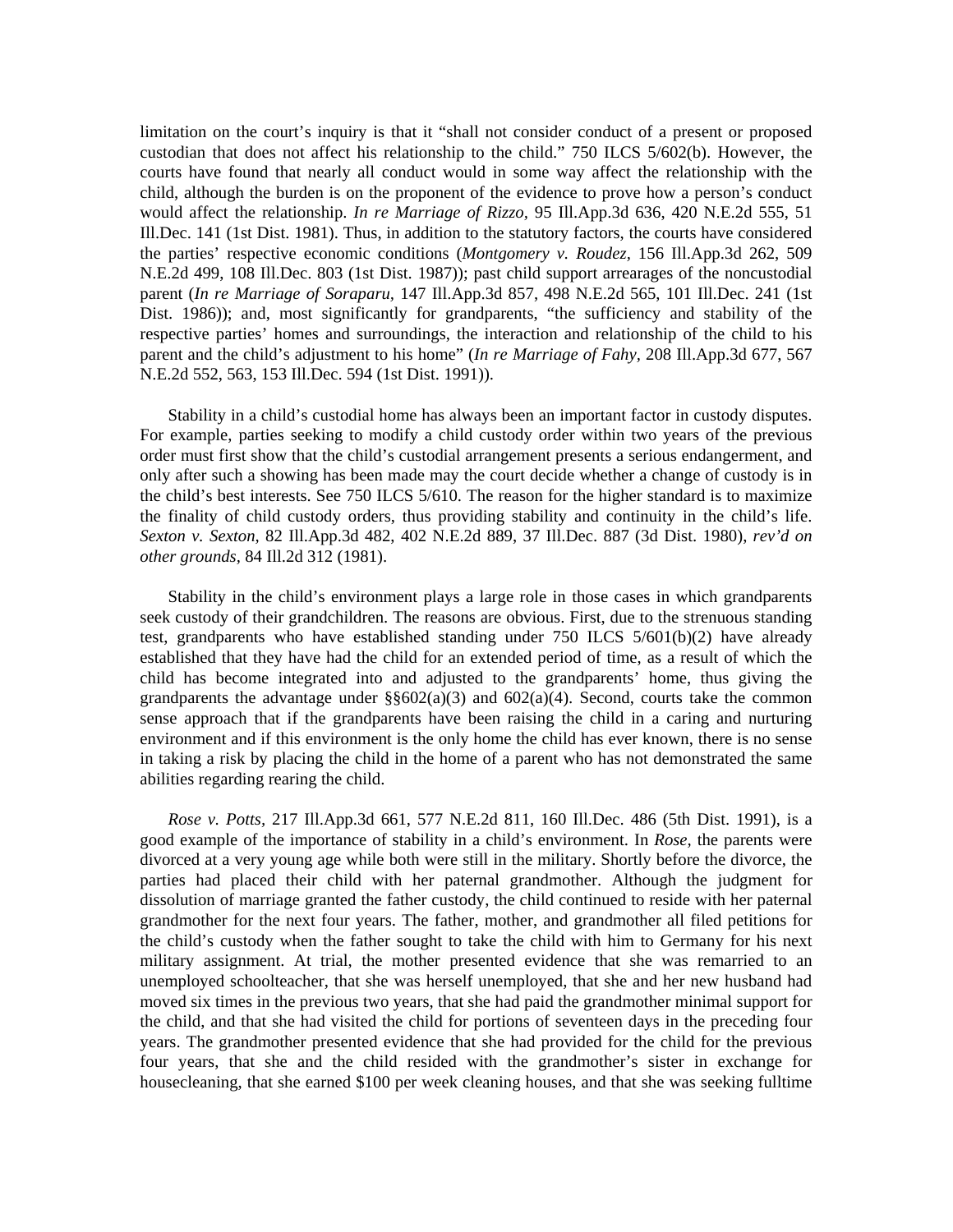limitation on the court's inquiry is that it "shall not consider conduct of a present or proposed custodian that does not affect his relationship to the child." 750 ILCS 5/602(b). However, the courts have found that nearly all conduct would in some way affect the relationship with the child, although the burden is on the proponent of the evidence to prove how a person's conduct would affect the relationship. *In re Marriage of Rizzo,* 95 Ill.App.3d 636, 420 N.E.2d 555, 51 Ill.Dec. 141 (1st Dist. 1981). Thus, in addition to the statutory factors, the courts have considered the parties' respective economic conditions (*Montgomery v. Roudez,* 156 Ill.App.3d 262, 509 N.E.2d 499, 108 Ill.Dec. 803 (1st Dist. 1987)); past child support arrearages of the noncustodial parent (*In re Marriage of Soraparu,* 147 Ill.App.3d 857, 498 N.E.2d 565, 101 Ill.Dec. 241 (1st Dist. 1986)); and, most significantly for grandparents, "the sufficiency and stability of the respective parties' homes and surroundings, the interaction and relationship of the child to his parent and the child's adjustment to his home" (*In re Marriage of Fahy,* 208 Ill.App.3d 677, 567 N.E.2d 552, 563, 153 Ill.Dec. 594 (1st Dist. 1991)).

 Stability in a child's custodial home has always been an important factor in custody disputes. For example, parties seeking to modify a child custody order within two years of the previous order must first show that the child's custodial arrangement presents a serious endangerment, and only after such a showing has been made may the court decide whether a change of custody is in the child's best interests. See 750 ILCS 5/610. The reason for the higher standard is to maximize the finality of child custody orders, thus providing stability and continuity in the child's life. *Sexton v. Sexton,* 82 Ill.App.3d 482, 402 N.E.2d 889, 37 Ill.Dec. 887 (3d Dist. 1980), *rev'd on other grounds,* 84 Ill.2d 312 (1981).

 Stability in the child's environment plays a large role in those cases in which grandparents seek custody of their grandchildren. The reasons are obvious. First, due to the strenuous standing test, grandparents who have established standing under 750 ILCS 5/601(b)(2) have already established that they have had the child for an extended period of time, as a result of which the child has become integrated into and adjusted to the grandparents' home, thus giving the grandparents the advantage under  $\S6602(a)(3)$  and  $602(a)(4)$ . Second, courts take the common sense approach that if the grandparents have been raising the child in a caring and nurturing environment and if this environment is the only home the child has ever known, there is no sense in taking a risk by placing the child in the home of a parent who has not demonstrated the same abilities regarding rearing the child.

*Rose v. Potts,* 217 Ill.App.3d 661, 577 N.E.2d 811, 160 Ill.Dec. 486 (5th Dist. 1991), is a good example of the importance of stability in a child's environment. In *Rose,* the parents were divorced at a very young age while both were still in the military. Shortly before the divorce, the parties had placed their child with her paternal grandmother. Although the judgment for dissolution of marriage granted the father custody, the child continued to reside with her paternal grandmother for the next four years. The father, mother, and grandmother all filed petitions for the child's custody when the father sought to take the child with him to Germany for his next military assignment. At trial, the mother presented evidence that she was remarried to an unemployed schoolteacher, that she was herself unemployed, that she and her new husband had moved six times in the previous two years, that she had paid the grandmother minimal support for the child, and that she had visited the child for portions of seventeen days in the preceding four years. The grandmother presented evidence that she had provided for the child for the previous four years, that she and the child resided with the grandmother's sister in exchange for housecleaning, that she earned \$100 per week cleaning houses, and that she was seeking fulltime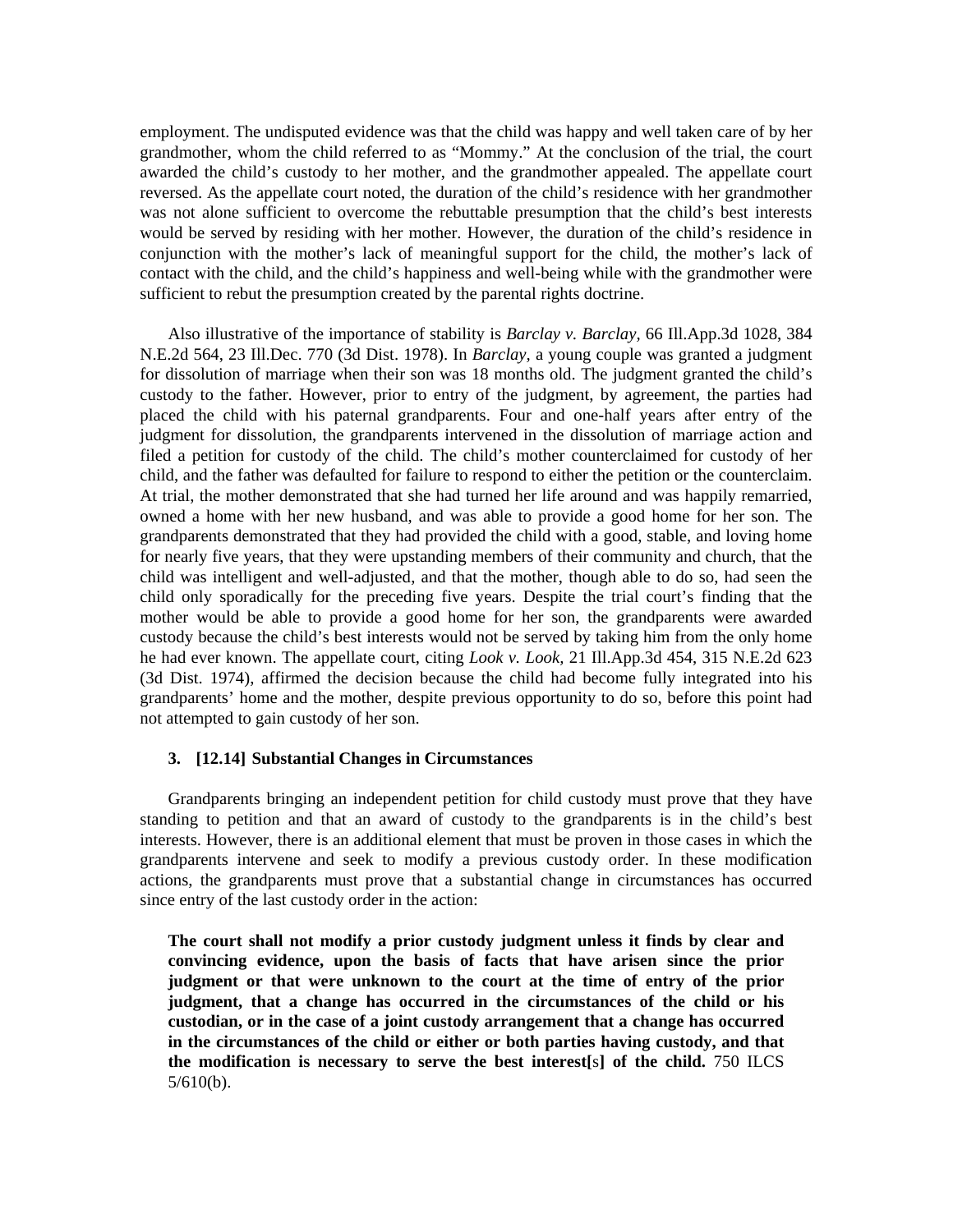employment. The undisputed evidence was that the child was happy and well taken care of by her grandmother, whom the child referred to as "Mommy." At the conclusion of the trial, the court awarded the child's custody to her mother, and the grandmother appealed. The appellate court reversed. As the appellate court noted, the duration of the child's residence with her grandmother was not alone sufficient to overcome the rebuttable presumption that the child's best interests would be served by residing with her mother. However, the duration of the child's residence in conjunction with the mother's lack of meaningful support for the child, the mother's lack of contact with the child, and the child's happiness and well-being while with the grandmother were sufficient to rebut the presumption created by the parental rights doctrine.

 Also illustrative of the importance of stability is *Barclay v. Barclay,* 66 Ill.App.3d 1028, 384 N.E.2d 564, 23 Ill.Dec. 770 (3d Dist. 1978). In *Barclay,* a young couple was granted a judgment for dissolution of marriage when their son was 18 months old. The judgment granted the child's custody to the father. However, prior to entry of the judgment, by agreement, the parties had placed the child with his paternal grandparents. Four and one-half years after entry of the judgment for dissolution, the grandparents intervened in the dissolution of marriage action and filed a petition for custody of the child. The child's mother counterclaimed for custody of her child, and the father was defaulted for failure to respond to either the petition or the counterclaim. At trial, the mother demonstrated that she had turned her life around and was happily remarried, owned a home with her new husband, and was able to provide a good home for her son. The grandparents demonstrated that they had provided the child with a good, stable, and loving home for nearly five years, that they were upstanding members of their community and church, that the child was intelligent and well-adjusted, and that the mother, though able to do so, had seen the child only sporadically for the preceding five years. Despite the trial court's finding that the mother would be able to provide a good home for her son, the grandparents were awarded custody because the child's best interests would not be served by taking him from the only home he had ever known. The appellate court, citing *Look v. Look,* 21 Ill.App.3d 454, 315 N.E.2d 623 (3d Dist. 1974), affirmed the decision because the child had become fully integrated into his grandparents' home and the mother, despite previous opportunity to do so, before this point had not attempted to gain custody of her son.

#### **3. [12.14] Substantial Changes in Circumstances**

 Grandparents bringing an independent petition for child custody must prove that they have standing to petition and that an award of custody to the grandparents is in the child's best interests. However, there is an additional element that must be proven in those cases in which the grandparents intervene and seek to modify a previous custody order. In these modification actions, the grandparents must prove that a substantial change in circumstances has occurred since entry of the last custody order in the action:

 **The court shall not modify a prior custody judgment unless it finds by clear and convincing evidence, upon the basis of facts that have arisen since the prior judgment or that were unknown to the court at the time of entry of the prior judgment, that a change has occurred in the circumstances of the child or his custodian, or in the case of a joint custody arrangement that a change has occurred in the circumstances of the child or either or both parties having custody, and that the modification is necessary to serve the best interest[**s**] of the child.** 750 ILCS 5/610(b).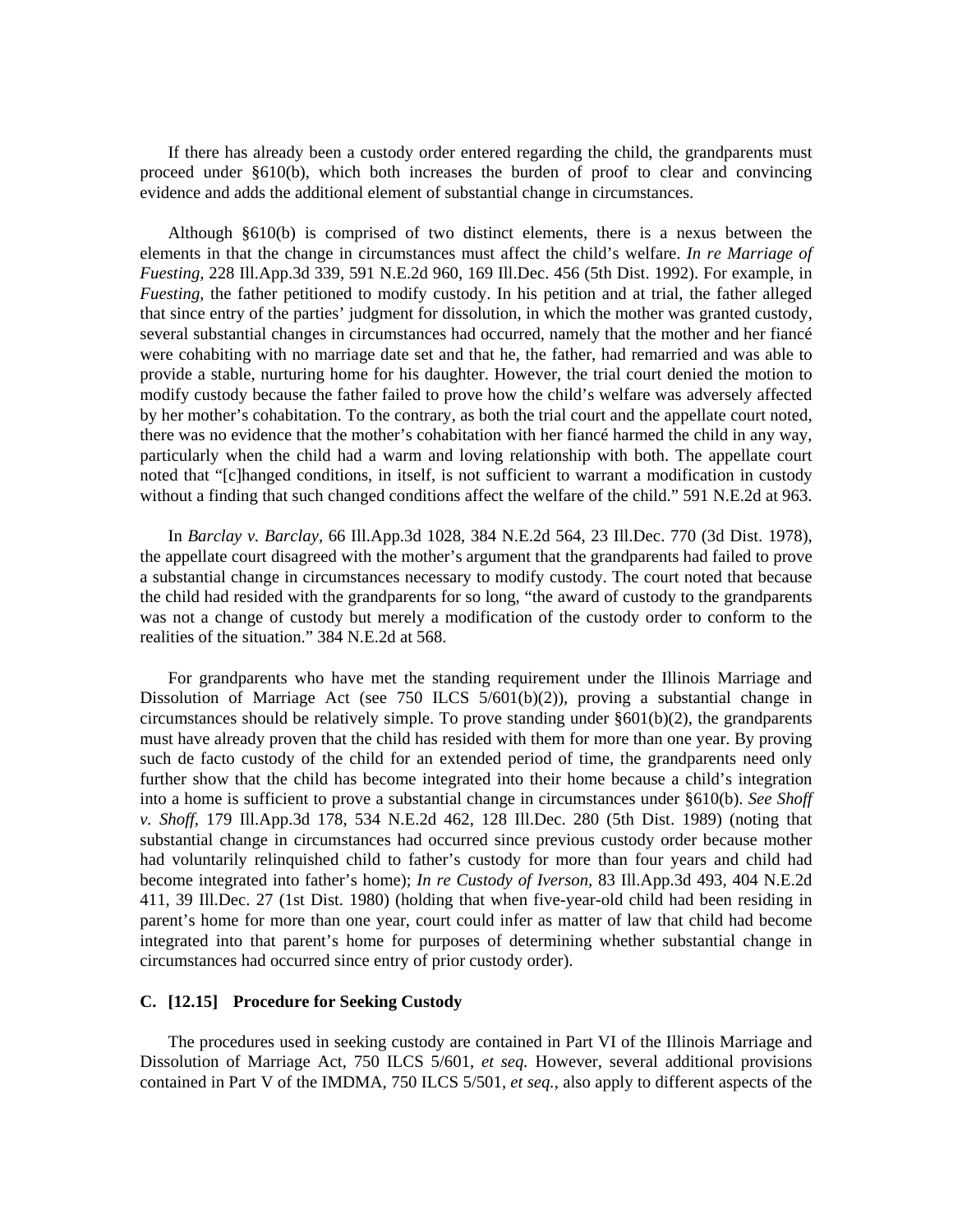If there has already been a custody order entered regarding the child, the grandparents must proceed under §610(b), which both increases the burden of proof to clear and convincing evidence and adds the additional element of substantial change in circumstances.

 Although §610(b) is comprised of two distinct elements, there is a nexus between the elements in that the change in circumstances must affect the child's welfare. *In re Marriage of Fuesting,* 228 Ill.App.3d 339, 591 N.E.2d 960, 169 Ill.Dec. 456 (5th Dist. 1992). For example, in *Fuesting,* the father petitioned to modify custody. In his petition and at trial, the father alleged that since entry of the parties' judgment for dissolution, in which the mother was granted custody, several substantial changes in circumstances had occurred, namely that the mother and her fiancé were cohabiting with no marriage date set and that he, the father, had remarried and was able to provide a stable, nurturing home for his daughter. However, the trial court denied the motion to modify custody because the father failed to prove how the child's welfare was adversely affected by her mother's cohabitation. To the contrary, as both the trial court and the appellate court noted, there was no evidence that the mother's cohabitation with her fiancé harmed the child in any way, particularly when the child had a warm and loving relationship with both. The appellate court noted that "[c]hanged conditions, in itself, is not sufficient to warrant a modification in custody without a finding that such changed conditions affect the welfare of the child." 591 N.E.2d at 963.

 In *Barclay v. Barclay,* 66 Ill.App.3d 1028, 384 N.E.2d 564, 23 Ill.Dec. 770 (3d Dist. 1978), the appellate court disagreed with the mother's argument that the grandparents had failed to prove a substantial change in circumstances necessary to modify custody. The court noted that because the child had resided with the grandparents for so long, "the award of custody to the grandparents was not a change of custody but merely a modification of the custody order to conform to the realities of the situation." 384 N.E.2d at 568.

 For grandparents who have met the standing requirement under the Illinois Marriage and Dissolution of Marriage Act (see 750 ILCS 5/601(b)(2)), proving a substantial change in circumstances should be relatively simple. To prove standing under §601(b)(2), the grandparents must have already proven that the child has resided with them for more than one year. By proving such de facto custody of the child for an extended period of time, the grandparents need only further show that the child has become integrated into their home because a child's integration into a home is sufficient to prove a substantial change in circumstances under §610(b). *See Shoff v. Shoff,* 179 Ill.App.3d 178, 534 N.E.2d 462, 128 Ill.Dec. 280 (5th Dist. 1989) (noting that substantial change in circumstances had occurred since previous custody order because mother had voluntarily relinquished child to father's custody for more than four years and child had become integrated into father's home); *In re Custody of Iverson,* 83 Ill.App.3d 493, 404 N.E.2d 411, 39 Ill.Dec. 27 (1st Dist. 1980) (holding that when five-year-old child had been residing in parent's home for more than one year, court could infer as matter of law that child had become integrated into that parent's home for purposes of determining whether substantial change in circumstances had occurred since entry of prior custody order).

#### **C. [12.15] Procedure for Seeking Custody**

 The procedures used in seeking custody are contained in Part VI of the Illinois Marriage and Dissolution of Marriage Act, 750 ILCS 5/601, *et seq.* However, several additional provisions contained in Part V of the IMDMA, 750 ILCS 5/501, *et seq.*, also apply to different aspects of the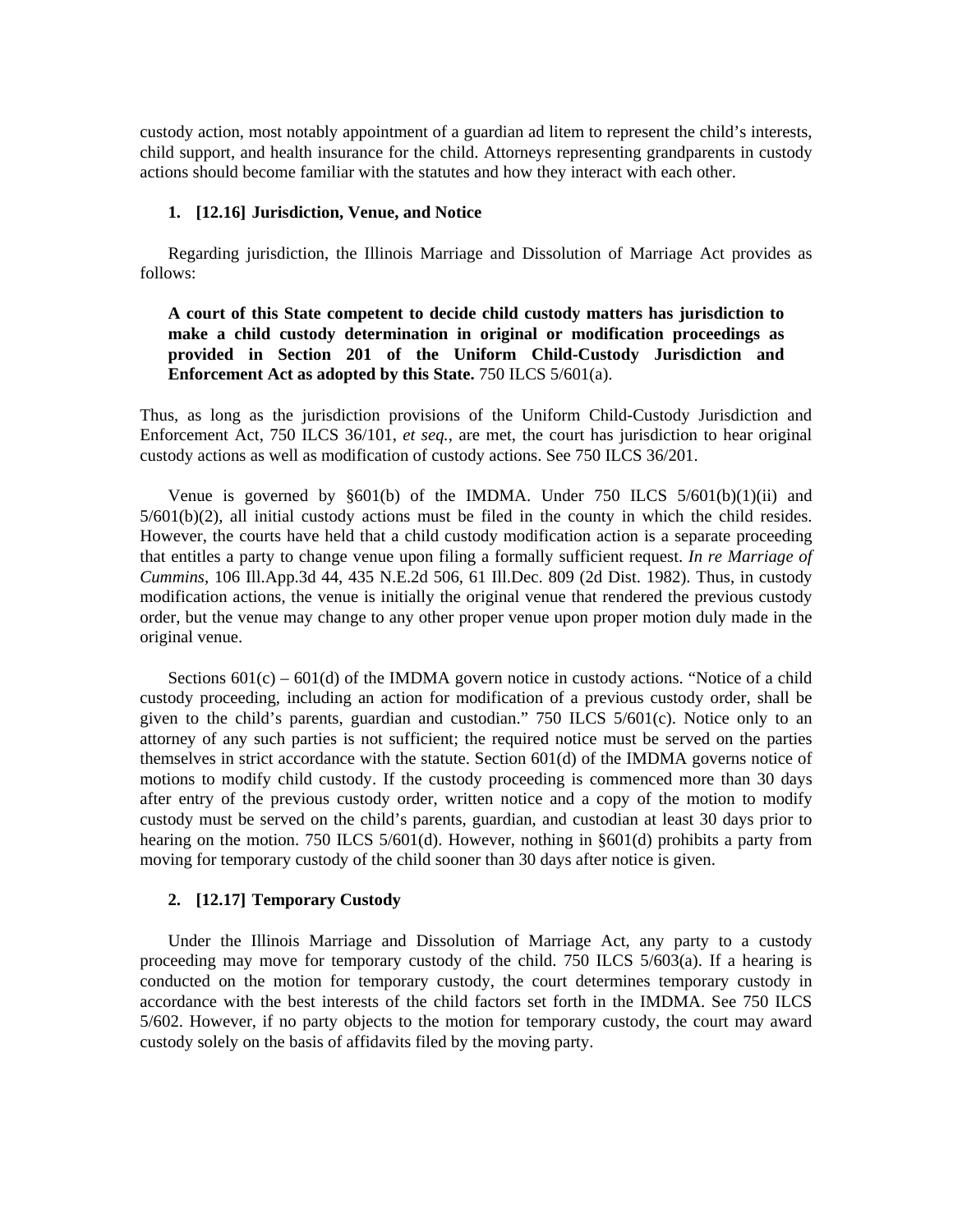custody action, most notably appointment of a guardian ad litem to represent the child's interests, child support, and health insurance for the child. Attorneys representing grandparents in custody actions should become familiar with the statutes and how they interact with each other.

#### **1. [12.16] Jurisdiction, Venue, and Notice**

 Regarding jurisdiction, the Illinois Marriage and Dissolution of Marriage Act provides as follows:

 **A court of this State competent to decide child custody matters has jurisdiction to make a child custody determination in original or modification proceedings as provided in Section 201 of the Uniform Child-Custody Jurisdiction and Enforcement Act as adopted by this State.** 750 ILCS 5/601(a).

Thus, as long as the jurisdiction provisions of the Uniform Child-Custody Jurisdiction and Enforcement Act, 750 ILCS 36/101, *et seq.,* are met, the court has jurisdiction to hear original custody actions as well as modification of custody actions. See 750 ILCS 36/201.

Venue is governed by  $\S 601(b)$  of the IMDMA. Under 750 ILCS  $5/601(b)(1)(ii)$  and 5/601(b)(2), all initial custody actions must be filed in the county in which the child resides. However, the courts have held that a child custody modification action is a separate proceeding that entitles a party to change venue upon filing a formally sufficient request. *In re Marriage of Cummins,* 106 Ill.App.3d 44, 435 N.E.2d 506, 61 Ill.Dec. 809 (2d Dist. 1982). Thus, in custody modification actions, the venue is initially the original venue that rendered the previous custody order, but the venue may change to any other proper venue upon proper motion duly made in the original venue.

Sections  $601(c) - 601(d)$  of the IMDMA govern notice in custody actions. "Notice of a child custody proceeding, including an action for modification of a previous custody order, shall be given to the child's parents, guardian and custodian." 750 ILCS 5/601(c). Notice only to an attorney of any such parties is not sufficient; the required notice must be served on the parties themselves in strict accordance with the statute. Section 601(d) of the IMDMA governs notice of motions to modify child custody. If the custody proceeding is commenced more than 30 days after entry of the previous custody order, written notice and a copy of the motion to modify custody must be served on the child's parents, guardian, and custodian at least 30 days prior to hearing on the motion. 750 ILCS 5/601(d). However, nothing in §601(d) prohibits a party from moving for temporary custody of the child sooner than 30 days after notice is given.

#### **2. [12.17] Temporary Custody**

 Under the Illinois Marriage and Dissolution of Marriage Act, any party to a custody proceeding may move for temporary custody of the child. 750 ILCS 5/603(a). If a hearing is conducted on the motion for temporary custody, the court determines temporary custody in accordance with the best interests of the child factors set forth in the IMDMA. See 750 ILCS 5/602. However, if no party objects to the motion for temporary custody, the court may award custody solely on the basis of affidavits filed by the moving party.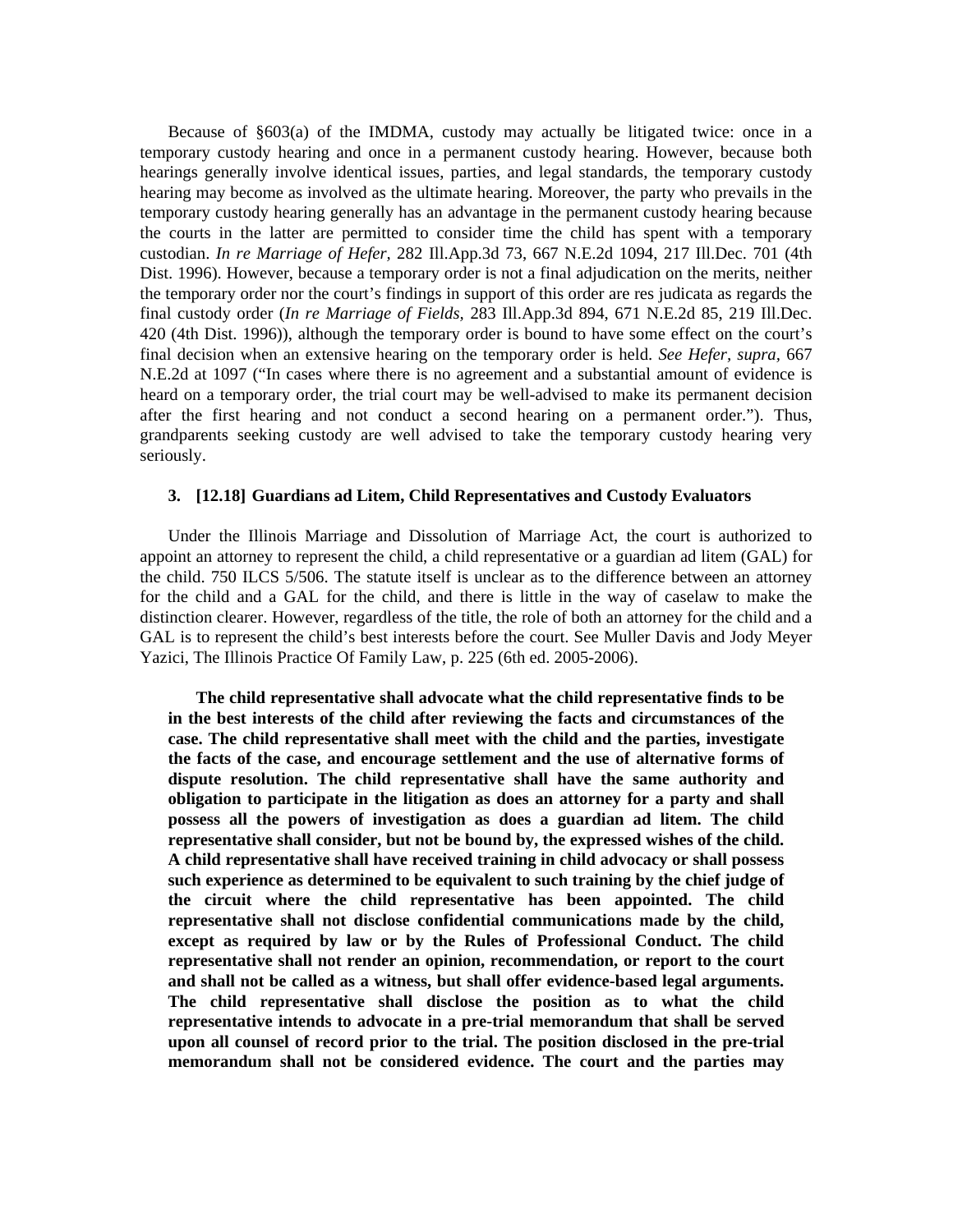Because of §603(a) of the IMDMA, custody may actually be litigated twice: once in a temporary custody hearing and once in a permanent custody hearing. However, because both hearings generally involve identical issues, parties, and legal standards, the temporary custody hearing may become as involved as the ultimate hearing. Moreover, the party who prevails in the temporary custody hearing generally has an advantage in the permanent custody hearing because the courts in the latter are permitted to consider time the child has spent with a temporary custodian. *In re Marriage of Hefer,* 282 Ill.App.3d 73, 667 N.E.2d 1094, 217 Ill.Dec. 701 (4th Dist. 1996). However, because a temporary order is not a final adjudication on the merits, neither the temporary order nor the court's findings in support of this order are res judicata as regards the final custody order (*In re Marriage of Fields,* 283 Ill.App.3d 894, 671 N.E.2d 85, 219 Ill.Dec. 420 (4th Dist. 1996)), although the temporary order is bound to have some effect on the court's final decision when an extensive hearing on the temporary order is held. *See Hefer, supra,* 667 N.E.2d at 1097 ("In cases where there is no agreement and a substantial amount of evidence is heard on a temporary order, the trial court may be well-advised to make its permanent decision after the first hearing and not conduct a second hearing on a permanent order."). Thus, grandparents seeking custody are well advised to take the temporary custody hearing very seriously.

## **3. [12.18] Guardians ad Litem, Child Representatives and Custody Evaluators**

 Under the Illinois Marriage and Dissolution of Marriage Act, the court is authorized to appoint an attorney to represent the child, a child representative or a guardian ad litem (GAL) for the child. 750 ILCS 5/506. The statute itself is unclear as to the difference between an attorney for the child and a GAL for the child, and there is little in the way of caselaw to make the distinction clearer. However, regardless of the title, the role of both an attorney for the child and a GAL is to represent the child's best interests before the court. See Muller Davis and Jody Meyer Yazici, The Illinois Practice Of Family Law, p. 225 (6th ed. 2005-2006).

 **The child representative shall advocate what the child representative finds to be in the best interests of the child after reviewing the facts and circumstances of the case. The child representative shall meet with the child and the parties, investigate the facts of the case, and encourage settlement and the use of alternative forms of dispute resolution. The child representative shall have the same authority and obligation to participate in the litigation as does an attorney for a party and shall possess all the powers of investigation as does a guardian ad litem. The child representative shall consider, but not be bound by, the expressed wishes of the child. A child representative shall have received training in child advocacy or shall possess such experience as determined to be equivalent to such training by the chief judge of the circuit where the child representative has been appointed. The child representative shall not disclose confidential communications made by the child, except as required by law or by the Rules of Professional Conduct. The child representative shall not render an opinion, recommendation, or report to the court and shall not be called as a witness, but shall offer evidence-based legal arguments. The child representative shall disclose the position as to what the child representative intends to advocate in a pre-trial memorandum that shall be served upon all counsel of record prior to the trial. The position disclosed in the pre-trial memorandum shall not be considered evidence. The court and the parties may**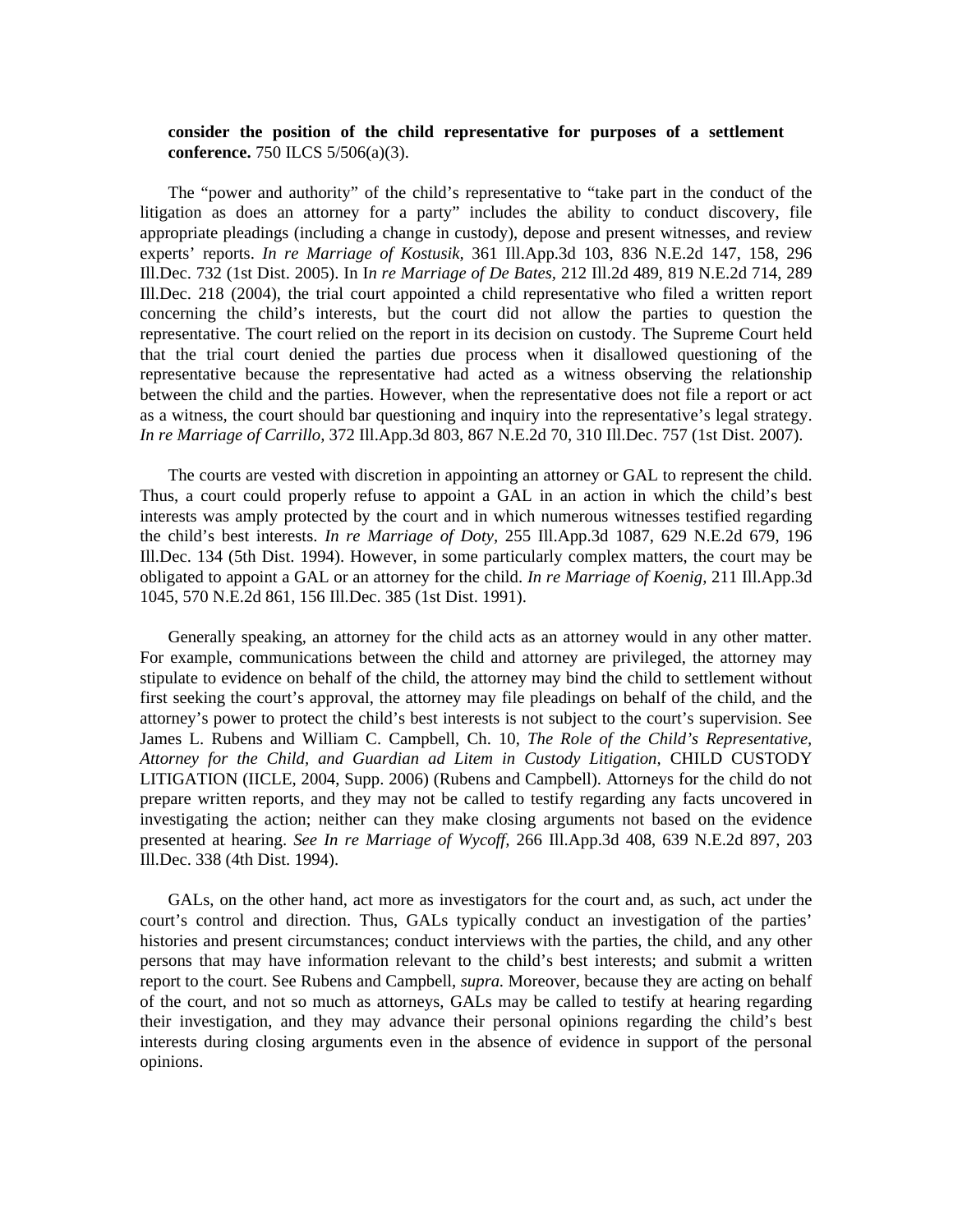### **consider the position of the child representative for purposes of a settlement conference.** 750 ILCS 5/506(a)(3).

 The "power and authority" of the child's representative to "take part in the conduct of the litigation as does an attorney for a party" includes the ability to conduct discovery, file appropriate pleadings (including a change in custody), depose and present witnesses, and review experts' reports. *In re Marriage of Kostusik,* 361 Ill.App.3d 103, 836 N.E.2d 147, 158, 296 Ill.Dec. 732 (1st Dist. 2005). In I*n re Marriage of De Bates,* 212 Ill.2d 489, 819 N.E.2d 714, 289 Ill.Dec. 218 (2004), the trial court appointed a child representative who filed a written report concerning the child's interests, but the court did not allow the parties to question the representative. The court relied on the report in its decision on custody. The Supreme Court held that the trial court denied the parties due process when it disallowed questioning of the representative because the representative had acted as a witness observing the relationship between the child and the parties. However, when the representative does not file a report or act as a witness, the court should bar questioning and inquiry into the representative's legal strategy. *In re Marriage of Carrillo,* 372 Ill.App.3d 803, 867 N.E.2d 70, 310 Ill.Dec. 757 (1st Dist. 2007).

 The courts are vested with discretion in appointing an attorney or GAL to represent the child. Thus, a court could properly refuse to appoint a GAL in an action in which the child's best interests was amply protected by the court and in which numerous witnesses testified regarding the child's best interests. *In re Marriage of Doty,* 255 Ill.App.3d 1087, 629 N.E.2d 679, 196 Ill.Dec. 134 (5th Dist. 1994). However, in some particularly complex matters, the court may be obligated to appoint a GAL or an attorney for the child. *In re Marriage of Koenig,* 211 Ill.App.3d 1045, 570 N.E.2d 861, 156 Ill.Dec. 385 (1st Dist. 1991).

 Generally speaking, an attorney for the child acts as an attorney would in any other matter. For example, communications between the child and attorney are privileged, the attorney may stipulate to evidence on behalf of the child, the attorney may bind the child to settlement without first seeking the court's approval, the attorney may file pleadings on behalf of the child, and the attorney's power to protect the child's best interests is not subject to the court's supervision. See James L. Rubens and William C. Campbell, Ch. 10, *The Role of the Child's Representative, Attorney for the Child, and Guardian ad Litem in Custody Litigation,* CHILD CUSTODY LITIGATION (IICLE, 2004, Supp. 2006) (Rubens and Campbell). Attorneys for the child do not prepare written reports, and they may not be called to testify regarding any facts uncovered in investigating the action; neither can they make closing arguments not based on the evidence presented at hearing. *See In re Marriage of Wycoff,* 266 Ill.App.3d 408, 639 N.E.2d 897, 203 Ill.Dec. 338 (4th Dist. 1994).

 GALs, on the other hand, act more as investigators for the court and, as such, act under the court's control and direction. Thus, GALs typically conduct an investigation of the parties' histories and present circumstances; conduct interviews with the parties, the child, and any other persons that may have information relevant to the child's best interests; and submit a written report to the court. See Rubens and Campbell, *supra.* Moreover, because they are acting on behalf of the court, and not so much as attorneys, GALs may be called to testify at hearing regarding their investigation, and they may advance their personal opinions regarding the child's best interests during closing arguments even in the absence of evidence in support of the personal opinions.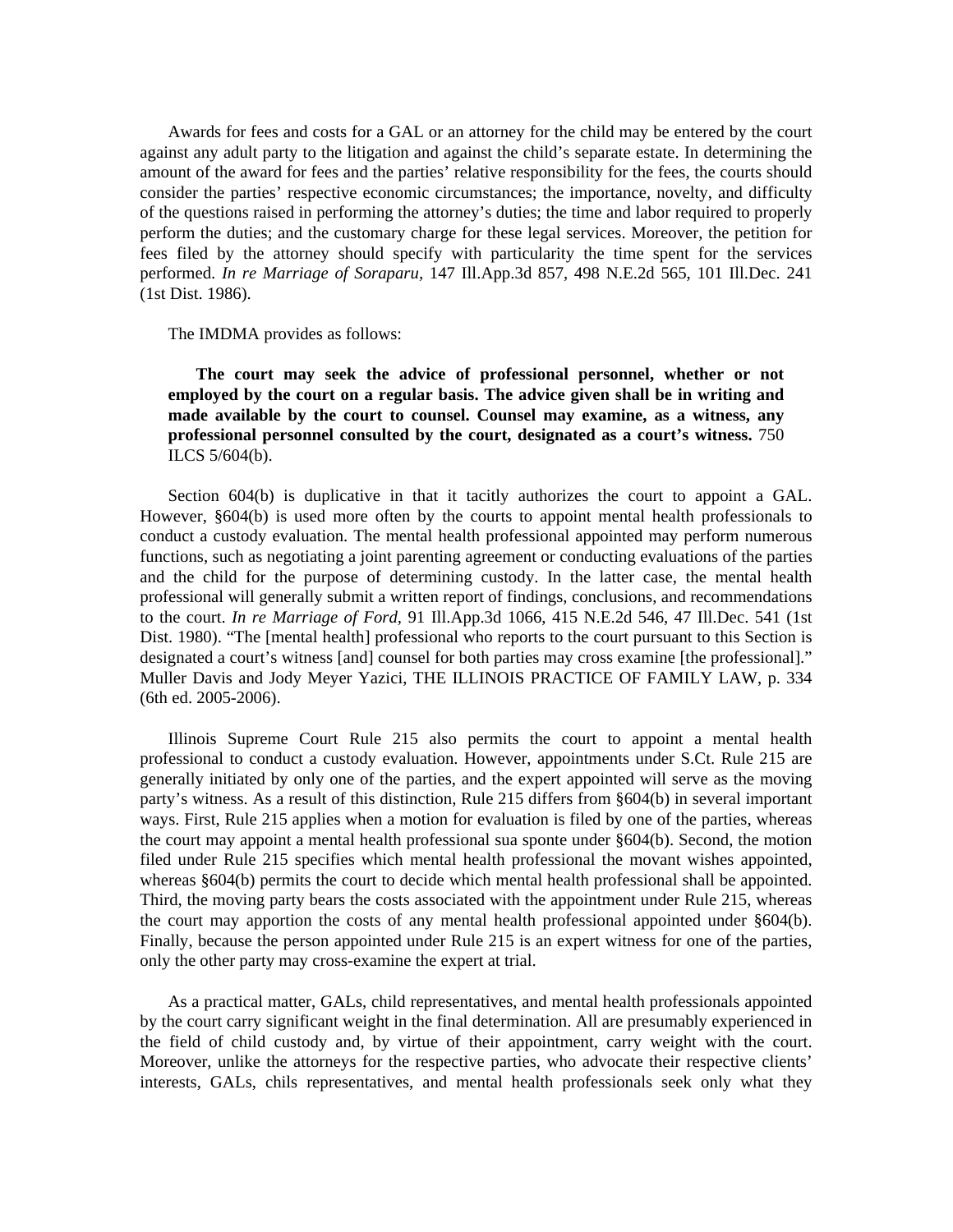Awards for fees and costs for a GAL or an attorney for the child may be entered by the court against any adult party to the litigation and against the child's separate estate. In determining the amount of the award for fees and the parties' relative responsibility for the fees, the courts should consider the parties' respective economic circumstances; the importance, novelty, and difficulty of the questions raised in performing the attorney's duties; the time and labor required to properly perform the duties; and the customary charge for these legal services. Moreover, the petition for fees filed by the attorney should specify with particularity the time spent for the services performed. *In re Marriage of Soraparu,* 147 Ill.App.3d 857, 498 N.E.2d 565, 101 Ill.Dec. 241 (1st Dist. 1986).

The IMDMA provides as follows:

 **The court may seek the advice of professional personnel, whether or not employed by the court on a regular basis. The advice given shall be in writing and made available by the court to counsel. Counsel may examine, as a witness, any professional personnel consulted by the court, designated as a court's witness.** 750 ILCS 5/604(b).

 Section 604(b) is duplicative in that it tacitly authorizes the court to appoint a GAL. However, §604(b) is used more often by the courts to appoint mental health professionals to conduct a custody evaluation. The mental health professional appointed may perform numerous functions, such as negotiating a joint parenting agreement or conducting evaluations of the parties and the child for the purpose of determining custody. In the latter case, the mental health professional will generally submit a written report of findings, conclusions, and recommendations to the court. *In re Marriage of Ford,* 91 Ill.App.3d 1066, 415 N.E.2d 546, 47 Ill.Dec. 541 (1st Dist. 1980). "The [mental health] professional who reports to the court pursuant to this Section is designated a court's witness [and] counsel for both parties may cross examine [the professional]." Muller Davis and Jody Meyer Yazici, THE ILLINOIS PRACTICE OF FAMILY LAW, p. 334 (6th ed. 2005-2006).

 Illinois Supreme Court Rule 215 also permits the court to appoint a mental health professional to conduct a custody evaluation. However, appointments under S.Ct. Rule 215 are generally initiated by only one of the parties, and the expert appointed will serve as the moving party's witness. As a result of this distinction, Rule 215 differs from §604(b) in several important ways. First, Rule 215 applies when a motion for evaluation is filed by one of the parties, whereas the court may appoint a mental health professional sua sponte under §604(b). Second, the motion filed under Rule 215 specifies which mental health professional the movant wishes appointed, whereas §604(b) permits the court to decide which mental health professional shall be appointed. Third, the moving party bears the costs associated with the appointment under Rule 215, whereas the court may apportion the costs of any mental health professional appointed under §604(b). Finally, because the person appointed under Rule 215 is an expert witness for one of the parties, only the other party may cross-examine the expert at trial.

 As a practical matter, GALs, child representatives, and mental health professionals appointed by the court carry significant weight in the final determination. All are presumably experienced in the field of child custody and, by virtue of their appointment, carry weight with the court. Moreover, unlike the attorneys for the respective parties, who advocate their respective clients' interests, GALs, chils representatives, and mental health professionals seek only what they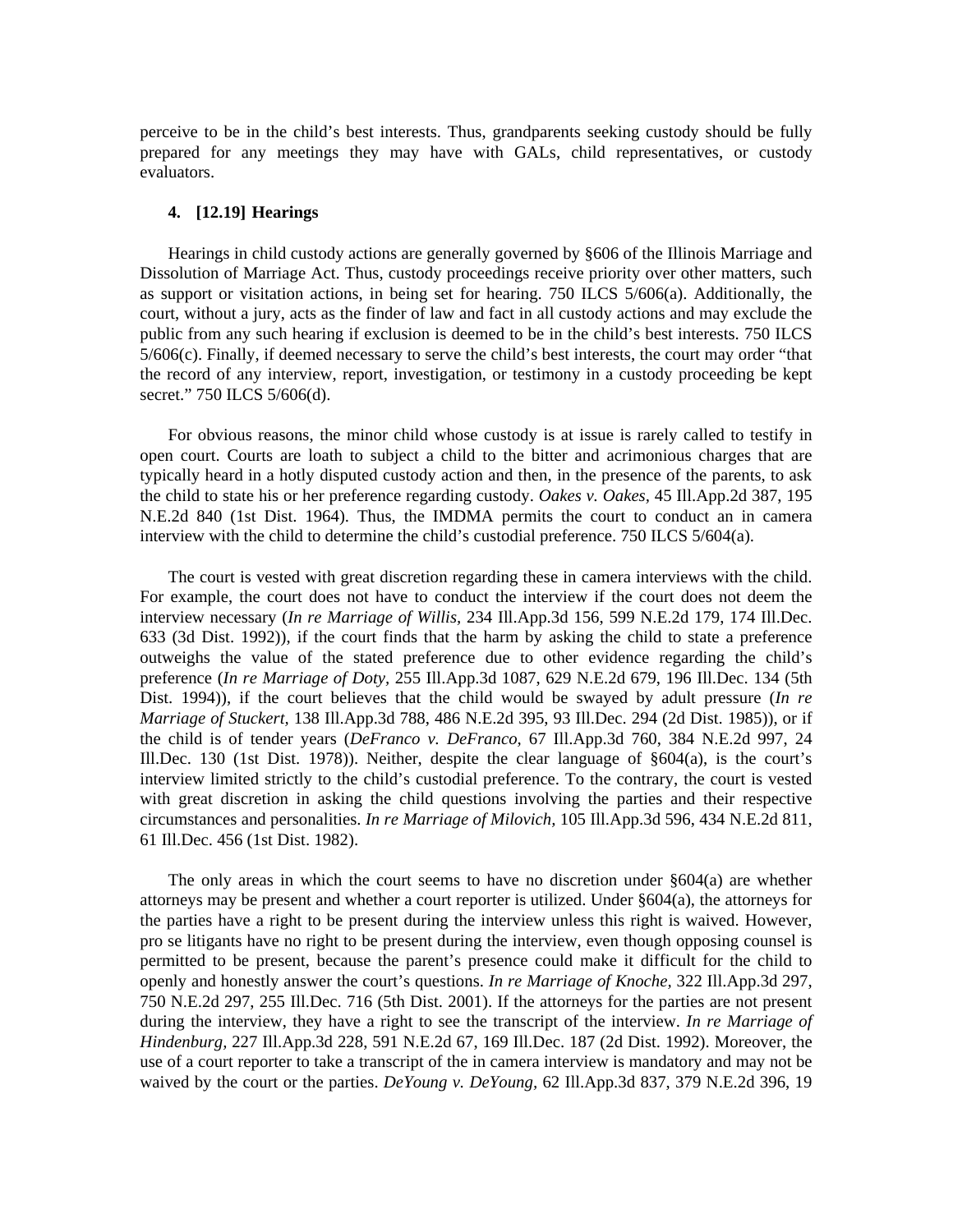perceive to be in the child's best interests. Thus, grandparents seeking custody should be fully prepared for any meetings they may have with GALs, child representatives, or custody evaluators.

# **4. [12.19] Hearings**

 Hearings in child custody actions are generally governed by §606 of the Illinois Marriage and Dissolution of Marriage Act. Thus, custody proceedings receive priority over other matters, such as support or visitation actions, in being set for hearing. 750 ILCS 5/606(a). Additionally, the court, without a jury, acts as the finder of law and fact in all custody actions and may exclude the public from any such hearing if exclusion is deemed to be in the child's best interests. 750 ILCS 5/606(c). Finally, if deemed necessary to serve the child's best interests, the court may order "that the record of any interview, report, investigation, or testimony in a custody proceeding be kept secret." 750 ILCS 5/606(d).

 For obvious reasons, the minor child whose custody is at issue is rarely called to testify in open court. Courts are loath to subject a child to the bitter and acrimonious charges that are typically heard in a hotly disputed custody action and then, in the presence of the parents, to ask the child to state his or her preference regarding custody. *Oakes v. Oakes,* 45 Ill.App.2d 387, 195 N.E.2d 840 (1st Dist. 1964). Thus, the IMDMA permits the court to conduct an in camera interview with the child to determine the child's custodial preference. 750 ILCS 5/604(a).

 The court is vested with great discretion regarding these in camera interviews with the child. For example, the court does not have to conduct the interview if the court does not deem the interview necessary (*In re Marriage of Willis,* 234 Ill.App.3d 156, 599 N.E.2d 179, 174 Ill.Dec. 633 (3d Dist. 1992)), if the court finds that the harm by asking the child to state a preference outweighs the value of the stated preference due to other evidence regarding the child's preference (*In re Marriage of Doty,* 255 Ill.App.3d 1087, 629 N.E.2d 679, 196 Ill.Dec. 134 (5th Dist. 1994)), if the court believes that the child would be swayed by adult pressure (*In re Marriage of Stuckert,* 138 Ill.App.3d 788, 486 N.E.2d 395, 93 Ill.Dec. 294 (2d Dist. 1985)), or if the child is of tender years (*DeFranco v. DeFranco,* 67 Ill.App.3d 760, 384 N.E.2d 997, 24 Ill.Dec. 130 (1st Dist. 1978)). Neither, despite the clear language of  $\S604(a)$ , is the court's interview limited strictly to the child's custodial preference. To the contrary, the court is vested with great discretion in asking the child questions involving the parties and their respective circumstances and personalities. *In re Marriage of Milovich,* 105 Ill.App.3d 596, 434 N.E.2d 811, 61 Ill.Dec. 456 (1st Dist. 1982).

The only areas in which the court seems to have no discretion under  $§604(a)$  are whether attorneys may be present and whether a court reporter is utilized. Under §604(a), the attorneys for the parties have a right to be present during the interview unless this right is waived. However, pro se litigants have no right to be present during the interview, even though opposing counsel is permitted to be present, because the parent's presence could make it difficult for the child to openly and honestly answer the court's questions. *In re Marriage of Knoche,* 322 Ill.App.3d 297, 750 N.E.2d 297, 255 Ill.Dec. 716 (5th Dist. 2001). If the attorneys for the parties are not present during the interview, they have a right to see the transcript of the interview. *In re Marriage of Hindenburg,* 227 Ill.App.3d 228, 591 N.E.2d 67, 169 Ill.Dec. 187 (2d Dist. 1992). Moreover, the use of a court reporter to take a transcript of the in camera interview is mandatory and may not be waived by the court or the parties. *DeYoung v. DeYoung,* 62 Ill.App.3d 837, 379 N.E.2d 396, 19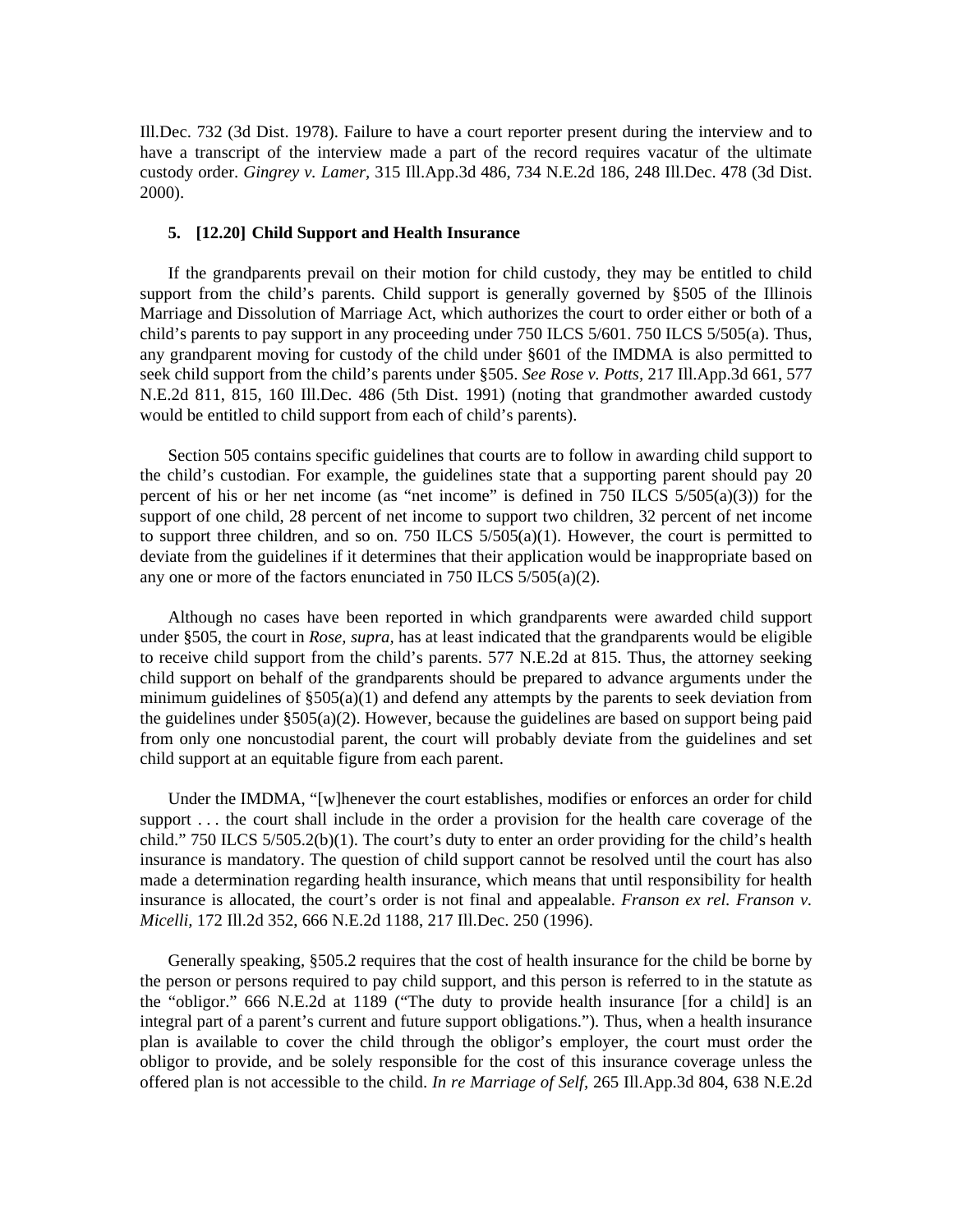Ill.Dec. 732 (3d Dist. 1978). Failure to have a court reporter present during the interview and to have a transcript of the interview made a part of the record requires vacatur of the ultimate custody order. *Gingrey v. Lamer,* 315 Ill.App.3d 486, 734 N.E.2d 186, 248 Ill.Dec. 478 (3d Dist. 2000).

# **5. [12.20] Child Support and Health Insurance**

 If the grandparents prevail on their motion for child custody, they may be entitled to child support from the child's parents. Child support is generally governed by §505 of the Illinois Marriage and Dissolution of Marriage Act, which authorizes the court to order either or both of a child's parents to pay support in any proceeding under 750 ILCS 5/601. 750 ILCS 5/505(a). Thus, any grandparent moving for custody of the child under §601 of the IMDMA is also permitted to seek child support from the child's parents under §505. *See Rose v. Potts,* 217 Ill.App.3d 661, 577 N.E.2d 811, 815, 160 Ill.Dec. 486 (5th Dist. 1991) (noting that grandmother awarded custody would be entitled to child support from each of child's parents).

 Section 505 contains specific guidelines that courts are to follow in awarding child support to the child's custodian. For example, the guidelines state that a supporting parent should pay 20 percent of his or her net income (as "net income" is defined in 750 ILCS 5/505(a)(3)) for the support of one child, 28 percent of net income to support two children, 32 percent of net income to support three children, and so on. 750 ILCS  $5/505(a)(1)$ . However, the court is permitted to deviate from the guidelines if it determines that their application would be inappropriate based on any one or more of the factors enunciated in 750 ILCS 5/505(a)(2).

 Although no cases have been reported in which grandparents were awarded child support under §505, the court in *Rose, supra,* has at least indicated that the grandparents would be eligible to receive child support from the child's parents. 577 N.E.2d at 815. Thus, the attorney seeking child support on behalf of the grandparents should be prepared to advance arguments under the minimum guidelines of  $\S 505(a)(1)$  and defend any attempts by the parents to seek deviation from the guidelines under §505(a)(2). However, because the guidelines are based on support being paid from only one noncustodial parent, the court will probably deviate from the guidelines and set child support at an equitable figure from each parent.

 Under the IMDMA, "[w]henever the court establishes, modifies or enforces an order for child support ... the court shall include in the order a provision for the health care coverage of the child." 750 ILCS 5/505.2(b)(1). The court's duty to enter an order providing for the child's health insurance is mandatory. The question of child support cannot be resolved until the court has also made a determination regarding health insurance, which means that until responsibility for health insurance is allocated, the court's order is not final and appealable. *Franson ex rel. Franson v. Micelli,* 172 Ill.2d 352, 666 N.E.2d 1188, 217 Ill.Dec. 250 (1996).

 Generally speaking, §505.2 requires that the cost of health insurance for the child be borne by the person or persons required to pay child support, and this person is referred to in the statute as the "obligor." 666 N.E.2d at 1189 ("The duty to provide health insurance [for a child] is an integral part of a parent's current and future support obligations."). Thus, when a health insurance plan is available to cover the child through the obligor's employer, the court must order the obligor to provide, and be solely responsible for the cost of this insurance coverage unless the offered plan is not accessible to the child. *In re Marriage of Self,* 265 Ill.App.3d 804, 638 N.E.2d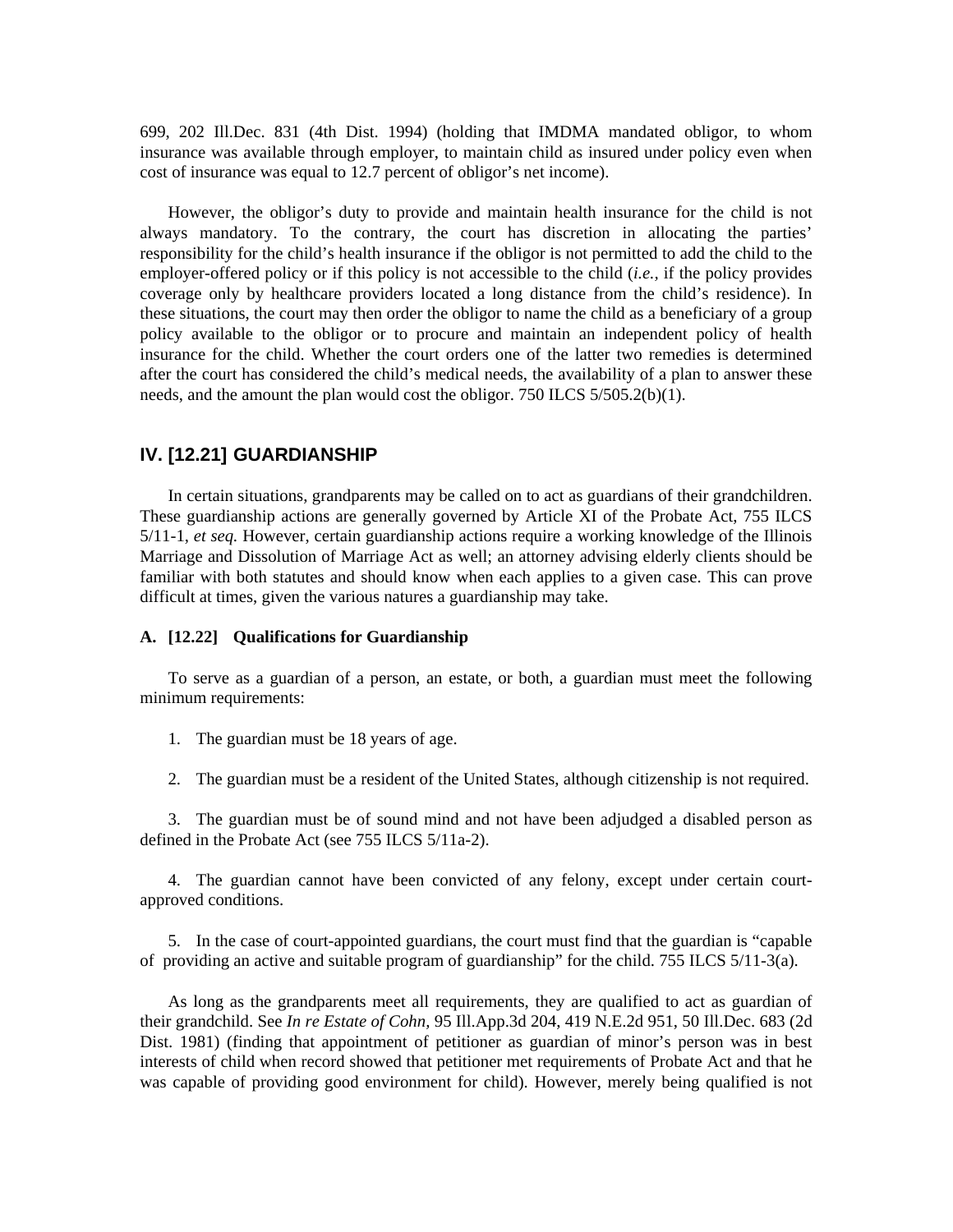699, 202 Ill.Dec. 831 (4th Dist. 1994) (holding that IMDMA mandated obligor, to whom insurance was available through employer, to maintain child as insured under policy even when cost of insurance was equal to 12.7 percent of obligor's net income).

 However, the obligor's duty to provide and maintain health insurance for the child is not always mandatory. To the contrary, the court has discretion in allocating the parties' responsibility for the child's health insurance if the obligor is not permitted to add the child to the employer-offered policy or if this policy is not accessible to the child (*i.e.,* if the policy provides coverage only by healthcare providers located a long distance from the child's residence). In these situations, the court may then order the obligor to name the child as a beneficiary of a group policy available to the obligor or to procure and maintain an independent policy of health insurance for the child. Whether the court orders one of the latter two remedies is determined after the court has considered the child's medical needs, the availability of a plan to answer these needs, and the amount the plan would cost the obligor. 750 ILCS 5/505.2(b)(1).

# **IV. [12.21] GUARDIANSHIP**

 In certain situations, grandparents may be called on to act as guardians of their grandchildren. These guardianship actions are generally governed by Article XI of the Probate Act, 755 ILCS 5/11-1, *et seq.* However, certain guardianship actions require a working knowledge of the Illinois Marriage and Dissolution of Marriage Act as well; an attorney advising elderly clients should be familiar with both statutes and should know when each applies to a given case. This can prove difficult at times, given the various natures a guardianship may take.

#### **A. [12.22] Qualifications for Guardianship**

 To serve as a guardian of a person, an estate, or both, a guardian must meet the following minimum requirements:

1. The guardian must be 18 years of age.

2. The guardian must be a resident of the United States, although citizenship is not required.

 3. The guardian must be of sound mind and not have been adjudged a disabled person as defined in the Probate Act (see 755 ILCS 5/11a-2).

 4. The guardian cannot have been convicted of any felony, except under certain courtapproved conditions.

 5. In the case of court-appointed guardians, the court must find that the guardian is "capable of providing an active and suitable program of guardianship" for the child. 755 ILCS 5/11-3(a).

 As long as the grandparents meet all requirements, they are qualified to act as guardian of their grandchild. See *In re Estate of Cohn,* 95 Ill.App.3d 204, 419 N.E.2d 951, 50 Ill.Dec. 683 (2d Dist. 1981) (finding that appointment of petitioner as guardian of minor's person was in best interests of child when record showed that petitioner met requirements of Probate Act and that he was capable of providing good environment for child). However, merely being qualified is not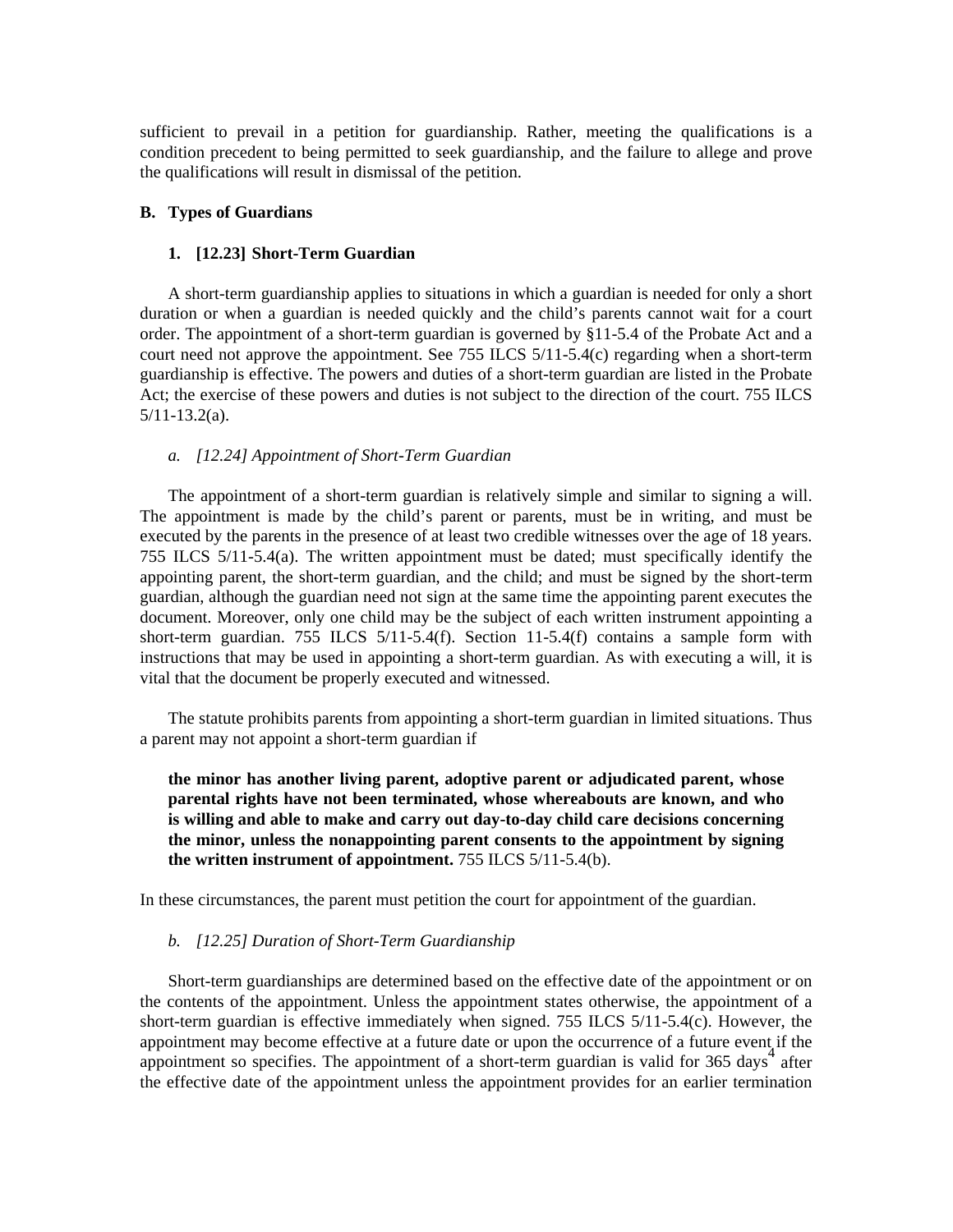sufficient to prevail in a petition for guardianship. Rather, meeting the qualifications is a condition precedent to being permitted to seek guardianship, and the failure to allege and prove the qualifications will result in dismissal of the petition.

# **B. Types of Guardians**

# **1. [12.23] Short-Term Guardian**

 A short-term guardianship applies to situations in which a guardian is needed for only a short duration or when a guardian is needed quickly and the child's parents cannot wait for a court order. The appointment of a short-term guardian is governed by §11-5.4 of the Probate Act and a court need not approve the appointment. See 755 ILCS  $5/11-5.4(c)$  regarding when a short-term guardianship is effective. The powers and duties of a short-term guardian are listed in the Probate Act; the exercise of these powers and duties is not subject to the direction of the court. 755 ILCS 5/11-13.2(a).

# *a. [12.24] Appointment of Short-Term Guardian*

 The appointment of a short-term guardian is relatively simple and similar to signing a will. The appointment is made by the child's parent or parents, must be in writing, and must be executed by the parents in the presence of at least two credible witnesses over the age of 18 years. 755 ILCS 5/11-5.4(a). The written appointment must be dated; must specifically identify the appointing parent, the short-term guardian, and the child; and must be signed by the short-term guardian, although the guardian need not sign at the same time the appointing parent executes the document. Moreover, only one child may be the subject of each written instrument appointing a short-term guardian. 755 ILCS  $5/11-5.4(f)$ . Section 11-5.4(f) contains a sample form with instructions that may be used in appointing a short-term guardian. As with executing a will, it is vital that the document be properly executed and witnessed.

 The statute prohibits parents from appointing a short-term guardian in limited situations. Thus a parent may not appoint a short-term guardian if

**the minor has another living parent, adoptive parent or adjudicated parent, whose parental rights have not been terminated, whose whereabouts are known, and who is willing and able to make and carry out day-to-day child care decisions concerning the minor, unless the nonappointing parent consents to the appointment by signing the written instrument of appointment.** 755 ILCS 5/11-5.4(b).

In these circumstances, the parent must petition the court for appointment of the guardian.

#### *b. [12.25] Duration of Short-Term Guardianship*

 Short-term guardianships are determined based on the effective date of the appointment or on the contents of the appointment. Unless the appointment states otherwise, the appointment of a short-term guardian is effective immediately when signed. 755 ILCS  $5/11-5.4(c)$ . However, the appointment may become effective at a future date or upon the occurrence of a future event if the appointment so specifies. The appointment of a short-term guardian is valid for  $365 \text{ days}^4$  after the effective date of the appointment unless the appointment provides for an earlier termination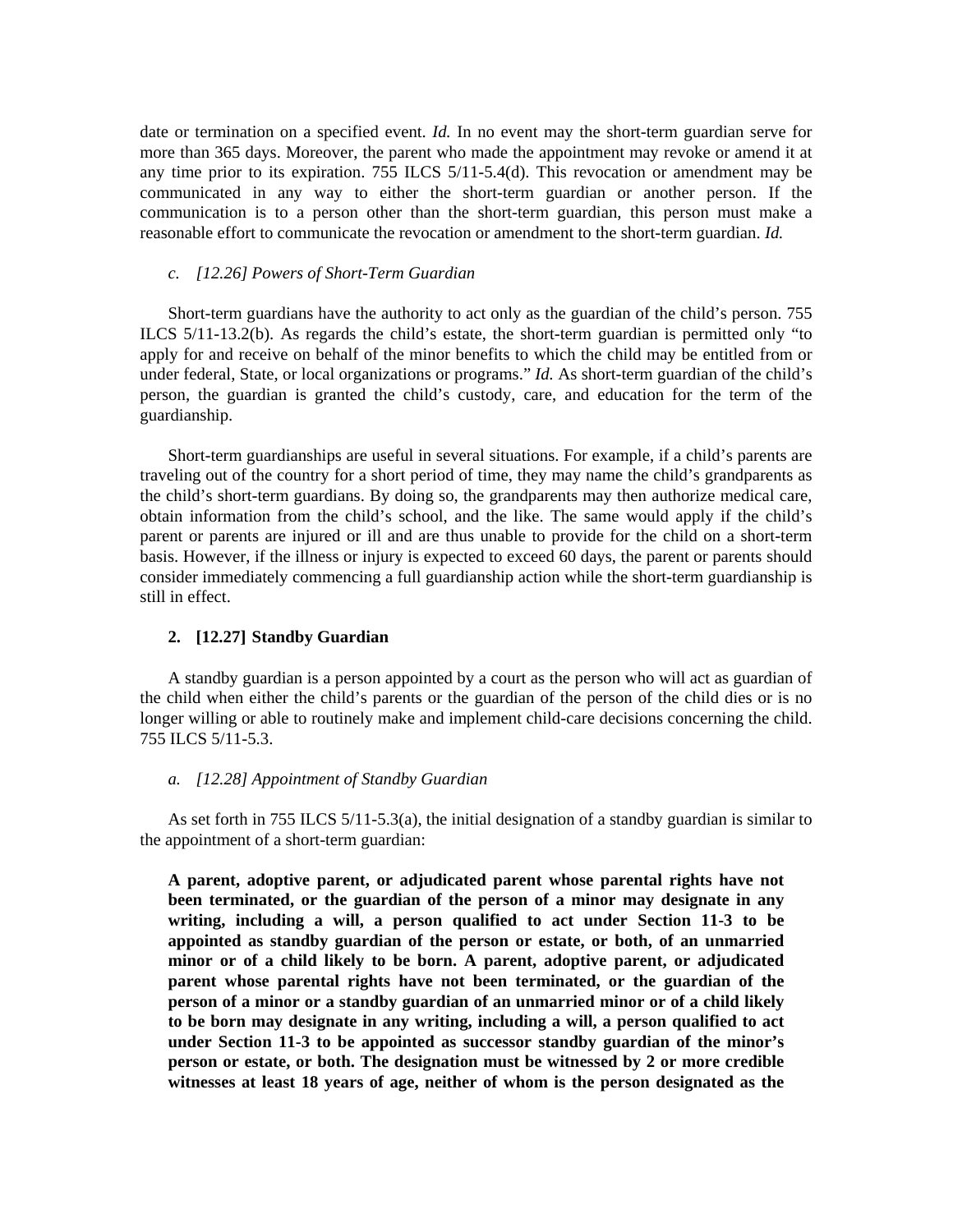date or termination on a specified event. *Id.* In no event may the short-term guardian serve for more than 365 days. Moreover, the parent who made the appointment may revoke or amend it at any time prior to its expiration. 755 ILCS 5/11-5.4(d). This revocation or amendment may be communicated in any way to either the short-term guardian or another person. If the communication is to a person other than the short-term guardian, this person must make a reasonable effort to communicate the revocation or amendment to the short-term guardian. *Id.* 

#### *c. [12.26] Powers of Short-Term Guardian*

 Short-term guardians have the authority to act only as the guardian of the child's person. 755 ILCS 5/11-13.2(b). As regards the child's estate, the short-term guardian is permitted only "to apply for and receive on behalf of the minor benefits to which the child may be entitled from or under federal, State, or local organizations or programs." *Id.* As short-term guardian of the child's person, the guardian is granted the child's custody, care, and education for the term of the guardianship.

 Short-term guardianships are useful in several situations. For example, if a child's parents are traveling out of the country for a short period of time, they may name the child's grandparents as the child's short-term guardians. By doing so, the grandparents may then authorize medical care, obtain information from the child's school, and the like. The same would apply if the child's parent or parents are injured or ill and are thus unable to provide for the child on a short-term basis. However, if the illness or injury is expected to exceed 60 days, the parent or parents should consider immediately commencing a full guardianship action while the short-term guardianship is still in effect.

#### **2. [12.27] Standby Guardian**

 A standby guardian is a person appointed by a court as the person who will act as guardian of the child when either the child's parents or the guardian of the person of the child dies or is no longer willing or able to routinely make and implement child-care decisions concerning the child. 755 ILCS 5/11-5.3.

# *a. [12.28] Appointment of Standby Guardian*

 As set forth in 755 ILCS 5/11-5.3(a), the initial designation of a standby guardian is similar to the appointment of a short-term guardian:

 **A parent, adoptive parent, or adjudicated parent whose parental rights have not been terminated, or the guardian of the person of a minor may designate in any writing, including a will, a person qualified to act under Section 11-3 to be appointed as standby guardian of the person or estate, or both, of an unmarried minor or of a child likely to be born. A parent, adoptive parent, or adjudicated parent whose parental rights have not been terminated, or the guardian of the person of a minor or a standby guardian of an unmarried minor or of a child likely to be born may designate in any writing, including a will, a person qualified to act under Section 11-3 to be appointed as successor standby guardian of the minor's person or estate, or both. The designation must be witnessed by 2 or more credible witnesses at least 18 years of age, neither of whom is the person designated as the**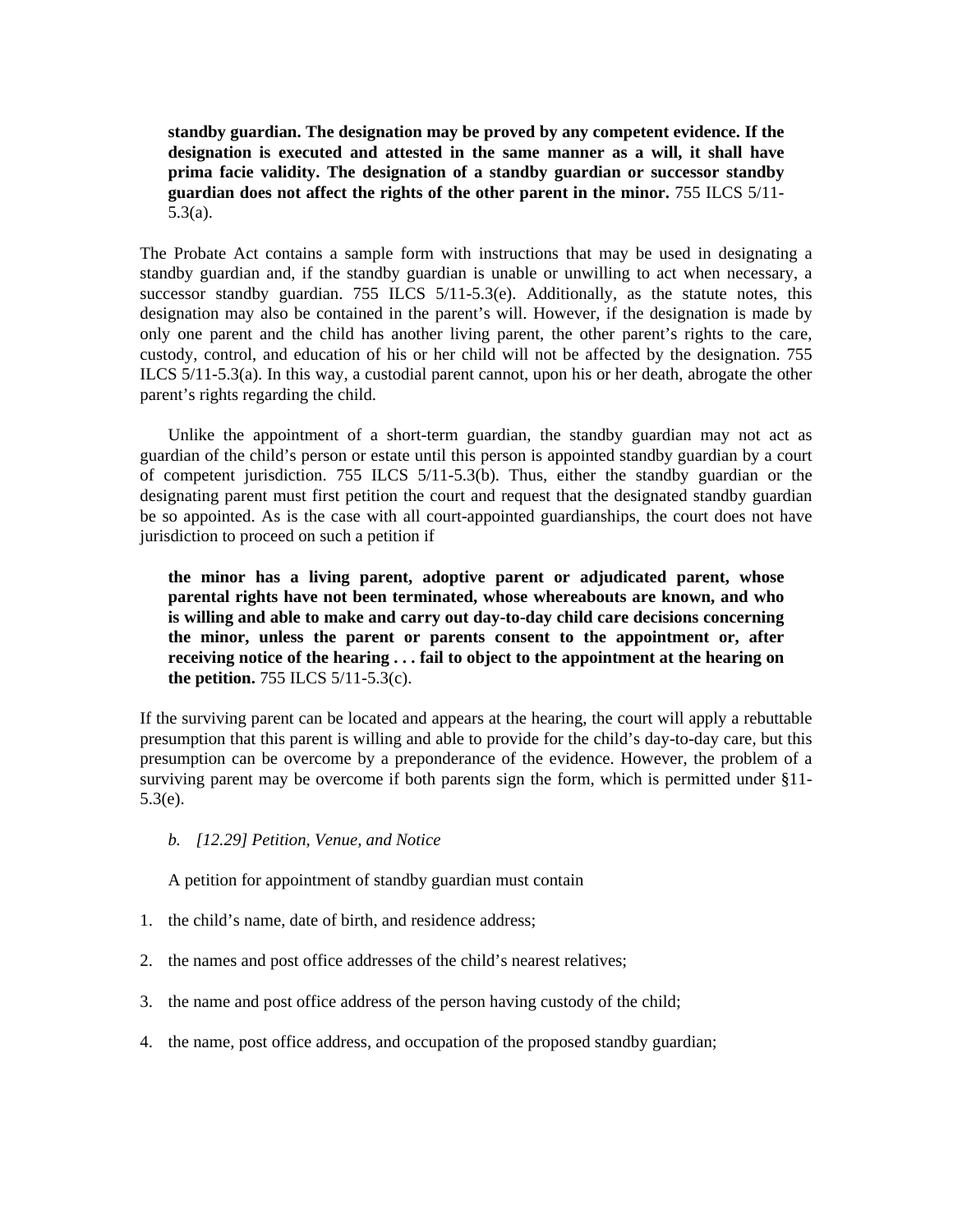**standby guardian. The designation may be proved by any competent evidence. If the designation is executed and attested in the same manner as a will, it shall have prima facie validity. The designation of a standby guardian or successor standby guardian does not affect the rights of the other parent in the minor.** 755 ILCS 5/11- 5.3(a).

The Probate Act contains a sample form with instructions that may be used in designating a standby guardian and, if the standby guardian is unable or unwilling to act when necessary, a successor standby guardian. 755 ILCS  $5/11-5.3$ (e). Additionally, as the statute notes, this designation may also be contained in the parent's will. However, if the designation is made by only one parent and the child has another living parent, the other parent's rights to the care, custody, control, and education of his or her child will not be affected by the designation. 755 ILCS 5/11-5.3(a). In this way, a custodial parent cannot, upon his or her death, abrogate the other parent's rights regarding the child.

 Unlike the appointment of a short-term guardian, the standby guardian may not act as guardian of the child's person or estate until this person is appointed standby guardian by a court of competent jurisdiction. 755 ILCS 5/11-5.3(b). Thus, either the standby guardian or the designating parent must first petition the court and request that the designated standby guardian be so appointed. As is the case with all court-appointed guardianships, the court does not have jurisdiction to proceed on such a petition if

 **the minor has a living parent, adoptive parent or adjudicated parent, whose parental rights have not been terminated, whose whereabouts are known, and who is willing and able to make and carry out day-to-day child care decisions concerning the minor, unless the parent or parents consent to the appointment or, after receiving notice of the hearing . . . fail to object to the appointment at the hearing on the petition.** 755 ILCS 5/11-5.3(c).

If the surviving parent can be located and appears at the hearing, the court will apply a rebuttable presumption that this parent is willing and able to provide for the child's day-to-day care, but this presumption can be overcome by a preponderance of the evidence. However, the problem of a surviving parent may be overcome if both parents sign the form, which is permitted under §11- 5.3(e).

 *b. [12.29] Petition, Venue, and Notice* 

A petition for appointment of standby guardian must contain

- 1. the child's name, date of birth, and residence address;
- 2. the names and post office addresses of the child's nearest relatives;
- 3. the name and post office address of the person having custody of the child;
- 4. the name, post office address, and occupation of the proposed standby guardian;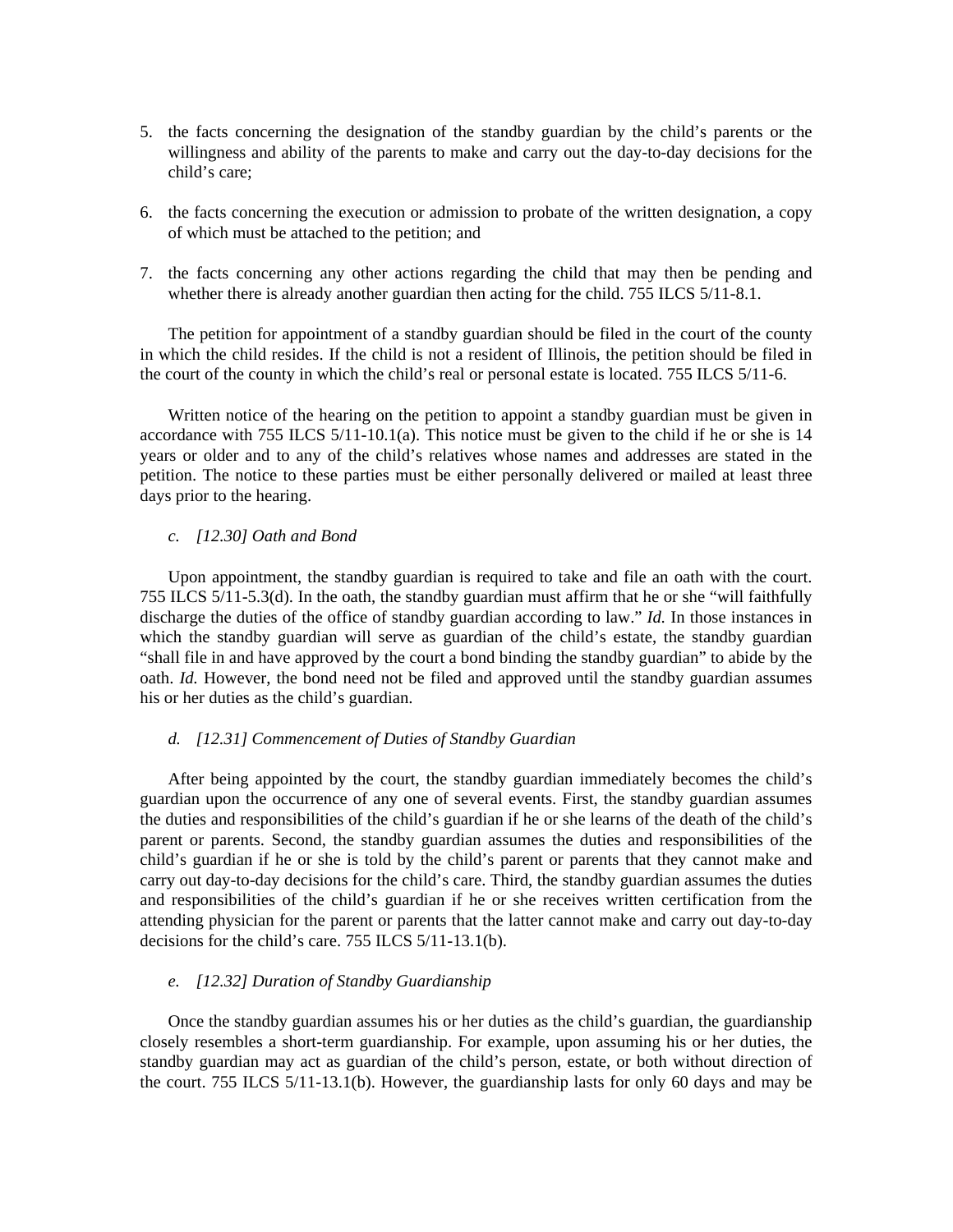- 5. the facts concerning the designation of the standby guardian by the child's parents or the willingness and ability of the parents to make and carry out the day-to-day decisions for the child's care;
- 6. the facts concerning the execution or admission to probate of the written designation, a copy of which must be attached to the petition; and
- 7. the facts concerning any other actions regarding the child that may then be pending and whether there is already another guardian then acting for the child. 755 ILCS 5/11-8.1.

 The petition for appointment of a standby guardian should be filed in the court of the county in which the child resides. If the child is not a resident of Illinois, the petition should be filed in the court of the county in which the child's real or personal estate is located. 755 ILCS 5/11-6.

Written notice of the hearing on the petition to appoint a standby guardian must be given in accordance with 755 ILCS 5/11-10.1(a). This notice must be given to the child if he or she is 14 years or older and to any of the child's relatives whose names and addresses are stated in the petition. The notice to these parties must be either personally delivered or mailed at least three days prior to the hearing.

#### *c. [12.30] Oath and Bond*

 Upon appointment, the standby guardian is required to take and file an oath with the court. 755 ILCS 5/11-5.3(d). In the oath, the standby guardian must affirm that he or she "will faithfully discharge the duties of the office of standby guardian according to law." *Id.* In those instances in which the standby guardian will serve as guardian of the child's estate, the standby guardian "shall file in and have approved by the court a bond binding the standby guardian" to abide by the oath. *Id.* However, the bond need not be filed and approved until the standby guardian assumes his or her duties as the child's guardian.

#### *d. [12.31] Commencement of Duties of Standby Guardian*

 After being appointed by the court, the standby guardian immediately becomes the child's guardian upon the occurrence of any one of several events. First, the standby guardian assumes the duties and responsibilities of the child's guardian if he or she learns of the death of the child's parent or parents. Second, the standby guardian assumes the duties and responsibilities of the child's guardian if he or she is told by the child's parent or parents that they cannot make and carry out day-to-day decisions for the child's care. Third, the standby guardian assumes the duties and responsibilities of the child's guardian if he or she receives written certification from the attending physician for the parent or parents that the latter cannot make and carry out day-to-day decisions for the child's care. 755 ILCS 5/11-13.1(b).

#### *e. [12.32] Duration of Standby Guardianship*

 Once the standby guardian assumes his or her duties as the child's guardian, the guardianship closely resembles a short-term guardianship. For example, upon assuming his or her duties, the standby guardian may act as guardian of the child's person, estate, or both without direction of the court. 755 ILCS 5/11-13.1(b). However, the guardianship lasts for only 60 days and may be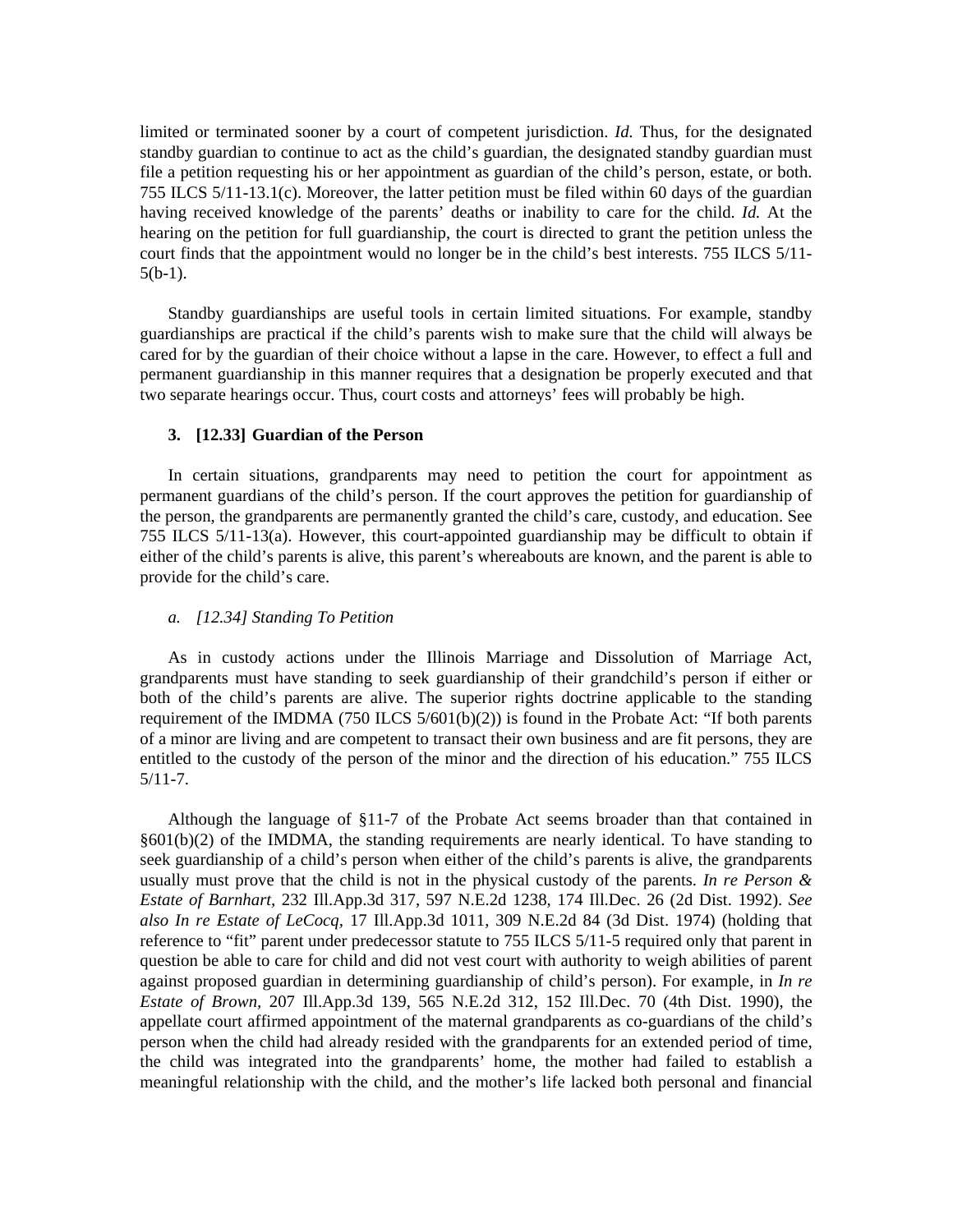limited or terminated sooner by a court of competent jurisdiction. *Id.* Thus, for the designated standby guardian to continue to act as the child's guardian, the designated standby guardian must file a petition requesting his or her appointment as guardian of the child's person, estate, or both. 755 ILCS 5/11-13.1(c). Moreover, the latter petition must be filed within 60 days of the guardian having received knowledge of the parents' deaths or inability to care for the child. *Id.* At the hearing on the petition for full guardianship, the court is directed to grant the petition unless the court finds that the appointment would no longer be in the child's best interests. 755 ILCS 5/11-  $5(b-1)$ .

 Standby guardianships are useful tools in certain limited situations. For example, standby guardianships are practical if the child's parents wish to make sure that the child will always be cared for by the guardian of their choice without a lapse in the care. However, to effect a full and permanent guardianship in this manner requires that a designation be properly executed and that two separate hearings occur. Thus, court costs and attorneys' fees will probably be high.

#### **3. [12.33] Guardian of the Person**

 In certain situations, grandparents may need to petition the court for appointment as permanent guardians of the child's person. If the court approves the petition for guardianship of the person, the grandparents are permanently granted the child's care, custody, and education. See 755 ILCS 5/11-13(a). However, this court-appointed guardianship may be difficult to obtain if either of the child's parents is alive, this parent's whereabouts are known, and the parent is able to provide for the child's care.

#### *a. [12.34] Standing To Petition*

 As in custody actions under the Illinois Marriage and Dissolution of Marriage Act, grandparents must have standing to seek guardianship of their grandchild's person if either or both of the child's parents are alive. The superior rights doctrine applicable to the standing requirement of the IMDMA (750 ILCS  $5/601(b)(2)$ ) is found in the Probate Act: "If both parents of a minor are living and are competent to transact their own business and are fit persons, they are entitled to the custody of the person of the minor and the direction of his education." 755 ILCS 5/11-7.

 Although the language of §11-7 of the Probate Act seems broader than that contained in §601(b)(2) of the IMDMA, the standing requirements are nearly identical. To have standing to seek guardianship of a child's person when either of the child's parents is alive, the grandparents usually must prove that the child is not in the physical custody of the parents. *In re Person & Estate of Barnhart,* 232 Ill.App.3d 317, 597 N.E.2d 1238, 174 Ill.Dec. 26 (2d Dist. 1992). *See also In re Estate of LeCocq,* 17 Ill.App.3d 1011, 309 N.E.2d 84 (3d Dist. 1974) (holding that reference to "fit" parent under predecessor statute to 755 ILCS 5/11-5 required only that parent in question be able to care for child and did not vest court with authority to weigh abilities of parent against proposed guardian in determining guardianship of child's person). For example, in *In re Estate of Brown,* 207 Ill.App.3d 139, 565 N.E.2d 312, 152 Ill.Dec. 70 (4th Dist. 1990), the appellate court affirmed appointment of the maternal grandparents as co-guardians of the child's person when the child had already resided with the grandparents for an extended period of time, the child was integrated into the grandparents' home, the mother had failed to establish a meaningful relationship with the child, and the mother's life lacked both personal and financial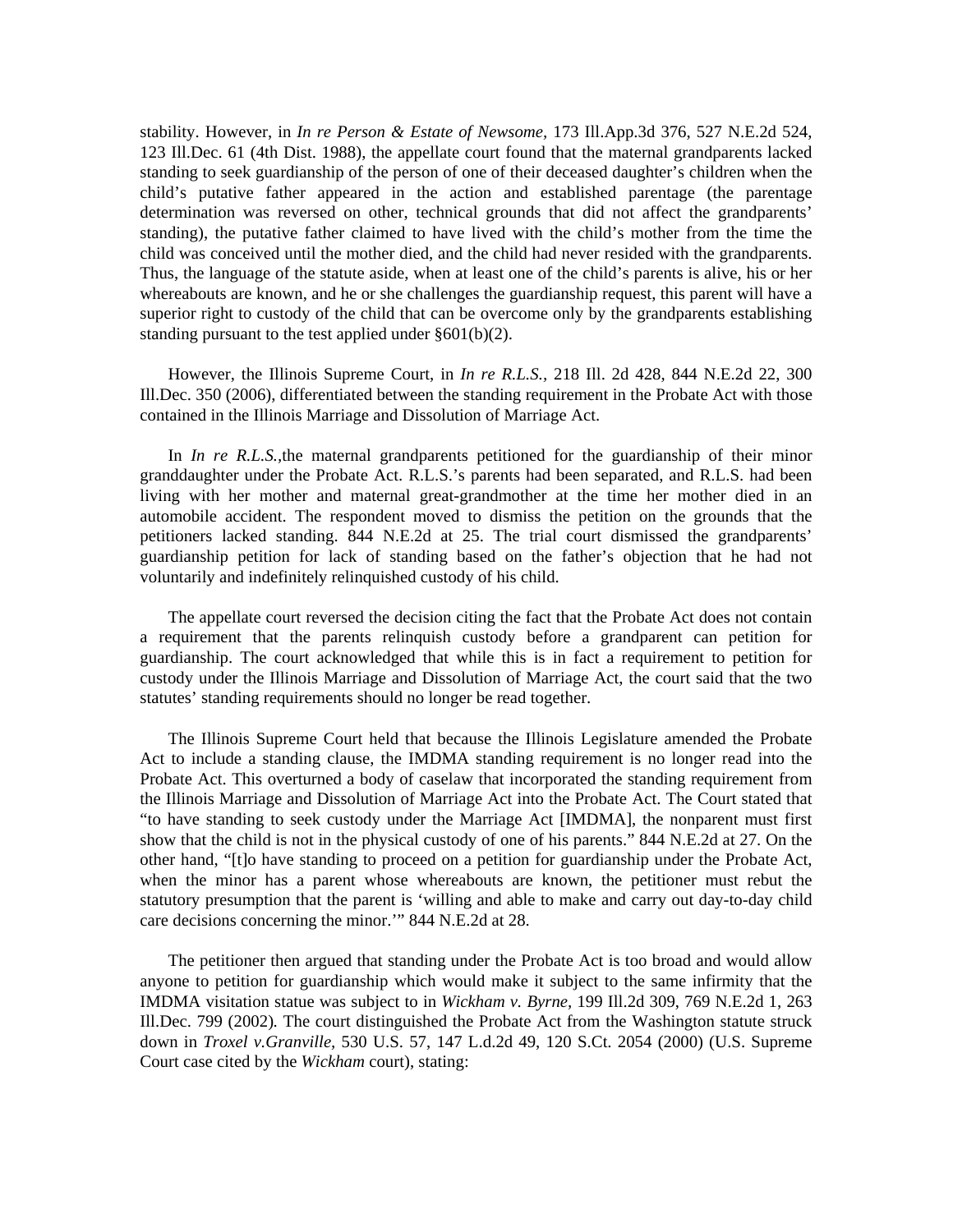stability. However, in *In re Person & Estate of Newsome,* 173 Ill.App.3d 376, 527 N.E.2d 524, 123 Ill.Dec. 61 (4th Dist. 1988), the appellate court found that the maternal grandparents lacked standing to seek guardianship of the person of one of their deceased daughter's children when the child's putative father appeared in the action and established parentage (the parentage determination was reversed on other, technical grounds that did not affect the grandparents' standing), the putative father claimed to have lived with the child's mother from the time the child was conceived until the mother died, and the child had never resided with the grandparents. Thus, the language of the statute aside, when at least one of the child's parents is alive, his or her whereabouts are known, and he or she challenges the guardianship request, this parent will have a superior right to custody of the child that can be overcome only by the grandparents establishing standing pursuant to the test applied under §601(b)(2).

 However, the Illinois Supreme Court, in *In re R.L.S.,* 218 Ill. 2d 428, 844 N.E.2d 22, 300 Ill.Dec. 350 (2006), differentiated between the standing requirement in the Probate Act with those contained in the Illinois Marriage and Dissolution of Marriage Act.

 In *In re R.L.S.,*the maternal grandparents petitioned for the guardianship of their minor granddaughter under the Probate Act. R.L.S.'s parents had been separated, and R.L.S. had been living with her mother and maternal great-grandmother at the time her mother died in an automobile accident. The respondent moved to dismiss the petition on the grounds that the petitioners lacked standing. 844 N.E.2d at 25. The trial court dismissed the grandparents' guardianship petition for lack of standing based on the father's objection that he had not voluntarily and indefinitely relinquished custody of his child.

 The appellate court reversed the decision citing the fact that the Probate Act does not contain a requirement that the parents relinquish custody before a grandparent can petition for guardianship. The court acknowledged that while this is in fact a requirement to petition for custody under the Illinois Marriage and Dissolution of Marriage Act, the court said that the two statutes' standing requirements should no longer be read together.

 The Illinois Supreme Court held that because the Illinois Legislature amended the Probate Act to include a standing clause, the IMDMA standing requirement is no longer read into the Probate Act. This overturned a body of caselaw that incorporated the standing requirement from the Illinois Marriage and Dissolution of Marriage Act into the Probate Act. The Court stated that "to have standing to seek custody under the Marriage Act [IMDMA], the nonparent must first show that the child is not in the physical custody of one of his parents." 844 N.E.2d at 27. On the other hand, "[t]o have standing to proceed on a petition for guardianship under the Probate Act, when the minor has a parent whose whereabouts are known, the petitioner must rebut the statutory presumption that the parent is 'willing and able to make and carry out day-to-day child care decisions concerning the minor.'" 844 N.E.2d at 28.

 The petitioner then argued that standing under the Probate Act is too broad and would allow anyone to petition for guardianship which would make it subject to the same infirmity that the IMDMA visitation statue was subject to in *Wickham v. Byrne,* 199 Ill.2d 309, 769 N.E.2d 1, 263 Ill.Dec. 799 (2002)*.* The court distinguished the Probate Act from the Washington statute struck down in *Troxel v.Granville,* 530 U.S. 57, 147 L.d.2d 49, 120 S.Ct. 2054 (2000) (U.S. Supreme Court case cited by the *Wickham* court), stating: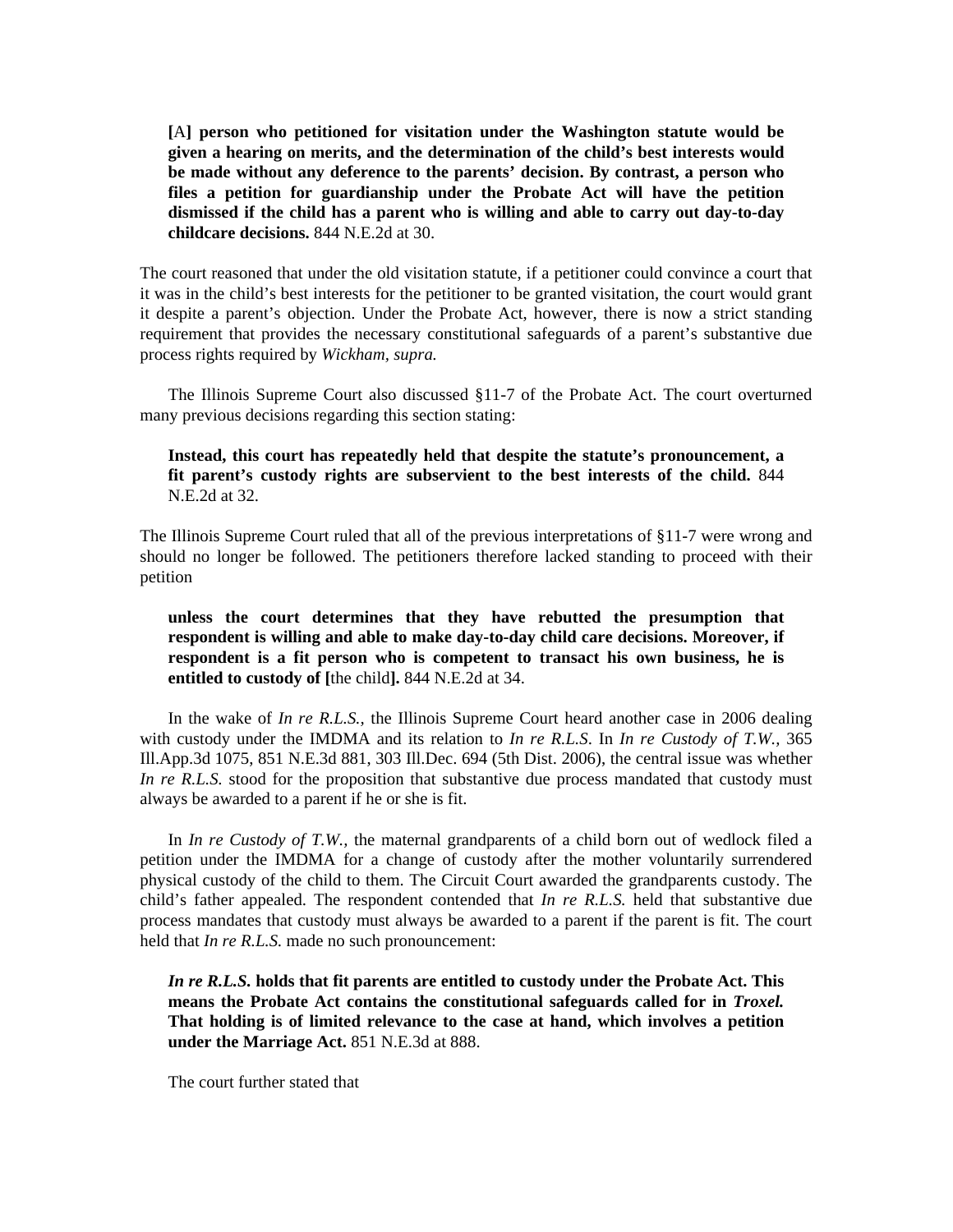**[**A**] person who petitioned for visitation under the Washington statute would be given a hearing on merits, and the determination of the child's best interests would be made without any deference to the parents' decision. By contrast, a person who files a petition for guardianship under the Probate Act will have the petition dismissed if the child has a parent who is willing and able to carry out day-to-day childcare decisions.** 844 N.E.2d at 30.

The court reasoned that under the old visitation statute, if a petitioner could convince a court that it was in the child's best interests for the petitioner to be granted visitation, the court would grant it despite a parent's objection. Under the Probate Act, however, there is now a strict standing requirement that provides the necessary constitutional safeguards of a parent's substantive due process rights required by *Wickham, supra.* 

 The Illinois Supreme Court also discussed §11-7 of the Probate Act. The court overturned many previous decisions regarding this section stating:

**Instead, this court has repeatedly held that despite the statute's pronouncement, a fit parent's custody rights are subservient to the best interests of the child.** 844 N.E.2d at 32.

The Illinois Supreme Court ruled that all of the previous interpretations of §11-7 were wrong and should no longer be followed. The petitioners therefore lacked standing to proceed with their petition

 **unless the court determines that they have rebutted the presumption that respondent is willing and able to make day-to-day child care decisions. Moreover, if respondent is a fit person who is competent to transact his own business, he is entitled to custody of [**the child**].** 844 N.E.2d at 34.

 In the wake of *In re R.L.S.,* the Illinois Supreme Court heard another case in 2006 dealing with custody under the IMDMA and its relation to *In re R.L.S*. In *In re Custody of T.W.,* 365 Ill.App.3d 1075, 851 N.E.3d 881, 303 Ill.Dec. 694 (5th Dist. 2006), the central issue was whether *In re R.L.S.* stood for the proposition that substantive due process mandated that custody must always be awarded to a parent if he or she is fit.

 In *In re Custody of T.W.,* the maternal grandparents of a child born out of wedlock filed a petition under the IMDMA for a change of custody after the mother voluntarily surrendered physical custody of the child to them. The Circuit Court awarded the grandparents custody. The child's father appealed. The respondent contended that *In re R.L.S.* held that substantive due process mandates that custody must always be awarded to a parent if the parent is fit. The court held that *In re R.L.S.* made no such pronouncement:

*In re R.L.S.* **holds that fit parents are entitled to custody under the Probate Act. This means the Probate Act contains the constitutional safeguards called for in** *Troxel.* **That holding is of limited relevance to the case at hand, which involves a petition under the Marriage Act.** 851 N.E.3d at 888.

The court further stated that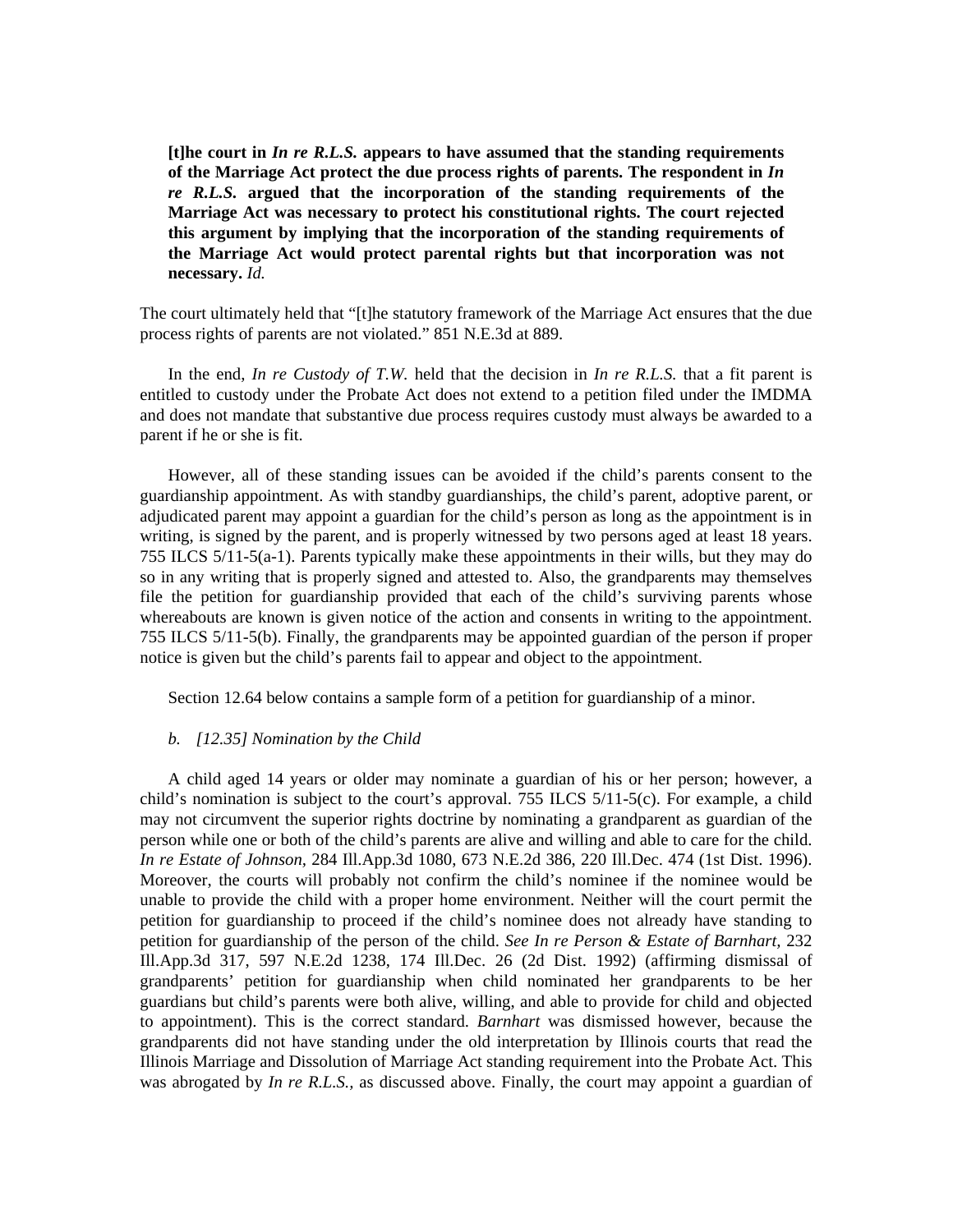**[t]he court in** *In re R.L.S.* **appears to have assumed that the standing requirements of the Marriage Act protect the due process rights of parents. The respondent in** *In re R.L.S.* **argued that the incorporation of the standing requirements of the Marriage Act was necessary to protect his constitutional rights. The court rejected this argument by implying that the incorporation of the standing requirements of the Marriage Act would protect parental rights but that incorporation was not necessary.** *Id.*

The court ultimately held that "[t]he statutory framework of the Marriage Act ensures that the due process rights of parents are not violated." 851 N.E.3d at 889.

 In the end, *In re Custody of T.W.* held that the decision in *In re R.L.S.* that a fit parent is entitled to custody under the Probate Act does not extend to a petition filed under the IMDMA and does not mandate that substantive due process requires custody must always be awarded to a parent if he or she is fit.

 However, all of these standing issues can be avoided if the child's parents consent to the guardianship appointment. As with standby guardianships, the child's parent, adoptive parent, or adjudicated parent may appoint a guardian for the child's person as long as the appointment is in writing, is signed by the parent, and is properly witnessed by two persons aged at least 18 years. 755 ILCS 5/11-5(a-1). Parents typically make these appointments in their wills, but they may do so in any writing that is properly signed and attested to. Also, the grandparents may themselves file the petition for guardianship provided that each of the child's surviving parents whose whereabouts are known is given notice of the action and consents in writing to the appointment. 755 ILCS 5/11-5(b). Finally, the grandparents may be appointed guardian of the person if proper notice is given but the child's parents fail to appear and object to the appointment.

Section 12.64 below contains a sample form of a petition for guardianship of a minor.

#### *b. [12.35] Nomination by the Child*

 A child aged 14 years or older may nominate a guardian of his or her person; however, a child's nomination is subject to the court's approval. 755 ILCS 5/11-5(c). For example, a child may not circumvent the superior rights doctrine by nominating a grandparent as guardian of the person while one or both of the child's parents are alive and willing and able to care for the child. *In re Estate of Johnson,* 284 Ill.App.3d 1080, 673 N.E.2d 386, 220 Ill.Dec. 474 (1st Dist. 1996). Moreover, the courts will probably not confirm the child's nominee if the nominee would be unable to provide the child with a proper home environment. Neither will the court permit the petition for guardianship to proceed if the child's nominee does not already have standing to petition for guardianship of the person of the child. *See In re Person & Estate of Barnhart,* 232 Ill.App.3d 317, 597 N.E.2d 1238, 174 Ill.Dec. 26 (2d Dist. 1992) (affirming dismissal of grandparents' petition for guardianship when child nominated her grandparents to be her guardians but child's parents were both alive, willing, and able to provide for child and objected to appointment). This is the correct standard. *Barnhart* was dismissed however, because the grandparents did not have standing under the old interpretation by Illinois courts that read the Illinois Marriage and Dissolution of Marriage Act standing requirement into the Probate Act. This was abrogated by *In re R.L.S.,* as discussed above. Finally, the court may appoint a guardian of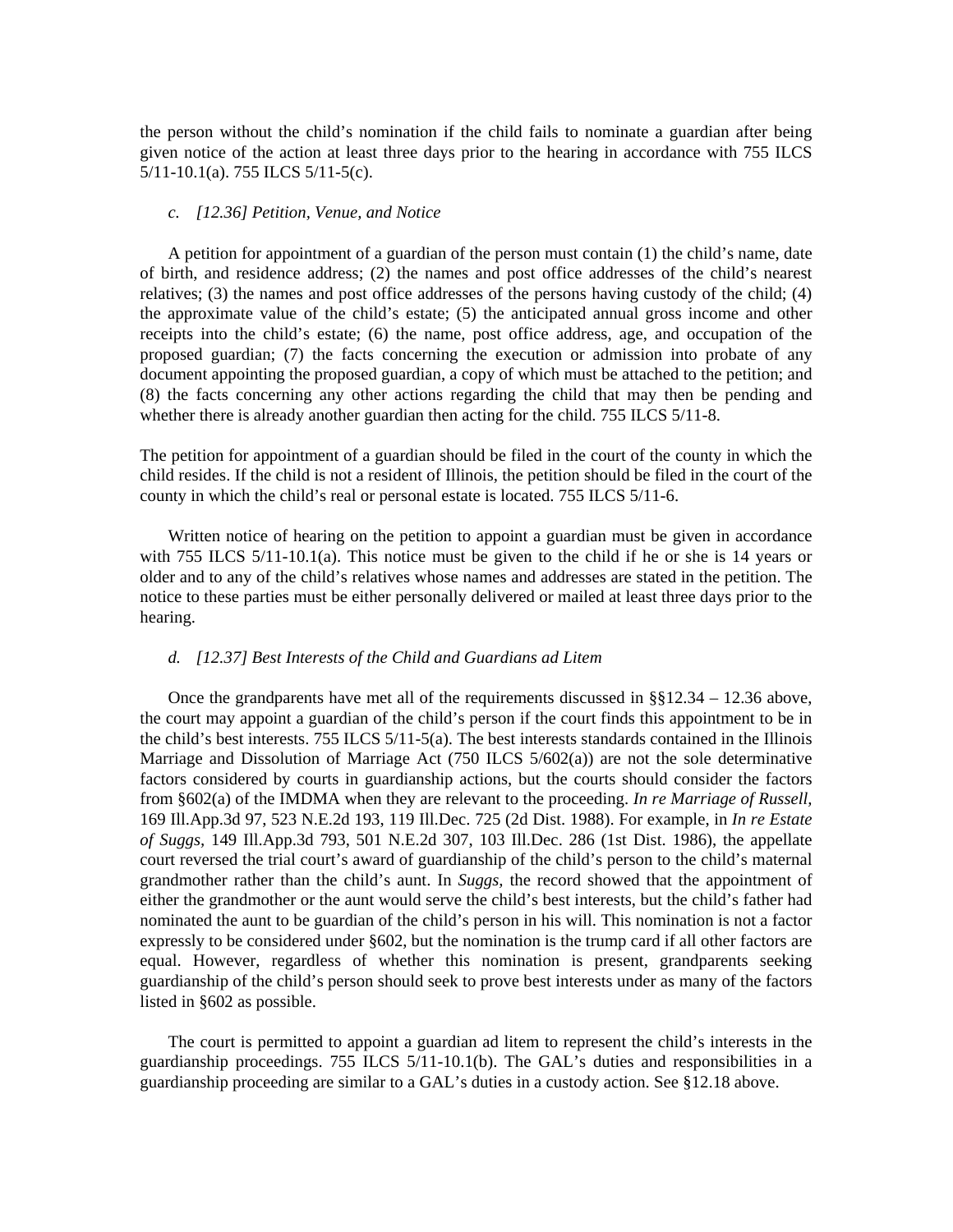the person without the child's nomination if the child fails to nominate a guardian after being given notice of the action at least three days prior to the hearing in accordance with 755 ILCS 5/11-10.1(a). 755 ILCS 5/11-5(c).

#### *c. [12.36] Petition, Venue, and Notice*

 A petition for appointment of a guardian of the person must contain (1) the child's name, date of birth, and residence address; (2) the names and post office addresses of the child's nearest relatives; (3) the names and post office addresses of the persons having custody of the child; (4) the approximate value of the child's estate; (5) the anticipated annual gross income and other receipts into the child's estate; (6) the name, post office address, age, and occupation of the proposed guardian; (7) the facts concerning the execution or admission into probate of any document appointing the proposed guardian, a copy of which must be attached to the petition; and (8) the facts concerning any other actions regarding the child that may then be pending and whether there is already another guardian then acting for the child. 755 ILCS 5/11-8.

The petition for appointment of a guardian should be filed in the court of the county in which the child resides. If the child is not a resident of Illinois, the petition should be filed in the court of the county in which the child's real or personal estate is located. 755 ILCS 5/11-6.

 Written notice of hearing on the petition to appoint a guardian must be given in accordance with 755 ILCS 5/11-10.1(a). This notice must be given to the child if he or she is 14 years or older and to any of the child's relatives whose names and addresses are stated in the petition. The notice to these parties must be either personally delivered or mailed at least three days prior to the hearing.

#### *d. [12.37] Best Interests of the Child and Guardians ad Litem*

 Once the grandparents have met all of the requirements discussed in §§12.34 – 12.36 above, the court may appoint a guardian of the child's person if the court finds this appointment to be in the child's best interests. 755 ILCS 5/11-5(a). The best interests standards contained in the Illinois Marriage and Dissolution of Marriage Act (750 ILCS 5/602(a)) are not the sole determinative factors considered by courts in guardianship actions, but the courts should consider the factors from §602(a) of the IMDMA when they are relevant to the proceeding. *In re Marriage of Russell,*  169 Ill.App.3d 97, 523 N.E.2d 193, 119 Ill.Dec. 725 (2d Dist. 1988). For example, in *In re Estate of Suggs,* 149 Ill.App.3d 793, 501 N.E.2d 307, 103 Ill.Dec. 286 (1st Dist. 1986), the appellate court reversed the trial court's award of guardianship of the child's person to the child's maternal grandmother rather than the child's aunt. In *Suggs,* the record showed that the appointment of either the grandmother or the aunt would serve the child's best interests, but the child's father had nominated the aunt to be guardian of the child's person in his will. This nomination is not a factor expressly to be considered under §602, but the nomination is the trump card if all other factors are equal. However, regardless of whether this nomination is present, grandparents seeking guardianship of the child's person should seek to prove best interests under as many of the factors listed in §602 as possible.

 The court is permitted to appoint a guardian ad litem to represent the child's interests in the guardianship proceedings. 755 ILCS 5/11-10.1(b). The GAL's duties and responsibilities in a guardianship proceeding are similar to a GAL's duties in a custody action. See §12.18 above.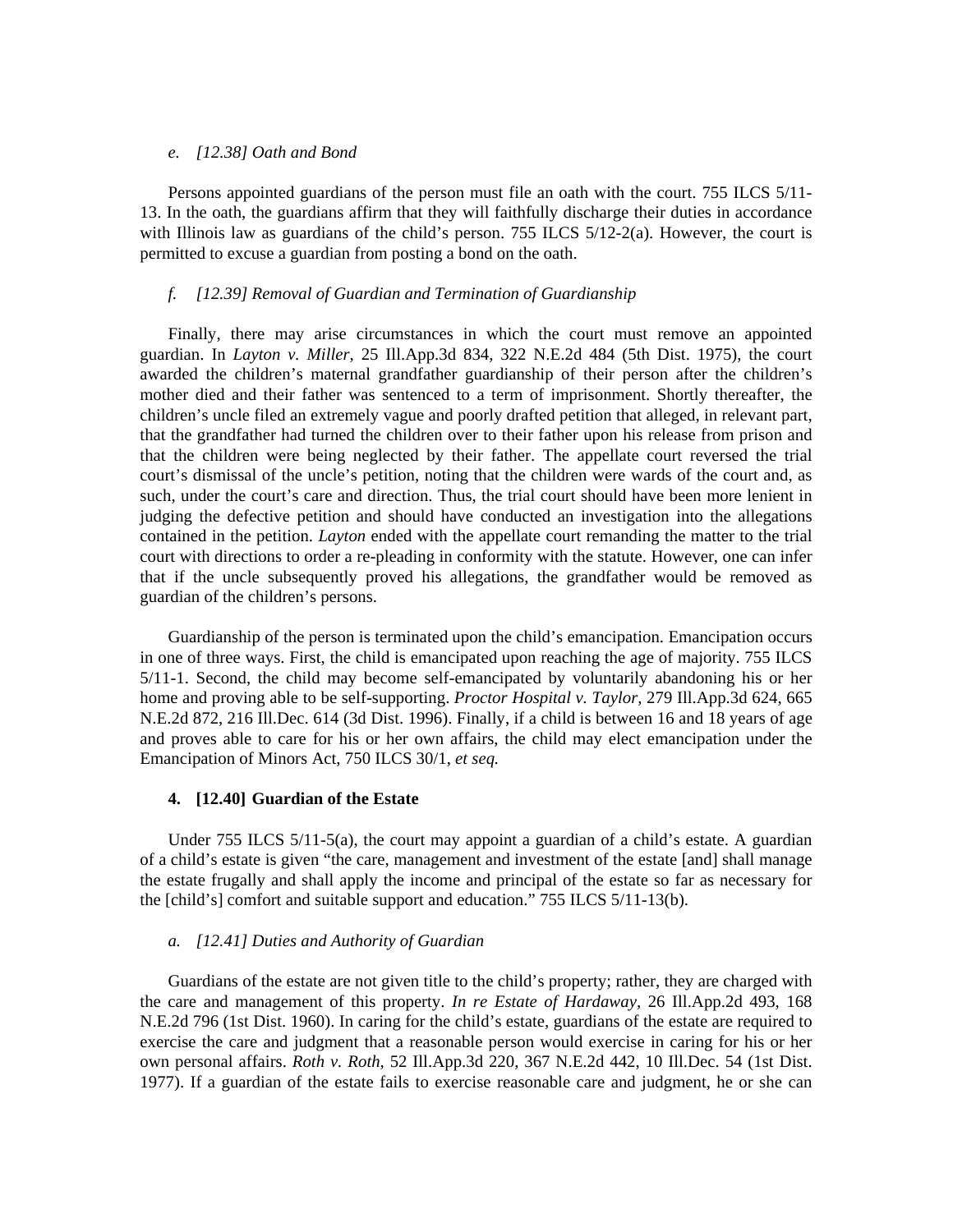#### *e. [12.38] Oath and Bond*

 Persons appointed guardians of the person must file an oath with the court. 755 ILCS 5/11- 13. In the oath, the guardians affirm that they will faithfully discharge their duties in accordance with Illinois law as guardians of the child's person. 755 ILCS  $5/12$ -2(a). However, the court is permitted to excuse a guardian from posting a bond on the oath.

## *f. [12.39] Removal of Guardian and Termination of Guardianship*

 Finally, there may arise circumstances in which the court must remove an appointed guardian. In *Layton v. Miller,* 25 Ill.App.3d 834, 322 N.E.2d 484 (5th Dist. 1975), the court awarded the children's maternal grandfather guardianship of their person after the children's mother died and their father was sentenced to a term of imprisonment. Shortly thereafter, the children's uncle filed an extremely vague and poorly drafted petition that alleged, in relevant part, that the grandfather had turned the children over to their father upon his release from prison and that the children were being neglected by their father. The appellate court reversed the trial court's dismissal of the uncle's petition, noting that the children were wards of the court and, as such, under the court's care and direction. Thus, the trial court should have been more lenient in judging the defective petition and should have conducted an investigation into the allegations contained in the petition. *Layton* ended with the appellate court remanding the matter to the trial court with directions to order a re-pleading in conformity with the statute. However, one can infer that if the uncle subsequently proved his allegations, the grandfather would be removed as guardian of the children's persons.

 Guardianship of the person is terminated upon the child's emancipation. Emancipation occurs in one of three ways. First, the child is emancipated upon reaching the age of majority. 755 ILCS 5/11-1. Second, the child may become self-emancipated by voluntarily abandoning his or her home and proving able to be self-supporting. *Proctor Hospital v. Taylor,* 279 Ill.App.3d 624, 665 N.E.2d 872, 216 Ill.Dec. 614 (3d Dist. 1996). Finally, if a child is between 16 and 18 years of age and proves able to care for his or her own affairs, the child may elect emancipation under the Emancipation of Minors Act, 750 ILCS 30/1, *et seq.*

#### **4. [12.40] Guardian of the Estate**

 Under 755 ILCS 5/11-5(a), the court may appoint a guardian of a child's estate. A guardian of a child's estate is given "the care, management and investment of the estate [and] shall manage the estate frugally and shall apply the income and principal of the estate so far as necessary for the [child's] comfort and suitable support and education." 755 ILCS 5/11-13(b).

## *a. [12.41] Duties and Authority of Guardian*

 Guardians of the estate are not given title to the child's property; rather, they are charged with the care and management of this property. *In re Estate of Hardaway,* 26 Ill.App.2d 493, 168 N.E.2d 796 (1st Dist. 1960). In caring for the child's estate, guardians of the estate are required to exercise the care and judgment that a reasonable person would exercise in caring for his or her own personal affairs. *Roth v. Roth,* 52 Ill.App.3d 220, 367 N.E.2d 442, 10 Ill.Dec. 54 (1st Dist. 1977). If a guardian of the estate fails to exercise reasonable care and judgment, he or she can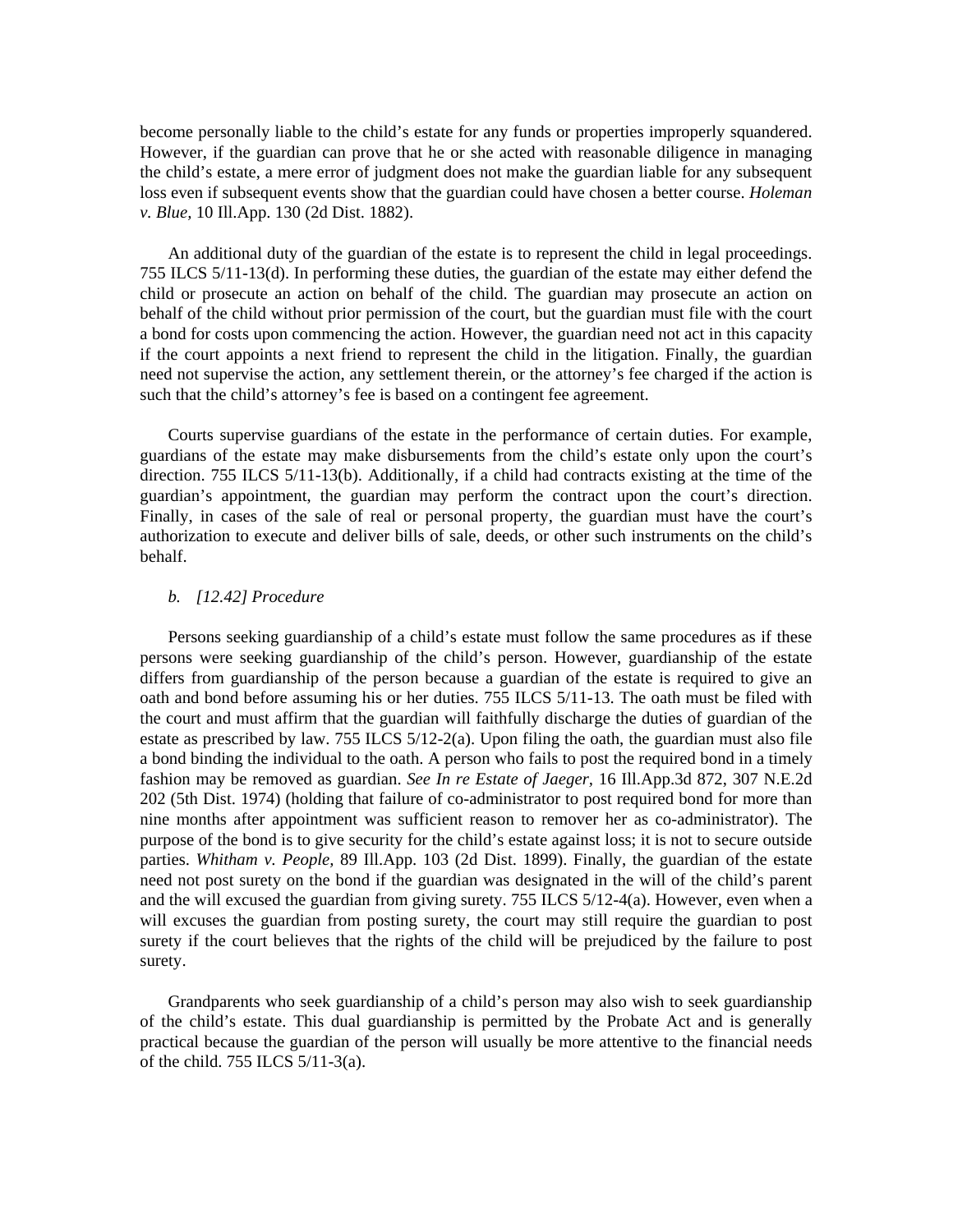become personally liable to the child's estate for any funds or properties improperly squandered. However, if the guardian can prove that he or she acted with reasonable diligence in managing the child's estate, a mere error of judgment does not make the guardian liable for any subsequent loss even if subsequent events show that the guardian could have chosen a better course. *Holeman v. Blue,* 10 Ill.App. 130 (2d Dist. 1882).

 An additional duty of the guardian of the estate is to represent the child in legal proceedings. 755 ILCS 5/11-13(d). In performing these duties, the guardian of the estate may either defend the child or prosecute an action on behalf of the child. The guardian may prosecute an action on behalf of the child without prior permission of the court, but the guardian must file with the court a bond for costs upon commencing the action. However, the guardian need not act in this capacity if the court appoints a next friend to represent the child in the litigation. Finally, the guardian need not supervise the action, any settlement therein, or the attorney's fee charged if the action is such that the child's attorney's fee is based on a contingent fee agreement.

 Courts supervise guardians of the estate in the performance of certain duties. For example, guardians of the estate may make disbursements from the child's estate only upon the court's direction. 755 ILCS 5/11-13(b). Additionally, if a child had contracts existing at the time of the guardian's appointment, the guardian may perform the contract upon the court's direction. Finally, in cases of the sale of real or personal property, the guardian must have the court's authorization to execute and deliver bills of sale, deeds, or other such instruments on the child's behalf.

#### *b. [12.42] Procedure*

 Persons seeking guardianship of a child's estate must follow the same procedures as if these persons were seeking guardianship of the child's person. However, guardianship of the estate differs from guardianship of the person because a guardian of the estate is required to give an oath and bond before assuming his or her duties. 755 ILCS 5/11-13. The oath must be filed with the court and must affirm that the guardian will faithfully discharge the duties of guardian of the estate as prescribed by law. 755 ILCS  $5/12-2(a)$ . Upon filing the oath, the guardian must also file a bond binding the individual to the oath. A person who fails to post the required bond in a timely fashion may be removed as guardian. *See In re Estate of Jaeger,* 16 Ill.App.3d 872, 307 N.E.2d 202 (5th Dist. 1974) (holding that failure of co-administrator to post required bond for more than nine months after appointment was sufficient reason to remover her as co-administrator). The purpose of the bond is to give security for the child's estate against loss; it is not to secure outside parties. *Whitham v. People,* 89 Ill.App. 103 (2d Dist. 1899). Finally, the guardian of the estate need not post surety on the bond if the guardian was designated in the will of the child's parent and the will excused the guardian from giving surety. 755 ILCS  $5/12-4(a)$ . However, even when a will excuses the guardian from posting surety, the court may still require the guardian to post surety if the court believes that the rights of the child will be prejudiced by the failure to post surety.

 Grandparents who seek guardianship of a child's person may also wish to seek guardianship of the child's estate. This dual guardianship is permitted by the Probate Act and is generally practical because the guardian of the person will usually be more attentive to the financial needs of the child. 755 ILCS 5/11-3(a).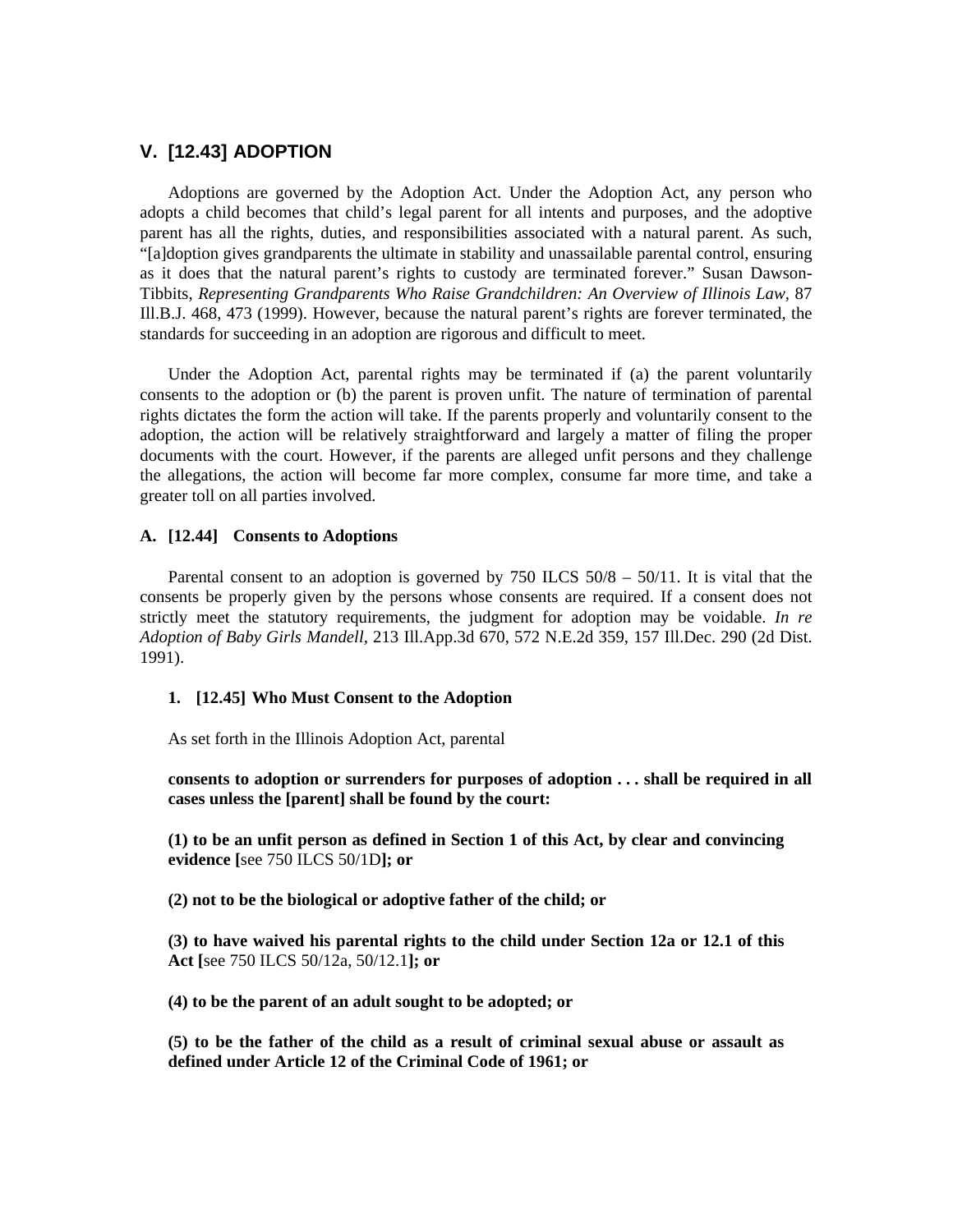# **V. [12.43] ADOPTION**

 Adoptions are governed by the Adoption Act. Under the Adoption Act, any person who adopts a child becomes that child's legal parent for all intents and purposes, and the adoptive parent has all the rights, duties, and responsibilities associated with a natural parent. As such, "[a]doption gives grandparents the ultimate in stability and unassailable parental control, ensuring as it does that the natural parent's rights to custody are terminated forever." Susan Dawson-Tibbits, *Representing Grandparents Who Raise Grandchildren: An Overview of Illinois Law,* 87 Ill.B.J. 468, 473 (1999). However, because the natural parent's rights are forever terminated, the standards for succeeding in an adoption are rigorous and difficult to meet.

 Under the Adoption Act, parental rights may be terminated if (a) the parent voluntarily consents to the adoption or (b) the parent is proven unfit. The nature of termination of parental rights dictates the form the action will take. If the parents properly and voluntarily consent to the adoption, the action will be relatively straightforward and largely a matter of filing the proper documents with the court. However, if the parents are alleged unfit persons and they challenge the allegations, the action will become far more complex, consume far more time, and take a greater toll on all parties involved.

# **A. [12.44] Consents to Adoptions**

Parental consent to an adoption is governed by  $750$  ILCS  $50/8 - 50/11$ . It is vital that the consents be properly given by the persons whose consents are required. If a consent does not strictly meet the statutory requirements, the judgment for adoption may be voidable. *In re Adoption of Baby Girls Mandell,* 213 Ill.App.3d 670, 572 N.E.2d 359, 157 Ill.Dec. 290 (2d Dist. 1991).

#### **1. [12.45] Who Must Consent to the Adoption**

As set forth in the Illinois Adoption Act, parental

**consents to adoption or surrenders for purposes of adoption . . . shall be required in all cases unless the [parent] shall be found by the court:** 

**(1) to be an unfit person as defined in Section 1 of this Act, by clear and convincing evidence [**see 750 ILCS 50/1D**]; or** 

 **(2) not to be the biological or adoptive father of the child; or** 

 **(3) to have waived his parental rights to the child under Section 12a or 12.1 of this Act [**see 750 ILCS 50/12a, 50/12.1**]; or** 

 **(4) to be the parent of an adult sought to be adopted; or** 

 **(5) to be the father of the child as a result of criminal sexual abuse or assault as defined under Article 12 of the Criminal Code of 1961; or**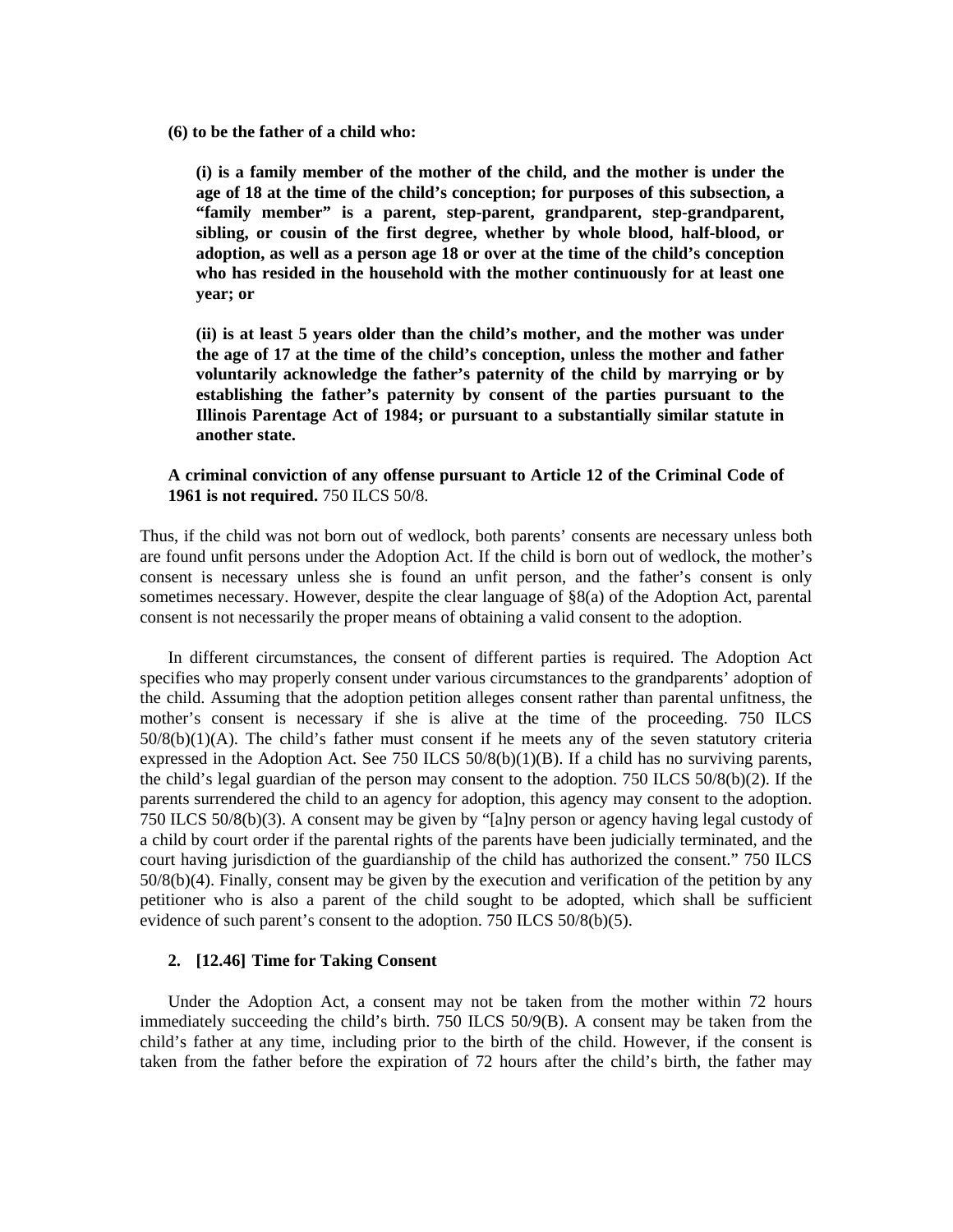**(6) to be the father of a child who:** 

 **(i) is a family member of the mother of the child, and the mother is under the age of 18 at the time of the child's conception; for purposes of this subsection, a "family member" is a parent, step-parent, grandparent, step-grandparent, sibling, or cousin of the first degree, whether by whole blood, half-blood, or adoption, as well as a person age 18 or over at the time of the child's conception who has resided in the household with the mother continuously for at least one year; or** 

 **(ii) is at least 5 years older than the child's mother, and the mother was under the age of 17 at the time of the child's conception, unless the mother and father voluntarily acknowledge the father's paternity of the child by marrying or by establishing the father's paternity by consent of the parties pursuant to the Illinois Parentage Act of 1984; or pursuant to a substantially similar statute in another state.** 

# **A criminal conviction of any offense pursuant to Article 12 of the Criminal Code of 1961 is not required.** 750 ILCS 50/8.

Thus, if the child was not born out of wedlock, both parents' consents are necessary unless both are found unfit persons under the Adoption Act. If the child is born out of wedlock, the mother's consent is necessary unless she is found an unfit person, and the father's consent is only sometimes necessary. However, despite the clear language of §8(a) of the Adoption Act, parental consent is not necessarily the proper means of obtaining a valid consent to the adoption.

 In different circumstances, the consent of different parties is required. The Adoption Act specifies who may properly consent under various circumstances to the grandparents' adoption of the child. Assuming that the adoption petition alleges consent rather than parental unfitness, the mother's consent is necessary if she is alive at the time of the proceeding. 750 ILCS 50/8(b)(1)(A). The child's father must consent if he meets any of the seven statutory criteria expressed in the Adoption Act. See 750 ILCS  $50/8(b)(1)(B)$ . If a child has no surviving parents, the child's legal guardian of the person may consent to the adoption. 750 ILCS 50/8(b)(2). If the parents surrendered the child to an agency for adoption, this agency may consent to the adoption. 750 ILCS 50/8(b)(3). A consent may be given by "[a]ny person or agency having legal custody of a child by court order if the parental rights of the parents have been judicially terminated, and the court having jurisdiction of the guardianship of the child has authorized the consent." 750 ILCS 50/8(b)(4). Finally, consent may be given by the execution and verification of the petition by any petitioner who is also a parent of the child sought to be adopted, which shall be sufficient evidence of such parent's consent to the adoption. 750 ILCS 50/8(b)(5).

## **2. [12.46] Time for Taking Consent**

 Under the Adoption Act, a consent may not be taken from the mother within 72 hours immediately succeeding the child's birth. 750 ILCS 50/9(B). A consent may be taken from the child's father at any time, including prior to the birth of the child. However, if the consent is taken from the father before the expiration of 72 hours after the child's birth, the father may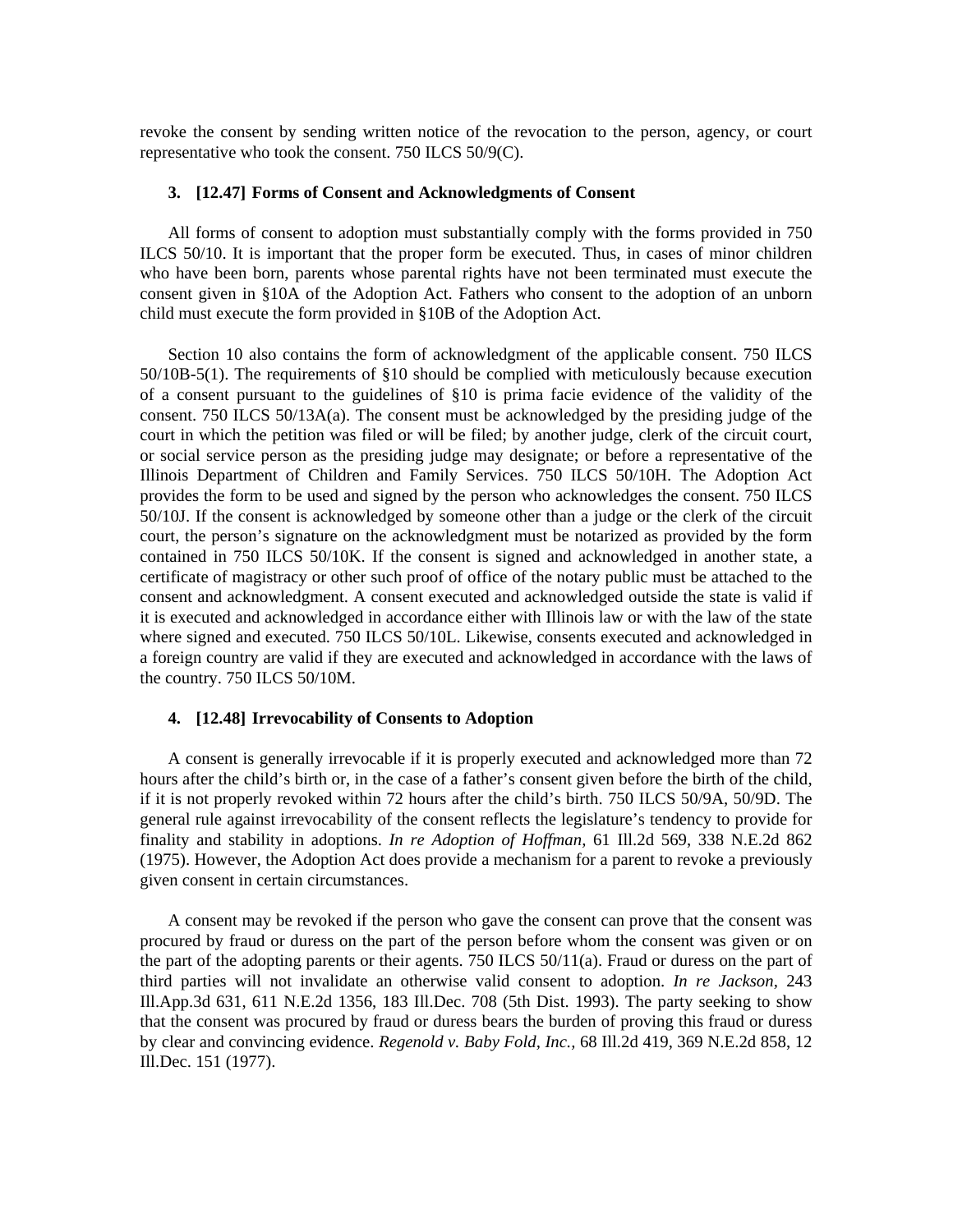revoke the consent by sending written notice of the revocation to the person, agency, or court representative who took the consent. 750 ILCS 50/9(C).

#### **3. [12.47] Forms of Consent and Acknowledgments of Consent**

 All forms of consent to adoption must substantially comply with the forms provided in 750 ILCS 50/10. It is important that the proper form be executed. Thus, in cases of minor children who have been born, parents whose parental rights have not been terminated must execute the consent given in §10A of the Adoption Act. Fathers who consent to the adoption of an unborn child must execute the form provided in §10B of the Adoption Act.

 Section 10 also contains the form of acknowledgment of the applicable consent. 750 ILCS 50/10B-5(1). The requirements of §10 should be complied with meticulously because execution of a consent pursuant to the guidelines of §10 is prima facie evidence of the validity of the consent. 750 ILCS 50/13A(a). The consent must be acknowledged by the presiding judge of the court in which the petition was filed or will be filed; by another judge, clerk of the circuit court, or social service person as the presiding judge may designate; or before a representative of the Illinois Department of Children and Family Services. 750 ILCS 50/10H. The Adoption Act provides the form to be used and signed by the person who acknowledges the consent. 750 ILCS 50/10J. If the consent is acknowledged by someone other than a judge or the clerk of the circuit court, the person's signature on the acknowledgment must be notarized as provided by the form contained in 750 ILCS 50/10K. If the consent is signed and acknowledged in another state, a certificate of magistracy or other such proof of office of the notary public must be attached to the consent and acknowledgment. A consent executed and acknowledged outside the state is valid if it is executed and acknowledged in accordance either with Illinois law or with the law of the state where signed and executed. 750 ILCS 50/10L. Likewise, consents executed and acknowledged in a foreign country are valid if they are executed and acknowledged in accordance with the laws of the country. 750 ILCS 50/10M.

## **4. [12.48] Irrevocability of Consents to Adoption**

 A consent is generally irrevocable if it is properly executed and acknowledged more than 72 hours after the child's birth or, in the case of a father's consent given before the birth of the child, if it is not properly revoked within 72 hours after the child's birth. 750 ILCS 50/9A, 50/9D. The general rule against irrevocability of the consent reflects the legislature's tendency to provide for finality and stability in adoptions. *In re Adoption of Hoffman,* 61 Ill.2d 569, 338 N.E.2d 862 (1975). However, the Adoption Act does provide a mechanism for a parent to revoke a previously given consent in certain circumstances.

 A consent may be revoked if the person who gave the consent can prove that the consent was procured by fraud or duress on the part of the person before whom the consent was given or on the part of the adopting parents or their agents. 750 ILCS 50/11(a). Fraud or duress on the part of third parties will not invalidate an otherwise valid consent to adoption. *In re Jackson,* 243 Ill.App.3d 631, 611 N.E.2d 1356, 183 Ill.Dec. 708 (5th Dist. 1993). The party seeking to show that the consent was procured by fraud or duress bears the burden of proving this fraud or duress by clear and convincing evidence. *Regenold v. Baby Fold, Inc.,* 68 Ill.2d 419, 369 N.E.2d 858, 12 Ill.Dec. 151 (1977).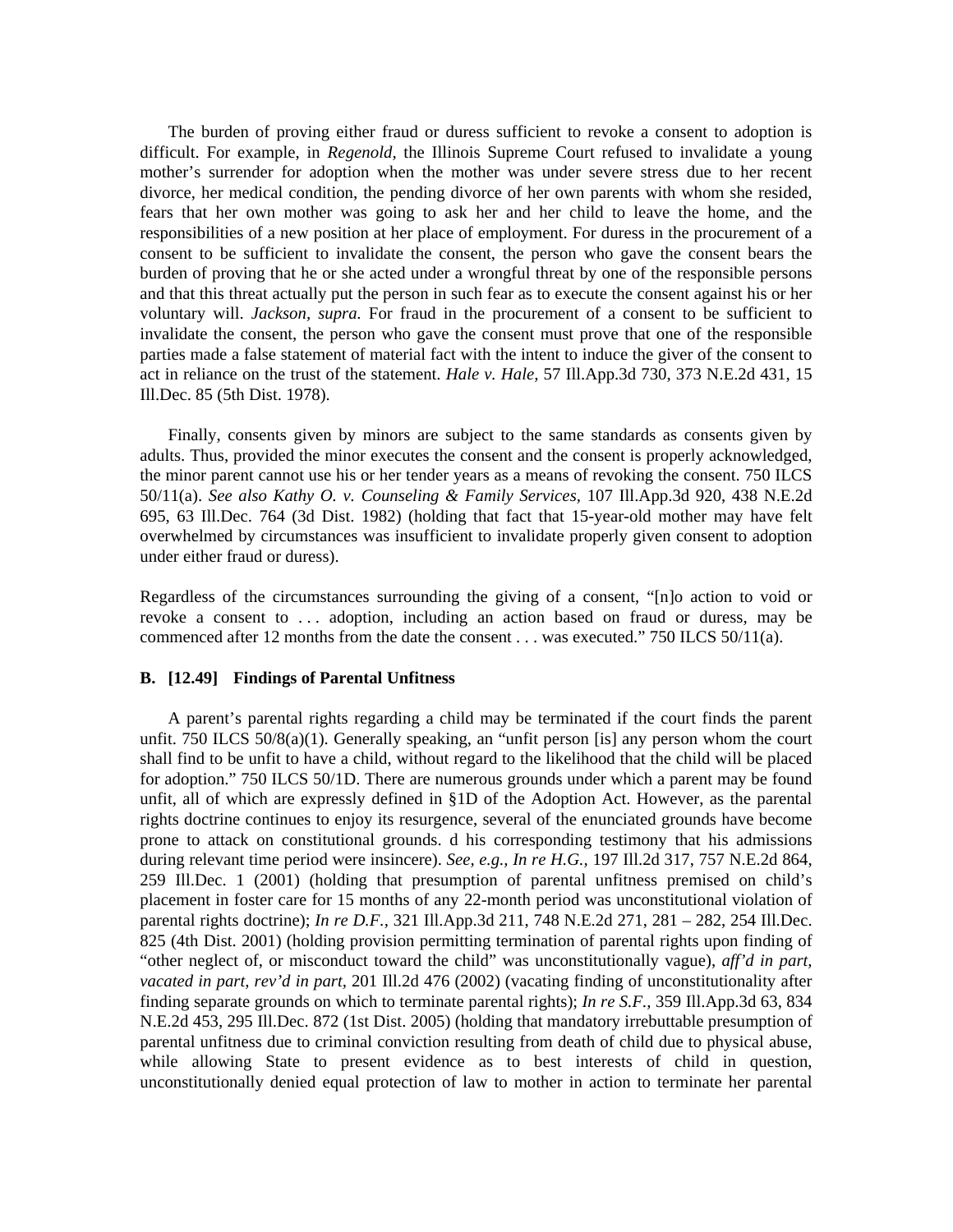The burden of proving either fraud or duress sufficient to revoke a consent to adoption is difficult. For example, in *Regenold,* the Illinois Supreme Court refused to invalidate a young mother's surrender for adoption when the mother was under severe stress due to her recent divorce, her medical condition, the pending divorce of her own parents with whom she resided, fears that her own mother was going to ask her and her child to leave the home, and the responsibilities of a new position at her place of employment. For duress in the procurement of a consent to be sufficient to invalidate the consent, the person who gave the consent bears the burden of proving that he or she acted under a wrongful threat by one of the responsible persons and that this threat actually put the person in such fear as to execute the consent against his or her voluntary will. *Jackson, supra.* For fraud in the procurement of a consent to be sufficient to invalidate the consent, the person who gave the consent must prove that one of the responsible parties made a false statement of material fact with the intent to induce the giver of the consent to act in reliance on the trust of the statement. *Hale v. Hale,* 57 Ill.App.3d 730, 373 N.E.2d 431, 15 Ill.Dec. 85 (5th Dist. 1978).

 Finally, consents given by minors are subject to the same standards as consents given by adults. Thus, provided the minor executes the consent and the consent is properly acknowledged, the minor parent cannot use his or her tender years as a means of revoking the consent. 750 ILCS 50/11(a). *See also Kathy O. v. Counseling & Family Services,* 107 Ill.App.3d 920, 438 N.E.2d 695, 63 Ill.Dec. 764 (3d Dist. 1982) (holding that fact that 15-year-old mother may have felt overwhelmed by circumstances was insufficient to invalidate properly given consent to adoption under either fraud or duress).

Regardless of the circumstances surrounding the giving of a consent, "[n]o action to void or revoke a consent to ... adoption, including an action based on fraud or duress, may be commenced after 12 months from the date the consent . . . was executed." 750 ILCS 50/11(a).

#### **B. [12.49] Findings of Parental Unfitness**

 A parent's parental rights regarding a child may be terminated if the court finds the parent unfit. 750 ILCS 50/8(a)(1). Generally speaking, an "unfit person [is] any person whom the court shall find to be unfit to have a child, without regard to the likelihood that the child will be placed for adoption." 750 ILCS 50/1D. There are numerous grounds under which a parent may be found unfit, all of which are expressly defined in §1D of the Adoption Act. However, as the parental rights doctrine continues to enjoy its resurgence, several of the enunciated grounds have become prone to attack on constitutional grounds. d his corresponding testimony that his admissions during relevant time period were insincere). *See, e.g., In re H.G.,* 197 Ill.2d 317, 757 N.E.2d 864, 259 Ill.Dec. 1 (2001) (holding that presumption of parental unfitness premised on child's placement in foster care for 15 months of any 22-month period was unconstitutional violation of parental rights doctrine); *In re D.F.,* 321 Ill.App.3d 211, 748 N.E.2d 271, 281 – 282, 254 Ill.Dec. 825 (4th Dist. 2001) (holding provision permitting termination of parental rights upon finding of "other neglect of, or misconduct toward the child" was unconstitutionally vague), *aff'd in part, vacated in part, rev'd in part,* 201 Ill.2d 476 (2002) (vacating finding of unconstitutionality after finding separate grounds on which to terminate parental rights); *In re S.F.,* 359 Ill.App.3d 63, 834 N.E.2d 453, 295 Ill.Dec. 872 (1st Dist. 2005) (holding that mandatory irrebuttable presumption of parental unfitness due to criminal conviction resulting from death of child due to physical abuse, while allowing State to present evidence as to best interests of child in question, unconstitutionally denied equal protection of law to mother in action to terminate her parental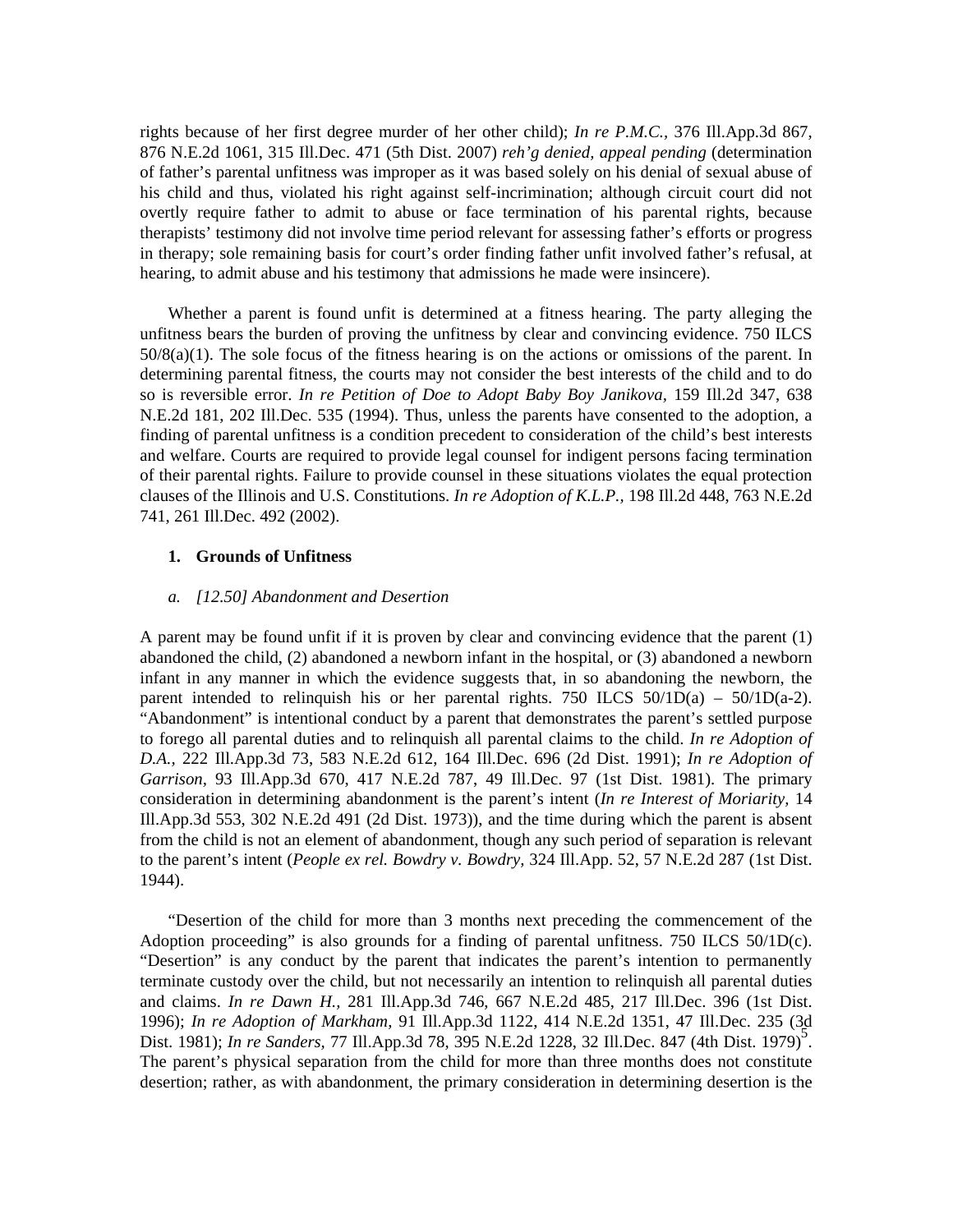rights because of her first degree murder of her other child); *In re P.M.C.,* 376 Ill.App.3d 867, 876 N.E.2d 1061, 315 Ill.Dec. 471 (5th Dist. 2007) *reh'g denied, appeal pending* (determination of father's parental unfitness was improper as it was based solely on his denial of sexual abuse of his child and thus, violated his right against self-incrimination; although circuit court did not overtly require father to admit to abuse or face termination of his parental rights, because therapists' testimony did not involve time period relevant for assessing father's efforts or progress in therapy; sole remaining basis for court's order finding father unfit involved father's refusal, at hearing, to admit abuse and his testimony that admissions he made were insincere).

 Whether a parent is found unfit is determined at a fitness hearing. The party alleging the unfitness bears the burden of proving the unfitness by clear and convincing evidence. 750 ILCS 50/8(a)(1). The sole focus of the fitness hearing is on the actions or omissions of the parent. In determining parental fitness, the courts may not consider the best interests of the child and to do so is reversible error. *In re Petition of Doe to Adopt Baby Boy Janikova,* 159 Ill.2d 347, 638 N.E.2d 181, 202 Ill.Dec. 535 (1994). Thus, unless the parents have consented to the adoption, a finding of parental unfitness is a condition precedent to consideration of the child's best interests and welfare. Courts are required to provide legal counsel for indigent persons facing termination of their parental rights. Failure to provide counsel in these situations violates the equal protection clauses of the Illinois and U.S. Constitutions. *In re Adoption of K.L.P.,* 198 Ill.2d 448, 763 N.E.2d 741, 261 Ill.Dec. 492 (2002).

#### **1. Grounds of Unfitness**

#### *a. [12.50] Abandonment and Desertion*

A parent may be found unfit if it is proven by clear and convincing evidence that the parent (1) abandoned the child, (2) abandoned a newborn infant in the hospital, or (3) abandoned a newborn infant in any manner in which the evidence suggests that, in so abandoning the newborn, the parent intended to relinquish his or her parental rights. 750 ILCS  $50/1D(a) - 50/1D(a-2)$ . "Abandonment" is intentional conduct by a parent that demonstrates the parent's settled purpose to forego all parental duties and to relinquish all parental claims to the child. *In re Adoption of D.A.,* 222 Ill.App.3d 73, 583 N.E.2d 612, 164 Ill.Dec. 696 (2d Dist. 1991); *In re Adoption of Garrison,* 93 Ill.App.3d 670, 417 N.E.2d 787, 49 Ill.Dec. 97 (1st Dist. 1981). The primary consideration in determining abandonment is the parent's intent (*In re Interest of Moriarity,* 14 Ill.App.3d 553, 302 N.E.2d 491 (2d Dist. 1973)), and the time during which the parent is absent from the child is not an element of abandonment, though any such period of separation is relevant to the parent's intent (*People ex rel. Bowdry v. Bowdry,* 324 Ill.App. 52, 57 N.E.2d 287 (1st Dist. 1944).

 "Desertion of the child for more than 3 months next preceding the commencement of the Adoption proceeding" is also grounds for a finding of parental unfitness. 750 ILCS 50/1D(c). "Desertion" is any conduct by the parent that indicates the parent's intention to permanently terminate custody over the child, but not necessarily an intention to relinquish all parental duties and claims. *In re Dawn H.,* 281 Ill.App.3d 746, 667 N.E.2d 485, 217 Ill.Dec. 396 (1st Dist. 1996); *In re Adoption of Markham,* 91 Ill.App.3d 1122, 414 N.E.2d 1351, 47 Ill.Dec. 235 (3d Dist. 1981); *In re Sanders,* 77 Ill.App.3d 78, 395 N.E.2d 1228, 32 Ill.Dec. 847 (4th Dist. 1979)5 . The parent's physical separation from the child for more than three months does not constitute desertion; rather, as with abandonment, the primary consideration in determining desertion is the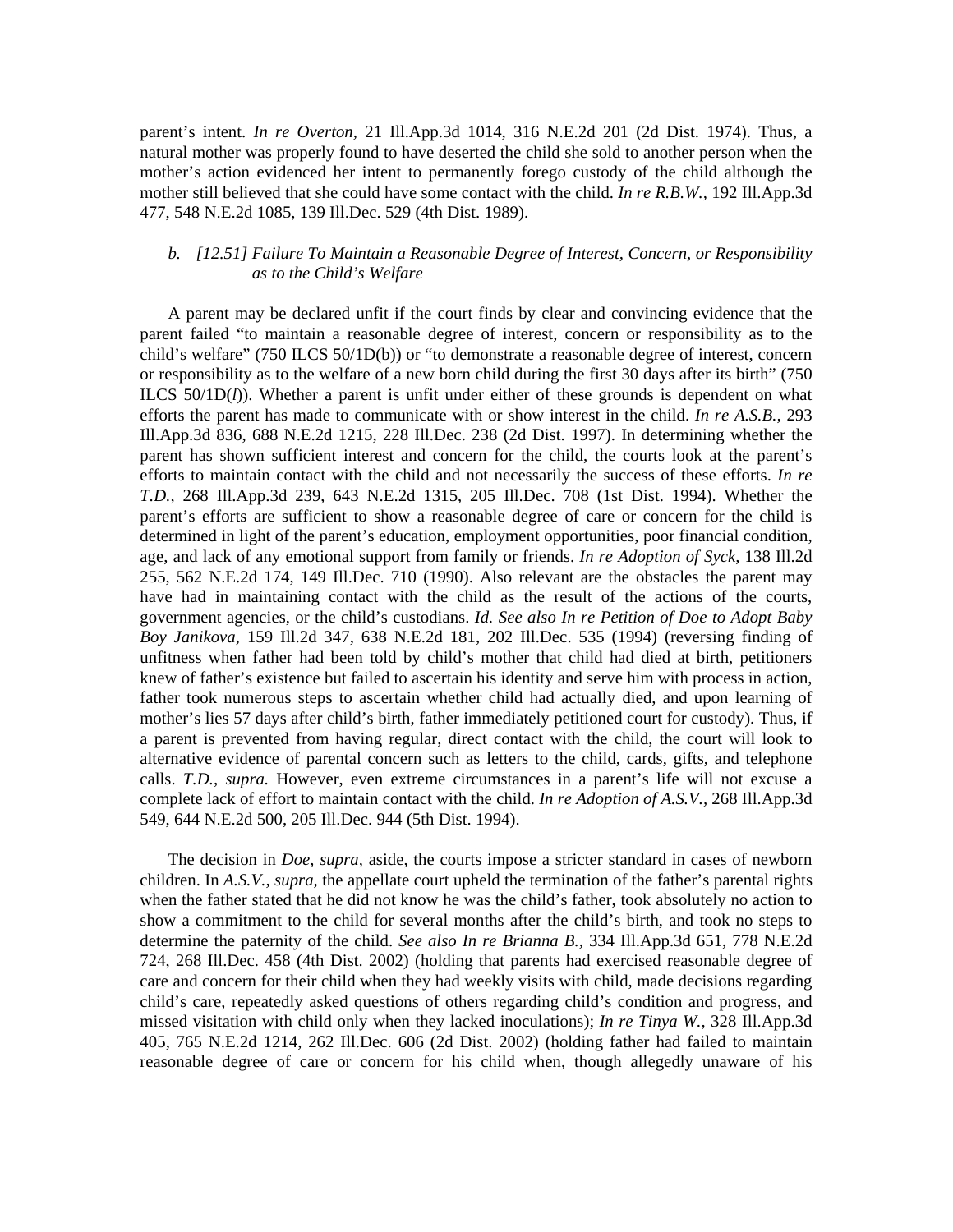parent's intent. *In re Overton,* 21 Ill.App.3d 1014, 316 N.E.2d 201 (2d Dist. 1974). Thus, a natural mother was properly found to have deserted the child she sold to another person when the mother's action evidenced her intent to permanently forego custody of the child although the mother still believed that she could have some contact with the child. *In re R.B.W.,* 192 Ill.App.3d 477, 548 N.E.2d 1085, 139 Ill.Dec. 529 (4th Dist. 1989).

# *b. [12.51] Failure To Maintain a Reasonable Degree of Interest, Concern, or Responsibility as to the Child's Welfare*

 A parent may be declared unfit if the court finds by clear and convincing evidence that the parent failed "to maintain a reasonable degree of interest, concern or responsibility as to the child's welfare" (750 ILCS 50/1D(b)) or "to demonstrate a reasonable degree of interest, concern or responsibility as to the welfare of a new born child during the first 30 days after its birth" (750 ILCS 50/1D(*l*)). Whether a parent is unfit under either of these grounds is dependent on what efforts the parent has made to communicate with or show interest in the child. *In re A.S.B.,* 293 Ill.App.3d 836, 688 N.E.2d 1215, 228 Ill.Dec. 238 (2d Dist. 1997). In determining whether the parent has shown sufficient interest and concern for the child, the courts look at the parent's efforts to maintain contact with the child and not necessarily the success of these efforts. *In re T.D.,* 268 Ill.App.3d 239, 643 N.E.2d 1315, 205 Ill.Dec. 708 (1st Dist. 1994). Whether the parent's efforts are sufficient to show a reasonable degree of care or concern for the child is determined in light of the parent's education, employment opportunities, poor financial condition, age, and lack of any emotional support from family or friends. *In re Adoption of Syck,* 138 Ill.2d 255, 562 N.E.2d 174, 149 Ill.Dec. 710 (1990). Also relevant are the obstacles the parent may have had in maintaining contact with the child as the result of the actions of the courts, government agencies, or the child's custodians. *Id. See also In re Petition of Doe to Adopt Baby Boy Janikova,* 159 Ill.2d 347, 638 N.E.2d 181, 202 Ill.Dec. 535 (1994) (reversing finding of unfitness when father had been told by child's mother that child had died at birth, petitioners knew of father's existence but failed to ascertain his identity and serve him with process in action, father took numerous steps to ascertain whether child had actually died, and upon learning of mother's lies 57 days after child's birth, father immediately petitioned court for custody). Thus, if a parent is prevented from having regular, direct contact with the child, the court will look to alternative evidence of parental concern such as letters to the child, cards, gifts, and telephone calls. *T.D., supra.* However, even extreme circumstances in a parent's life will not excuse a complete lack of effort to maintain contact with the child. *In re Adoption of A.S.V.,* 268 Ill.App.3d 549, 644 N.E.2d 500, 205 Ill.Dec. 944 (5th Dist. 1994).

 The decision in *Doe, supra,* aside, the courts impose a stricter standard in cases of newborn children. In *A.S.V., supra,* the appellate court upheld the termination of the father's parental rights when the father stated that he did not know he was the child's father, took absolutely no action to show a commitment to the child for several months after the child's birth, and took no steps to determine the paternity of the child. *See also In re Brianna B.,* 334 Ill.App.3d 651, 778 N.E.2d 724, 268 Ill.Dec. 458 (4th Dist. 2002) (holding that parents had exercised reasonable degree of care and concern for their child when they had weekly visits with child, made decisions regarding child's care, repeatedly asked questions of others regarding child's condition and progress, and missed visitation with child only when they lacked inoculations); *In re Tinya W.,* 328 Ill.App.3d 405, 765 N.E.2d 1214, 262 Ill.Dec. 606 (2d Dist. 2002) (holding father had failed to maintain reasonable degree of care or concern for his child when, though allegedly unaware of his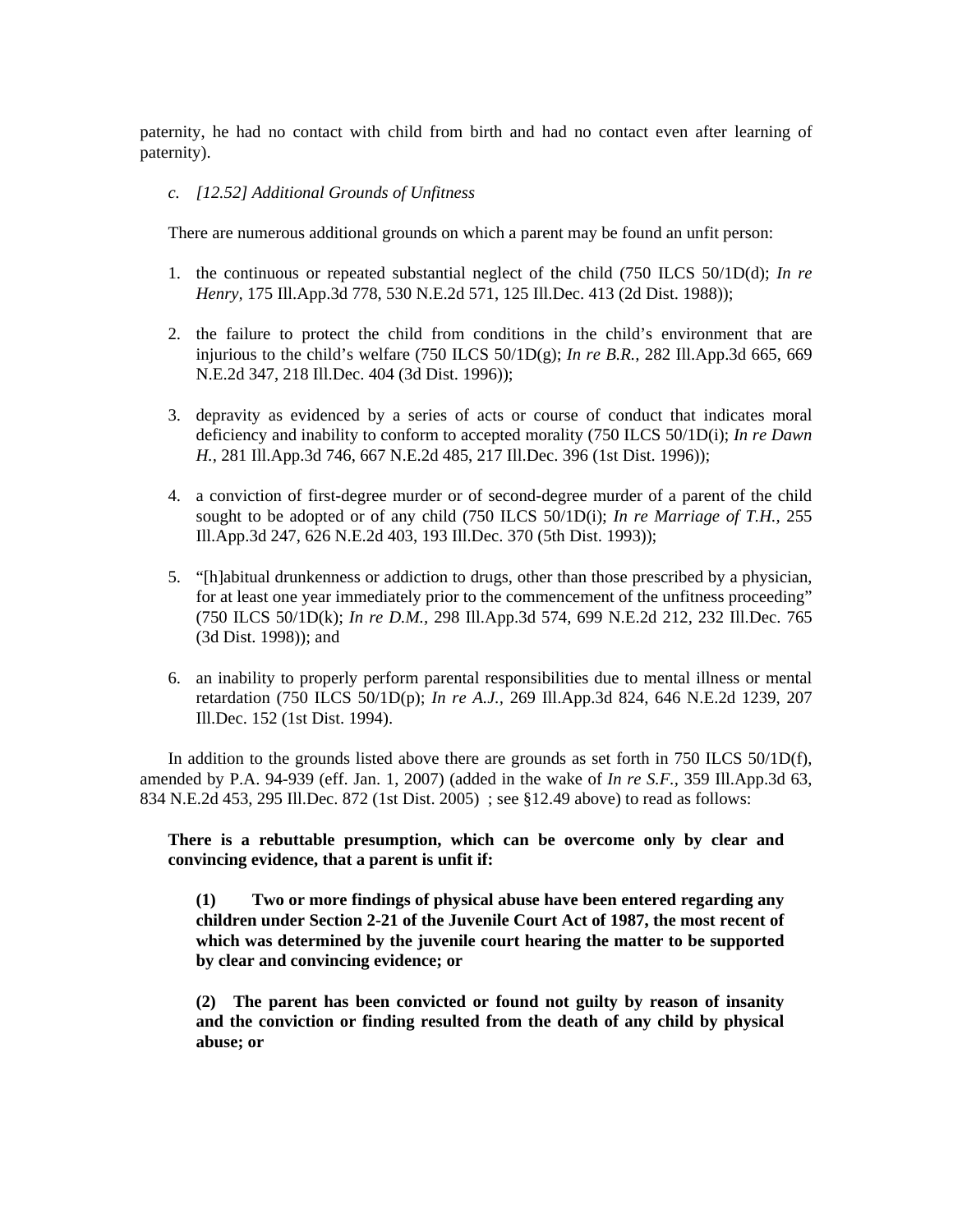paternity, he had no contact with child from birth and had no contact even after learning of paternity).

## *c. [12.52] Additional Grounds of Unfitness*

There are numerous additional grounds on which a parent may be found an unfit person:

- 1. the continuous or repeated substantial neglect of the child (750 ILCS 50/1D(d); *In re Henry,* 175 Ill.App.3d 778, 530 N.E.2d 571, 125 Ill.Dec. 413 (2d Dist. 1988));
- 2. the failure to protect the child from conditions in the child's environment that are injurious to the child's welfare (750 ILCS  $50/1D(g)$ ; *In re B.R.*, 282 Ill.App.3d 665, 669 N.E.2d 347, 218 Ill.Dec. 404 (3d Dist. 1996));
- 3. depravity as evidenced by a series of acts or course of conduct that indicates moral deficiency and inability to conform to accepted morality (750 ILCS 50/1D(i); *In re Dawn H.,* 281 Ill.App.3d 746, 667 N.E.2d 485, 217 Ill.Dec. 396 (1st Dist. 1996));
- 4. a conviction of first-degree murder or of second-degree murder of a parent of the child sought to be adopted or of any child (750 ILCS 50/1D(i); *In re Marriage of T.H.,* 255 Ill.App.3d 247, 626 N.E.2d 403, 193 Ill.Dec. 370 (5th Dist. 1993));
- 5. "[h]abitual drunkenness or addiction to drugs, other than those prescribed by a physician, for at least one year immediately prior to the commencement of the unfitness proceeding" (750 ILCS 50/1D(k); *In re D.M.,* 298 Ill.App.3d 574, 699 N.E.2d 212, 232 Ill.Dec. 765 (3d Dist. 1998)); and
- 6. an inability to properly perform parental responsibilities due to mental illness or mental retardation (750 ILCS 50/1D(p); *In re A.J.,* 269 Ill.App.3d 824, 646 N.E.2d 1239, 207 Ill.Dec. 152 (1st Dist. 1994).

 In addition to the grounds listed above there are grounds as set forth in 750 ILCS 50/1D(f), amended by P.A. 94-939 (eff. Jan. 1, 2007) (added in the wake of *In re S.F.,* 359 Ill.App.3d 63, 834 N.E.2d 453, 295 Ill.Dec. 872 (1st Dist. 2005) ; see §12.49 above) to read as follows:

**There is a rebuttable presumption, which can be overcome only by clear and convincing evidence, that a parent is unfit if:** 

 **(1) Two or more findings of physical abuse have been entered regarding any children under Section 2-21 of the Juvenile Court Act of 1987, the most recent of which was determined by the juvenile court hearing the matter to be supported by clear and convincing evidence; or** 

 **(2) The parent has been convicted or found not guilty by reason of insanity and the conviction or finding resulted from the death of any child by physical abuse; or**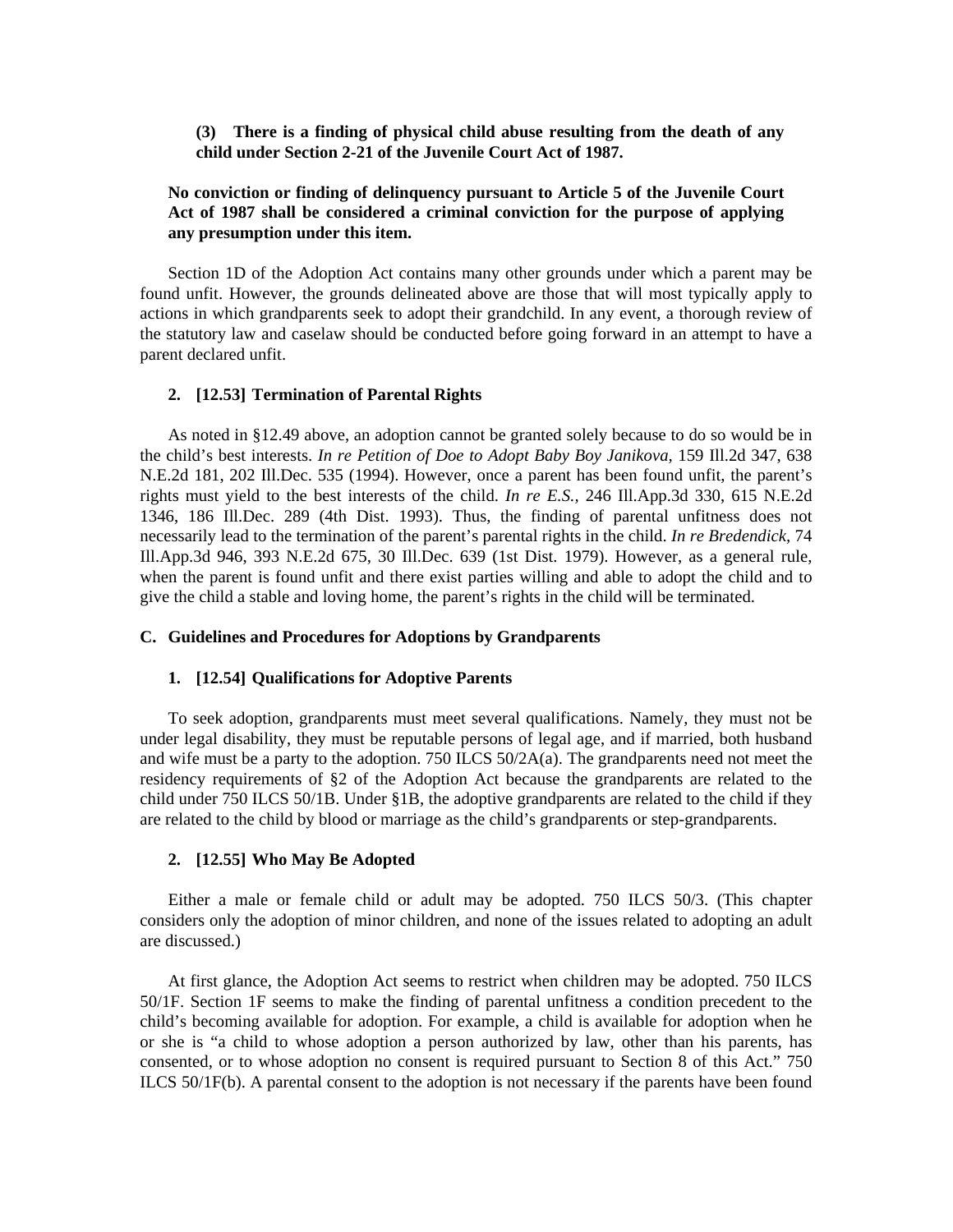**(3) There is a finding of physical child abuse resulting from the death of any child under Section 2-21 of the Juvenile Court Act of 1987.** 

# **No conviction or finding of delinquency pursuant to Article 5 of the Juvenile Court Act of 1987 shall be considered a criminal conviction for the purpose of applying any presumption under this item.**

 Section 1D of the Adoption Act contains many other grounds under which a parent may be found unfit. However, the grounds delineated above are those that will most typically apply to actions in which grandparents seek to adopt their grandchild. In any event, a thorough review of the statutory law and caselaw should be conducted before going forward in an attempt to have a parent declared unfit.

# **2. [12.53] Termination of Parental Rights**

 As noted in §12.49 above, an adoption cannot be granted solely because to do so would be in the child's best interests. *In re Petition of Doe to Adopt Baby Boy Janikova,* 159 Ill.2d 347, 638 N.E.2d 181, 202 Ill.Dec. 535 (1994). However, once a parent has been found unfit, the parent's rights must yield to the best interests of the child. *In re E.S.,* 246 Ill.App.3d 330, 615 N.E.2d 1346, 186 Ill.Dec. 289 (4th Dist. 1993). Thus, the finding of parental unfitness does not necessarily lead to the termination of the parent's parental rights in the child. *In re Bredendick,* 74 Ill.App.3d 946, 393 N.E.2d 675, 30 Ill.Dec. 639 (1st Dist. 1979). However, as a general rule, when the parent is found unfit and there exist parties willing and able to adopt the child and to give the child a stable and loving home, the parent's rights in the child will be terminated.

#### **C. Guidelines and Procedures for Adoptions by Grandparents**

#### **1. [12.54] Qualifications for Adoptive Parents**

 To seek adoption, grandparents must meet several qualifications. Namely, they must not be under legal disability, they must be reputable persons of legal age, and if married, both husband and wife must be a party to the adoption. 750 ILCS 50/2A(a). The grandparents need not meet the residency requirements of §2 of the Adoption Act because the grandparents are related to the child under 750 ILCS 50/1B. Under §1B, the adoptive grandparents are related to the child if they are related to the child by blood or marriage as the child's grandparents or step-grandparents.

# **2. [12.55] Who May Be Adopted**

 Either a male or female child or adult may be adopted. 750 ILCS 50/3. (This chapter considers only the adoption of minor children, and none of the issues related to adopting an adult are discussed.)

 At first glance, the Adoption Act seems to restrict when children may be adopted. 750 ILCS 50/1F. Section 1F seems to make the finding of parental unfitness a condition precedent to the child's becoming available for adoption. For example, a child is available for adoption when he or she is "a child to whose adoption a person authorized by law, other than his parents, has consented, or to whose adoption no consent is required pursuant to Section 8 of this Act." 750 ILCS 50/1F(b). A parental consent to the adoption is not necessary if the parents have been found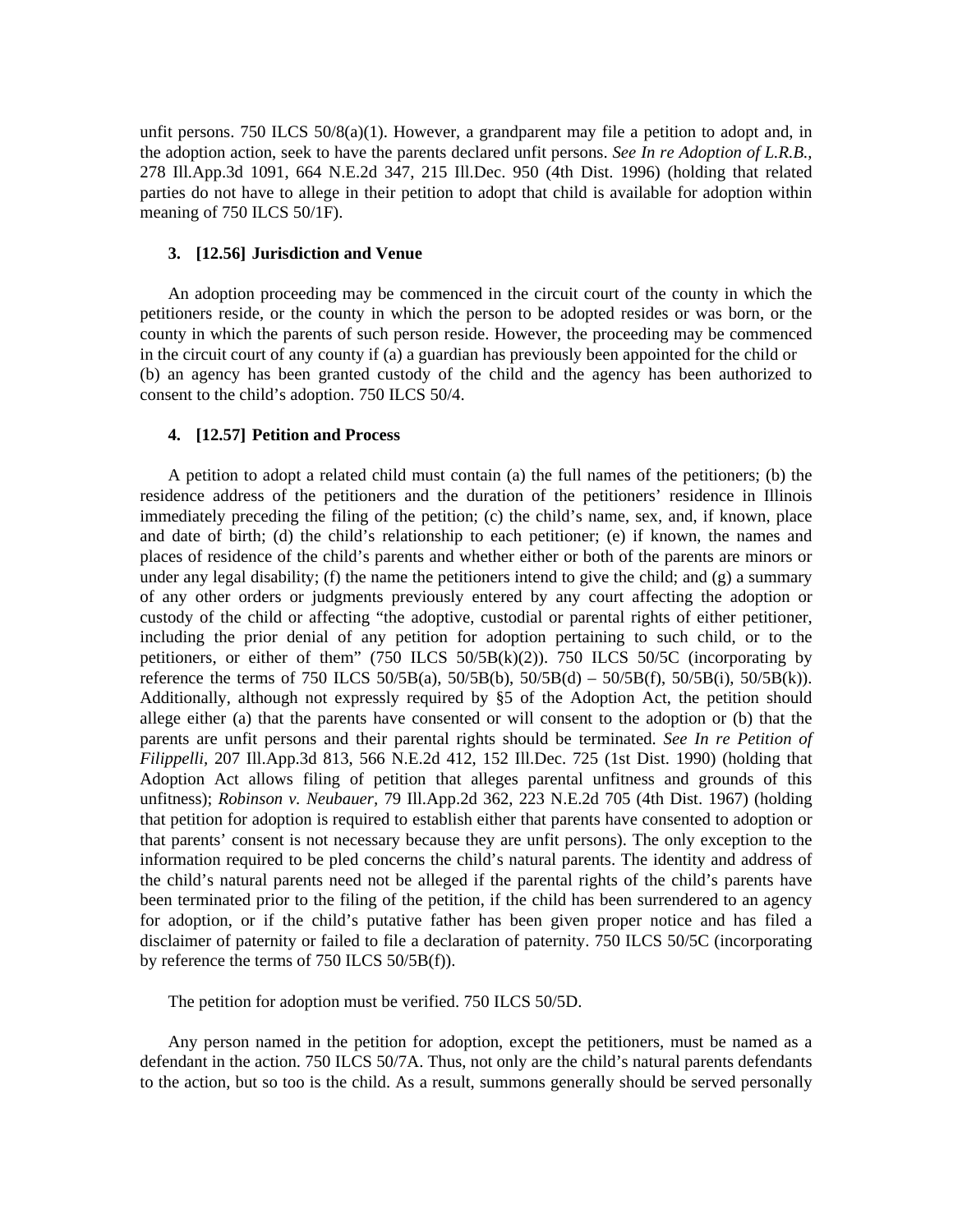unfit persons. 750 ILCS 50/8(a)(1). However, a grandparent may file a petition to adopt and, in the adoption action, seek to have the parents declared unfit persons. *See In re Adoption of L.R.B.,*  278 Ill.App.3d 1091, 664 N.E.2d 347, 215 Ill.Dec. 950 (4th Dist. 1996) (holding that related parties do not have to allege in their petition to adopt that child is available for adoption within meaning of 750 ILCS 50/1F).

## **3. [12.56] Jurisdiction and Venue**

 An adoption proceeding may be commenced in the circuit court of the county in which the petitioners reside, or the county in which the person to be adopted resides or was born, or the county in which the parents of such person reside. However, the proceeding may be commenced in the circuit court of any county if (a) a guardian has previously been appointed for the child or (b) an agency has been granted custody of the child and the agency has been authorized to consent to the child's adoption. 750 ILCS 50/4.

# **4. [12.57] Petition and Process**

 A petition to adopt a related child must contain (a) the full names of the petitioners; (b) the residence address of the petitioners and the duration of the petitioners' residence in Illinois immediately preceding the filing of the petition; (c) the child's name, sex, and, if known, place and date of birth; (d) the child's relationship to each petitioner; (e) if known, the names and places of residence of the child's parents and whether either or both of the parents are minors or under any legal disability; (f) the name the petitioners intend to give the child; and  $(g)$  a summary of any other orders or judgments previously entered by any court affecting the adoption or custody of the child or affecting "the adoptive, custodial or parental rights of either petitioner, including the prior denial of any petition for adoption pertaining to such child, or to the petitioners, or either of them"  $(750$  ILCS  $50/5B(k)(2)$ ). 750 ILCS  $50/5C$  (incorporating by reference the terms of 750 ILCS 50/5B(a), 50/5B(b), 50/5B(d) – 50/5B(f), 50/5B(i), 50/5B(k)). Additionally, although not expressly required by §5 of the Adoption Act, the petition should allege either (a) that the parents have consented or will consent to the adoption or (b) that the parents are unfit persons and their parental rights should be terminated. *See In re Petition of Filippelli,* 207 Ill.App.3d 813, 566 N.E.2d 412, 152 Ill.Dec. 725 (1st Dist. 1990) (holding that Adoption Act allows filing of petition that alleges parental unfitness and grounds of this unfitness); *Robinson v. Neubauer,* 79 Ill.App.2d 362, 223 N.E.2d 705 (4th Dist. 1967) (holding that petition for adoption is required to establish either that parents have consented to adoption or that parents' consent is not necessary because they are unfit persons). The only exception to the information required to be pled concerns the child's natural parents. The identity and address of the child's natural parents need not be alleged if the parental rights of the child's parents have been terminated prior to the filing of the petition, if the child has been surrendered to an agency for adoption, or if the child's putative father has been given proper notice and has filed a disclaimer of paternity or failed to file a declaration of paternity. 750 ILCS 50/5C (incorporating by reference the terms of 750 ILCS 50/5B(f)).

The petition for adoption must be verified. 750 ILCS 50/5D.

 Any person named in the petition for adoption, except the petitioners, must be named as a defendant in the action. 750 ILCS 50/7A. Thus, not only are the child's natural parents defendants to the action, but so too is the child. As a result, summons generally should be served personally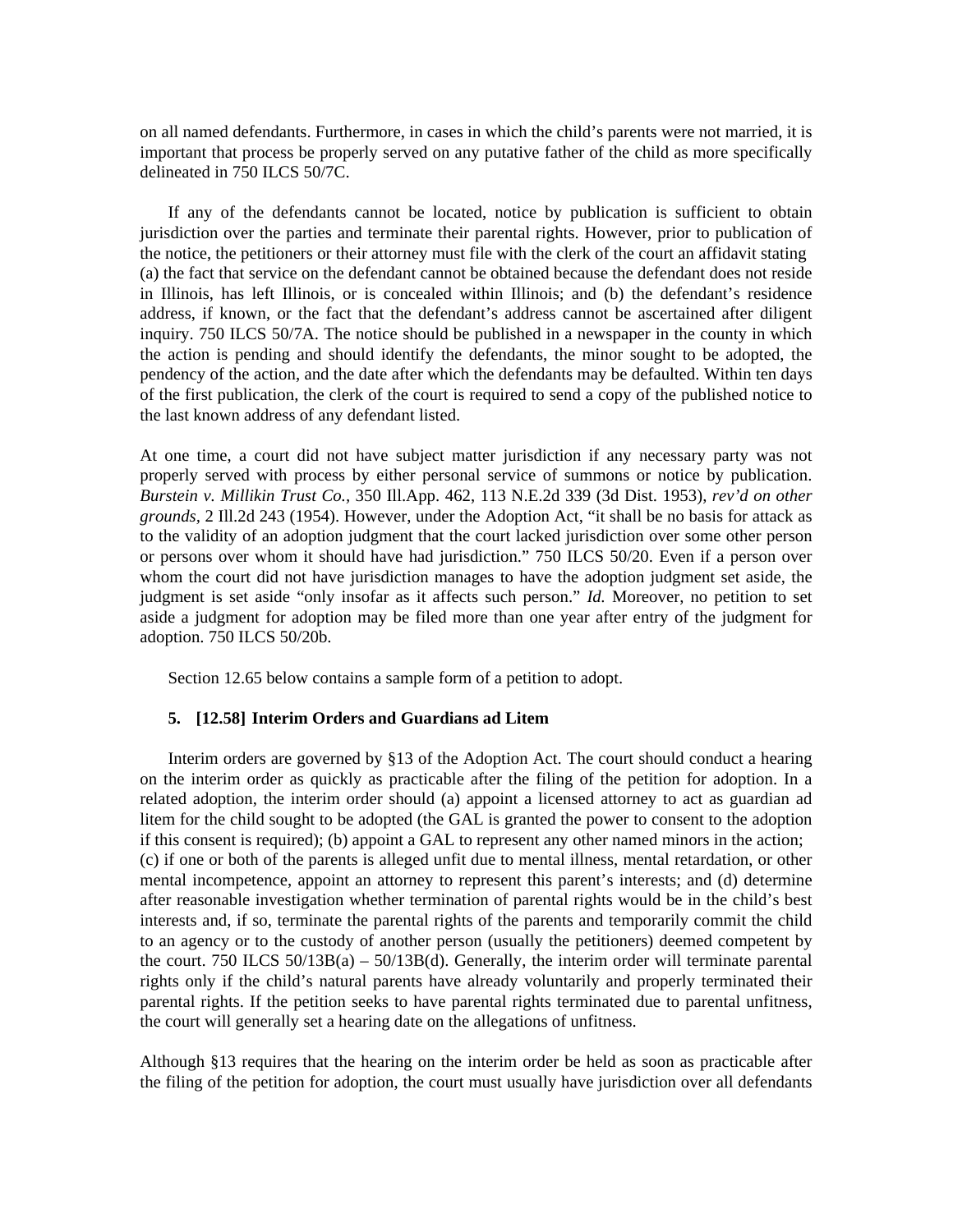on all named defendants. Furthermore, in cases in which the child's parents were not married, it is important that process be properly served on any putative father of the child as more specifically delineated in 750 ILCS 50/7C.

 If any of the defendants cannot be located, notice by publication is sufficient to obtain jurisdiction over the parties and terminate their parental rights. However, prior to publication of the notice, the petitioners or their attorney must file with the clerk of the court an affidavit stating (a) the fact that service on the defendant cannot be obtained because the defendant does not reside in Illinois, has left Illinois, or is concealed within Illinois; and (b) the defendant's residence address, if known, or the fact that the defendant's address cannot be ascertained after diligent inquiry. 750 ILCS 50/7A. The notice should be published in a newspaper in the county in which the action is pending and should identify the defendants, the minor sought to be adopted, the pendency of the action, and the date after which the defendants may be defaulted. Within ten days of the first publication, the clerk of the court is required to send a copy of the published notice to the last known address of any defendant listed.

At one time, a court did not have subject matter jurisdiction if any necessary party was not properly served with process by either personal service of summons or notice by publication. *Burstein v. Millikin Trust Co.,* 350 Ill.App. 462, 113 N.E.2d 339 (3d Dist. 1953), *rev'd on other grounds,* 2 Ill.2d 243 (1954). However, under the Adoption Act, "it shall be no basis for attack as to the validity of an adoption judgment that the court lacked jurisdiction over some other person or persons over whom it should have had jurisdiction." 750 ILCS 50/20. Even if a person over whom the court did not have jurisdiction manages to have the adoption judgment set aside, the judgment is set aside "only insofar as it affects such person." *Id.* Moreover, no petition to set aside a judgment for adoption may be filed more than one year after entry of the judgment for adoption. 750 ILCS 50/20b.

Section 12.65 below contains a sample form of a petition to adopt.

#### **5. [12.58] Interim Orders and Guardians ad Litem**

 Interim orders are governed by §13 of the Adoption Act. The court should conduct a hearing on the interim order as quickly as practicable after the filing of the petition for adoption. In a related adoption, the interim order should (a) appoint a licensed attorney to act as guardian ad litem for the child sought to be adopted (the GAL is granted the power to consent to the adoption if this consent is required); (b) appoint a GAL to represent any other named minors in the action; (c) if one or both of the parents is alleged unfit due to mental illness, mental retardation, or other mental incompetence, appoint an attorney to represent this parent's interests; and (d) determine after reasonable investigation whether termination of parental rights would be in the child's best interests and, if so, terminate the parental rights of the parents and temporarily commit the child to an agency or to the custody of another person (usually the petitioners) deemed competent by the court. 750 ILCS  $50/13B(a) - 50/13B(d)$ . Generally, the interim order will terminate parental rights only if the child's natural parents have already voluntarily and properly terminated their parental rights. If the petition seeks to have parental rights terminated due to parental unfitness, the court will generally set a hearing date on the allegations of unfitness.

Although §13 requires that the hearing on the interim order be held as soon as practicable after the filing of the petition for adoption, the court must usually have jurisdiction over all defendants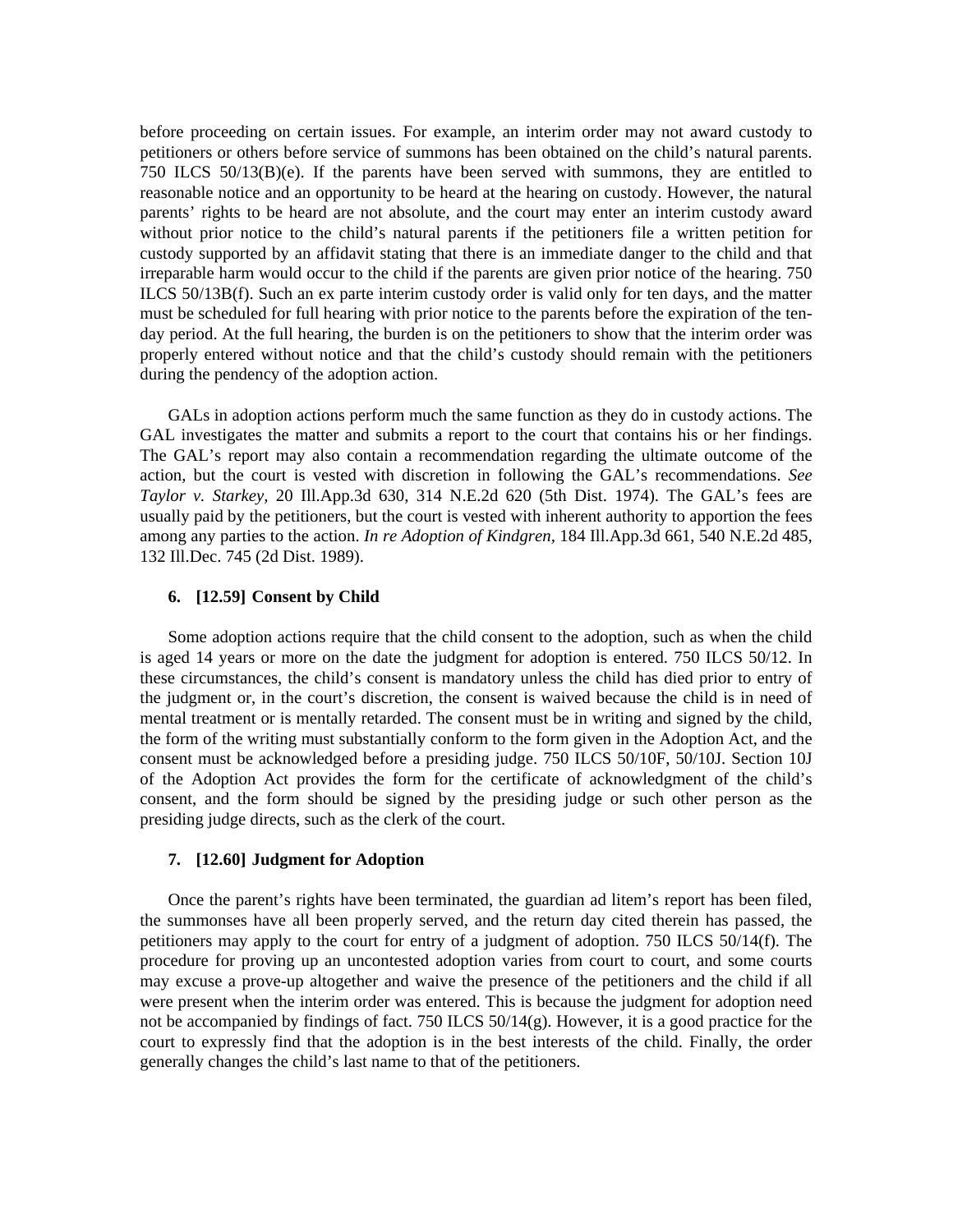before proceeding on certain issues. For example, an interim order may not award custody to petitioners or others before service of summons has been obtained on the child's natural parents. 750 ILCS 50/13(B)(e). If the parents have been served with summons, they are entitled to reasonable notice and an opportunity to be heard at the hearing on custody. However, the natural parents' rights to be heard are not absolute, and the court may enter an interim custody award without prior notice to the child's natural parents if the petitioners file a written petition for custody supported by an affidavit stating that there is an immediate danger to the child and that irreparable harm would occur to the child if the parents are given prior notice of the hearing. 750 ILCS 50/13B(f). Such an ex parte interim custody order is valid only for ten days, and the matter must be scheduled for full hearing with prior notice to the parents before the expiration of the tenday period. At the full hearing, the burden is on the petitioners to show that the interim order was properly entered without notice and that the child's custody should remain with the petitioners during the pendency of the adoption action.

 GALs in adoption actions perform much the same function as they do in custody actions. The GAL investigates the matter and submits a report to the court that contains his or her findings. The GAL's report may also contain a recommendation regarding the ultimate outcome of the action, but the court is vested with discretion in following the GAL's recommendations. *See Taylor v. Starkey,* 20 Ill.App.3d 630, 314 N.E.2d 620 (5th Dist. 1974). The GAL's fees are usually paid by the petitioners, but the court is vested with inherent authority to apportion the fees among any parties to the action. *In re Adoption of Kindgren,* 184 Ill.App.3d 661, 540 N.E.2d 485, 132 Ill.Dec. 745 (2d Dist. 1989).

#### **6. [12.59] Consent by Child**

 Some adoption actions require that the child consent to the adoption, such as when the child is aged 14 years or more on the date the judgment for adoption is entered. 750 ILCS 50/12. In these circumstances, the child's consent is mandatory unless the child has died prior to entry of the judgment or, in the court's discretion, the consent is waived because the child is in need of mental treatment or is mentally retarded. The consent must be in writing and signed by the child, the form of the writing must substantially conform to the form given in the Adoption Act, and the consent must be acknowledged before a presiding judge. 750 ILCS 50/10F, 50/10J. Section 10J of the Adoption Act provides the form for the certificate of acknowledgment of the child's consent, and the form should be signed by the presiding judge or such other person as the presiding judge directs, such as the clerk of the court.

#### **7. [12.60] Judgment for Adoption**

 Once the parent's rights have been terminated, the guardian ad litem's report has been filed, the summonses have all been properly served, and the return day cited therein has passed, the petitioners may apply to the court for entry of a judgment of adoption. 750 ILCS 50/14(f). The procedure for proving up an uncontested adoption varies from court to court, and some courts may excuse a prove-up altogether and waive the presence of the petitioners and the child if all were present when the interim order was entered. This is because the judgment for adoption need not be accompanied by findings of fact. 750 ILCS  $50/14(g)$ . However, it is a good practice for the court to expressly find that the adoption is in the best interests of the child. Finally, the order generally changes the child's last name to that of the petitioners.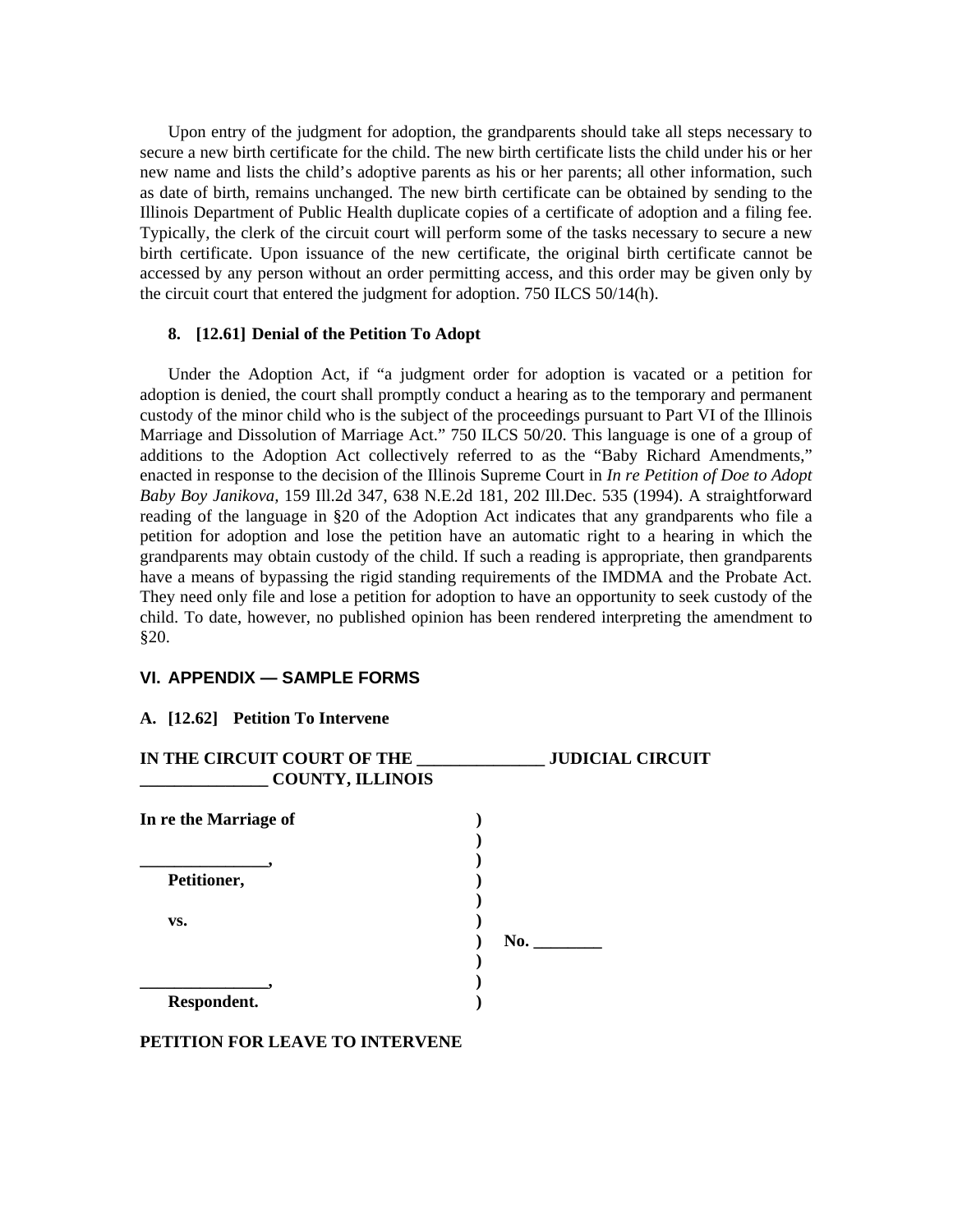Upon entry of the judgment for adoption, the grandparents should take all steps necessary to secure a new birth certificate for the child. The new birth certificate lists the child under his or her new name and lists the child's adoptive parents as his or her parents; all other information, such as date of birth, remains unchanged. The new birth certificate can be obtained by sending to the Illinois Department of Public Health duplicate copies of a certificate of adoption and a filing fee. Typically, the clerk of the circuit court will perform some of the tasks necessary to secure a new birth certificate. Upon issuance of the new certificate, the original birth certificate cannot be accessed by any person without an order permitting access, and this order may be given only by the circuit court that entered the judgment for adoption. 750 ILCS 50/14(h).

# **8. [12.61] Denial of the Petition To Adopt**

 Under the Adoption Act, if "a judgment order for adoption is vacated or a petition for adoption is denied, the court shall promptly conduct a hearing as to the temporary and permanent custody of the minor child who is the subject of the proceedings pursuant to Part VI of the Illinois Marriage and Dissolution of Marriage Act." 750 ILCS 50/20. This language is one of a group of additions to the Adoption Act collectively referred to as the "Baby Richard Amendments," enacted in response to the decision of the Illinois Supreme Court in *In re Petition of Doe to Adopt Baby Boy Janikova,* 159 Ill.2d 347, 638 N.E.2d 181, 202 Ill.Dec. 535 (1994). A straightforward reading of the language in §20 of the Adoption Act indicates that any grandparents who file a petition for adoption and lose the petition have an automatic right to a hearing in which the grandparents may obtain custody of the child. If such a reading is appropriate, then grandparents have a means of bypassing the rigid standing requirements of the IMDMA and the Probate Act. They need only file and lose a petition for adoption to have an opportunity to seek custody of the child. To date, however, no published opinion has been rendered interpreting the amendment to §20.

# **VI. APPENDIX — SAMPLE FORMS**

#### **A. [12.62] Petition To Intervene**

| <b>JUDICIAL CIRCUIT</b> |
|-------------------------|
|                         |
|                         |
|                         |
|                         |
|                         |
|                         |
| No.                     |
|                         |
|                         |
|                         |
|                         |

#### **PETITION FOR LEAVE TO INTERVENE**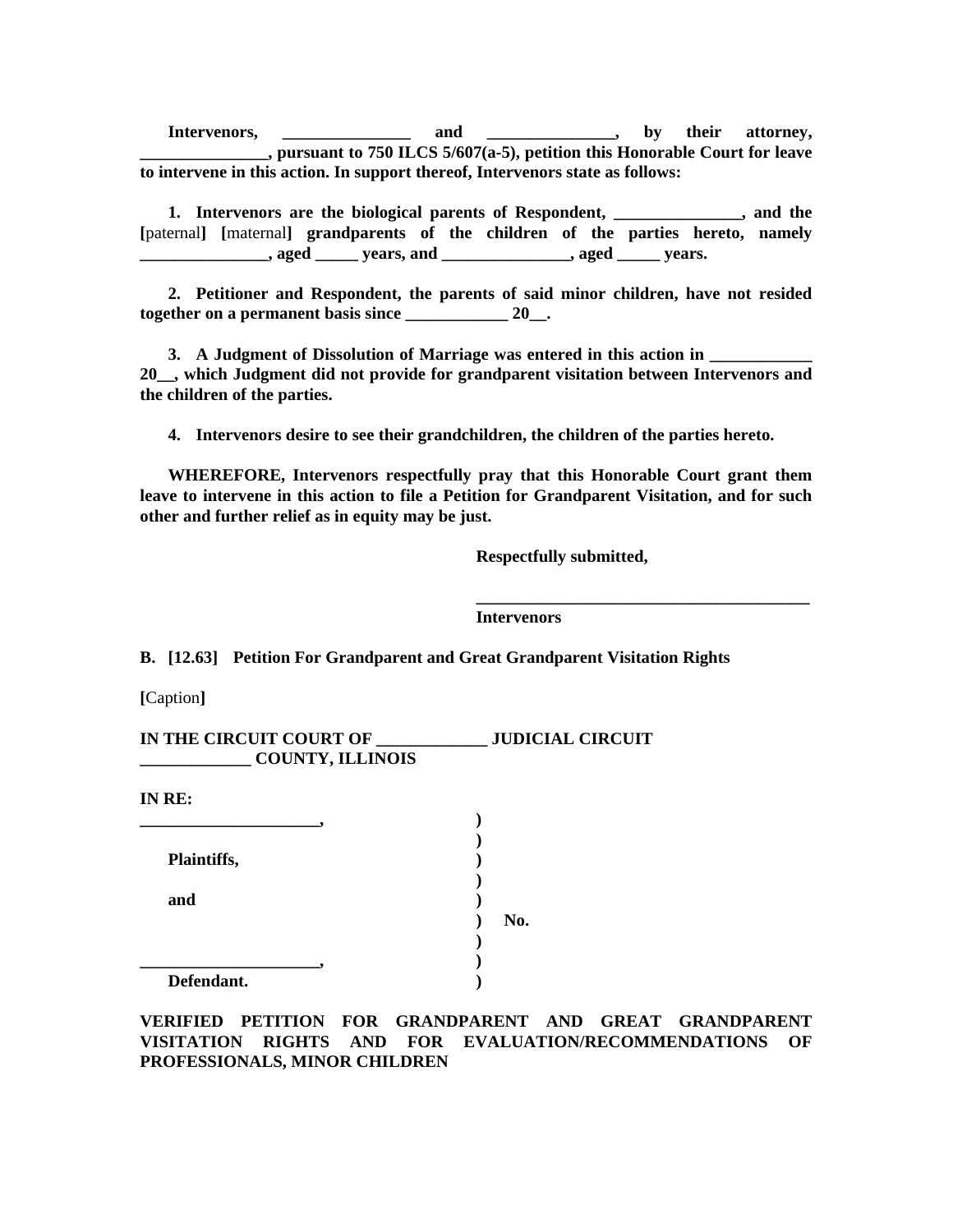Intervenors, **we are also and the set of the set of their** attorney, **\_\_\_\_\_\_\_\_\_\_\_\_\_\_\_, pursuant to 750 ILCS 5/607(a-5), petition this Honorable Court for leave to intervene in this action. In support thereof, Intervenors state as follows:** 

 **1. Intervenors are the biological parents of Respondent, \_\_\_\_\_\_\_\_\_\_\_\_\_\_\_, and the [**paternal**] [**maternal**] grandparents of the children of the parties hereto, namely \_\_\_\_\_\_\_\_\_\_, aged \_\_\_\_\_\_** years, and \_\_\_\_\_\_\_\_\_\_\_\_\_\_\_\_, aged \_\_\_\_\_\_ years.

 **2. Petitioner and Respondent, the parents of said minor children, have not resided together on a permanent basis since \_\_\_\_\_\_\_\_\_\_\_\_ 20\_\_.** 

**3.** A Judgment of Dissolution of Marriage was entered in this action in **20\_\_, which Judgment did not provide for grandparent visitation between Intervenors and the children of the parties.** 

 **4. Intervenors desire to see their grandchildren, the children of the parties hereto.** 

 **WHEREFORE, Intervenors respectfully pray that this Honorable Court grant them leave to intervene in this action to file a Petition for Grandparent Visitation, and for such other and further relief as in equity may be just.** 

 **\_\_\_\_\_\_\_\_\_\_\_\_\_\_\_\_\_\_\_\_\_\_\_\_\_\_\_\_\_\_\_\_\_\_\_\_\_\_\_** 

 **Respectfully submitted,** 

 **Intervenors** 

**B. [12.63] Petition For Grandparent and Great Grandparent Visitation Rights** 

**[**Caption**]** 

| IN THE CIRCUIT COURT OF | <b>JUDICIAL CIRCUIT</b> |
|-------------------------|-------------------------|
| <b>COUNTY, ILLINOIS</b> |                         |
|                         |                         |
| IN RE:                  |                         |

| Plaintiffs, |  |
|-------------|--|

 **) \_\_\_\_\_\_\_\_\_\_\_\_\_\_\_\_\_\_\_\_\_, )** 

**and** )

 **) No.** 

 **Defendant. )** 

**VERIFIED PETITION FOR GRANDPARENT AND GREAT GRANDPARENT VISITATION RIGHTS AND FOR EVALUATION/RECOMMENDATIONS OF PROFESSIONALS, MINOR CHILDREN**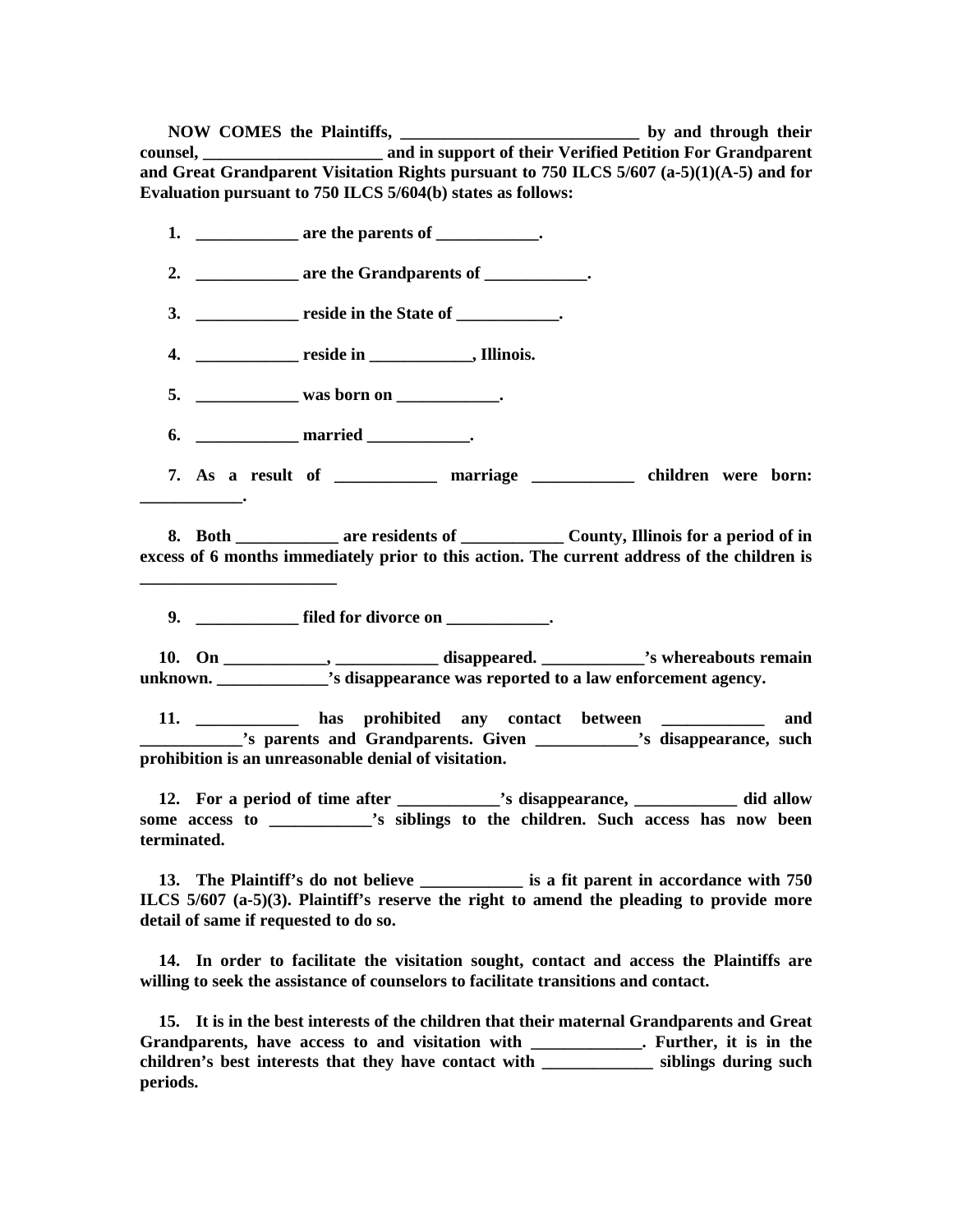**NOW COMES the Plaintiffs, the comparison of the planniffs, the comparison of the set of the set of the set of the set of the set of the set of the set of the set of the set of the set of the set of the set of the set of t counsel, \_\_\_\_\_\_\_\_\_\_\_\_\_\_\_\_\_\_\_\_\_ and in support of their Verified Petition For Grandparent and Great Grandparent Visitation Rights pursuant to 750 ILCS 5/607 (a-5)(1)(A-5) and for Evaluation pursuant to 750 ILCS 5/604(b) states as follows:** 

 **1. \_\_\_\_\_\_\_\_\_\_\_\_ are the parents of \_\_\_\_\_\_\_\_\_\_\_\_.** 

2. **\_\_\_\_\_\_\_\_\_\_\_\_** are the Grandparents of \_\_\_\_\_\_\_\_\_\_\_.

**3.** \_\_\_\_\_\_\_\_\_\_\_\_\_\_ reside in the State of \_\_\_\_\_\_\_\_\_\_\_.

 **4. \_\_\_\_\_\_\_\_\_\_\_\_ reside in \_\_\_\_\_\_\_\_\_\_\_\_, Illinois.** 

5. \_\_\_\_\_\_\_\_\_\_\_\_\_\_ was born on \_\_\_\_\_\_\_\_\_\_\_\_\_.

 **6. \_\_\_\_\_\_\_\_\_\_\_\_ married \_\_\_\_\_\_\_\_\_\_\_\_.** 

**\_\_\_\_\_\_\_\_\_\_\_\_.** 

**\_\_\_\_\_\_\_\_\_\_\_\_\_\_\_\_\_\_\_\_\_\_\_** 

 **7. As a result of \_\_\_\_\_\_\_\_\_\_\_\_ marriage \_\_\_\_\_\_\_\_\_\_\_\_ children were born:** 

8. Both **Reserve Example 2. All 2. All 2. All 2. All 2. All 2. All 2. All 2. All 2. All 2. All 2. All 2. All 2. All 2. All 2. All 2. All 2. All 2. All 2. All 2. All 2. All 2. All 2. All 2. All 2. All 2. All 2. All 2. All 2 excess of 6 months immediately prior to this action. The current address of the children is** 

**9. c filed for divorce on**  $\cdot$ 

 **10. On \_\_\_\_\_\_\_\_\_\_\_\_, \_\_\_\_\_\_\_\_\_\_\_\_ disappeared. \_\_\_\_\_\_\_\_\_\_\_\_'s whereabouts remain unknown.**  $\cdot$  is disappearance was reported to a law enforcement agency.

 **11. \_\_\_\_\_\_\_\_\_\_\_\_ has prohibited any contact between \_\_\_\_\_\_\_\_\_\_\_\_ and \_\_\_\_\_\_\_\_\_\_\_\_'s parents and Grandparents. Given \_\_\_\_\_\_\_\_\_\_\_\_'s disappearance, such prohibition is an unreasonable denial of visitation.** 

 **12. For a period of time after \_\_\_\_\_\_\_\_\_\_\_\_'s disappearance, \_\_\_\_\_\_\_\_\_\_\_\_ did allow some access to \_\_\_\_\_\_\_\_\_\_\_\_'s siblings to the children. Such access has now been terminated.** 

 **13. The Plaintiff's do not believe \_\_\_\_\_\_\_\_\_\_\_\_ is a fit parent in accordance with 750 ILCS 5/607 (a-5)(3). Plaintiff's reserve the right to amend the pleading to provide more detail of same if requested to do so.** 

 **14. In order to facilitate the visitation sought, contact and access the Plaintiffs are willing to seek the assistance of counselors to facilitate transitions and contact.** 

 **15. It is in the best interests of the children that their maternal Grandparents and Great Grandparents, have access to and visitation with \_\_\_\_\_\_\_\_\_\_\_\_\_. Further, it is in the children's best interests that they have contact with \_\_\_\_\_\_\_\_\_\_\_\_\_ siblings during such periods.**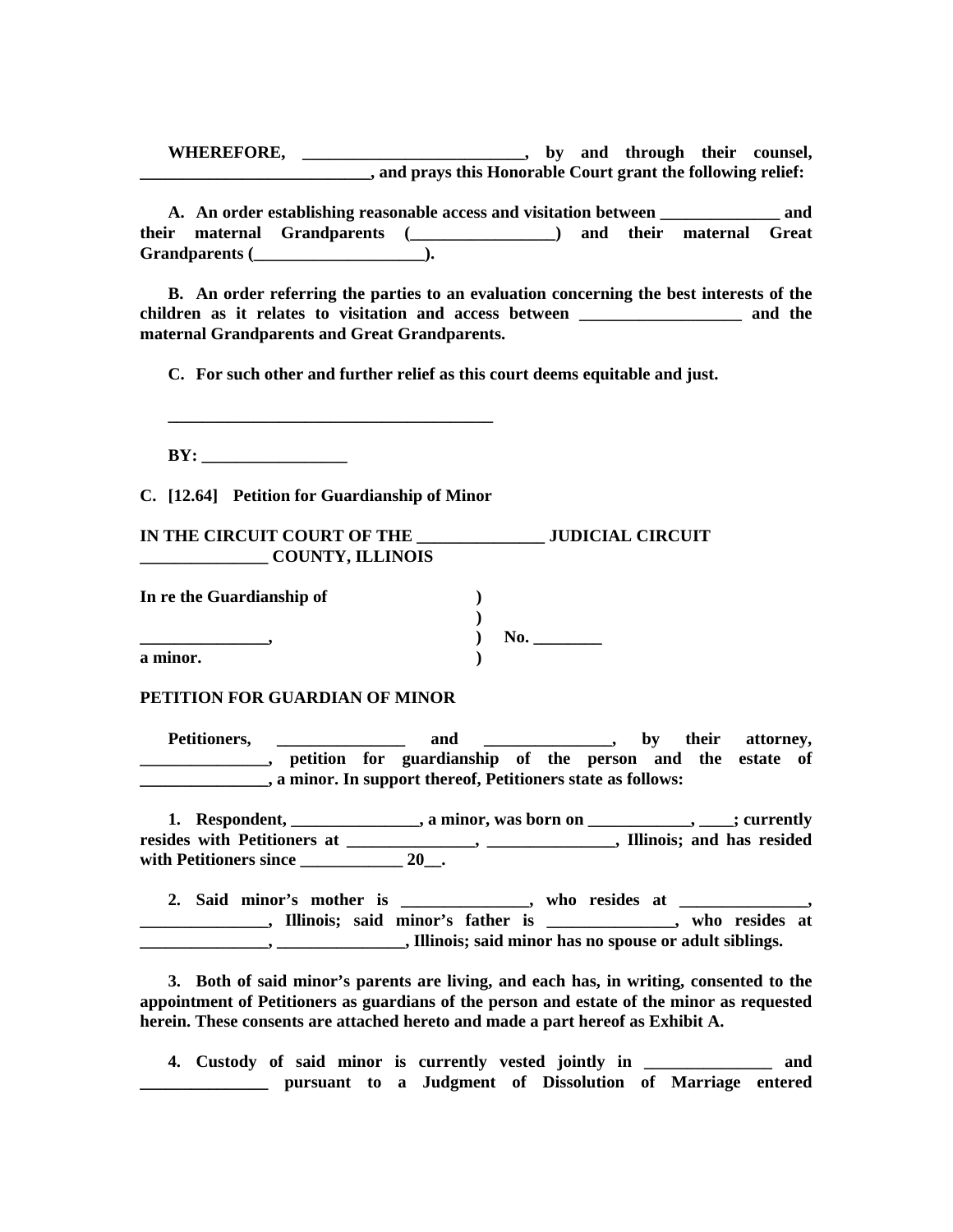**WHEREFORE, \_\_\_\_\_\_\_\_\_\_\_\_\_\_\_\_\_\_\_\_\_\_\_\_\_\_, by and through their counsel, \_\_\_\_\_\_\_\_\_\_\_\_\_\_\_\_\_\_\_\_\_\_\_\_\_\_\_, and prays this Honorable Court grant the following relief:** 

 **A. An order establishing reasonable access and visitation between \_\_\_\_\_\_\_\_\_\_\_\_\_\_ and their maternal Grandparents (\_\_\_\_\_\_\_\_\_\_\_\_\_\_\_\_\_) and their maternal Great Grandparents (\_\_\_\_\_\_\_\_\_\_\_\_\_\_\_\_\_\_\_\_).** 

 **B. An order referring the parties to an evaluation concerning the best interests of the children as it relates to visitation and access between \_\_\_\_\_\_\_\_\_\_\_\_\_\_\_\_\_\_\_ and the maternal Grandparents and Great Grandparents.** 

 **C. For such other and further relief as this court deems equitable and just.** 

 **\_\_\_\_\_\_\_\_\_\_\_\_\_\_\_\_\_\_\_\_\_\_\_\_\_\_\_\_\_\_\_\_\_\_\_\_\_\_** 

**BY:** 

**C. [12.64] Petition for Guardianship of Minor** 

**IN THE CIRCUIT COURT OF THE \_\_\_\_\_\_\_\_\_\_\_\_\_\_\_ JUDICIAL CIRCUIT \_\_\_\_\_\_\_\_\_\_\_\_\_\_\_ COUNTY, ILLINOIS** 

| In re the Guardianship of |     |
|---------------------------|-----|
|                           |     |
|                           | No. |
| a minor.                  |     |

**PETITION FOR GUARDIAN OF MINOR** 

Petitioners, \_\_\_\_\_\_\_\_\_\_\_\_\_ and \_\_\_\_\_\_\_\_\_\_\_, by their attorney, **\_\_\_\_\_\_\_\_\_\_\_\_\_\_\_, petition for guardianship of the person and the estate of \_\_\_\_\_\_\_\_\_\_\_\_\_\_\_, a minor. In support thereof, Petitioners state as follows:** 

**1.** Respondent, \_\_\_\_\_\_\_\_\_\_\_\_\_, a minor, was born on \_\_\_\_\_\_\_\_\_\_\_, \_\_\_\_; currently **resides with Petitioners at \_\_\_\_\_\_\_\_\_\_\_\_\_\_\_, \_\_\_\_\_\_\_\_\_\_\_\_\_\_\_, Illinois; and has resided with Petitioners since \_\_\_\_\_\_\_\_\_\_\_\_ 20\_\_.** 

 **2. Said minor's mother is \_\_\_\_\_\_\_\_\_\_\_\_\_\_\_, who resides at \_\_\_\_\_\_\_\_\_\_\_\_\_\_\_, \_\_\_\_\_\_\_\_\_\_\_\_\_\_\_, Illinois; said minor's father is \_\_\_\_\_\_\_\_\_\_\_\_\_\_\_, who resides at \_\_\_\_\_\_\_\_\_\_\_\_\_\_\_, \_\_\_\_\_\_\_\_\_\_\_\_\_\_\_, Illinois; said minor has no spouse or adult siblings.** 

 **3. Both of said minor's parents are living, and each has, in writing, consented to the appointment of Petitioners as guardians of the person and estate of the minor as requested herein. These consents are attached hereto and made a part hereof as Exhibit A.** 

 **4. Custody of said minor is currently vested jointly in \_\_\_\_\_\_\_\_\_\_\_\_\_\_\_ and \_\_\_\_\_\_\_\_\_\_\_\_\_\_\_ pursuant to a Judgment of Dissolution of Marriage entered**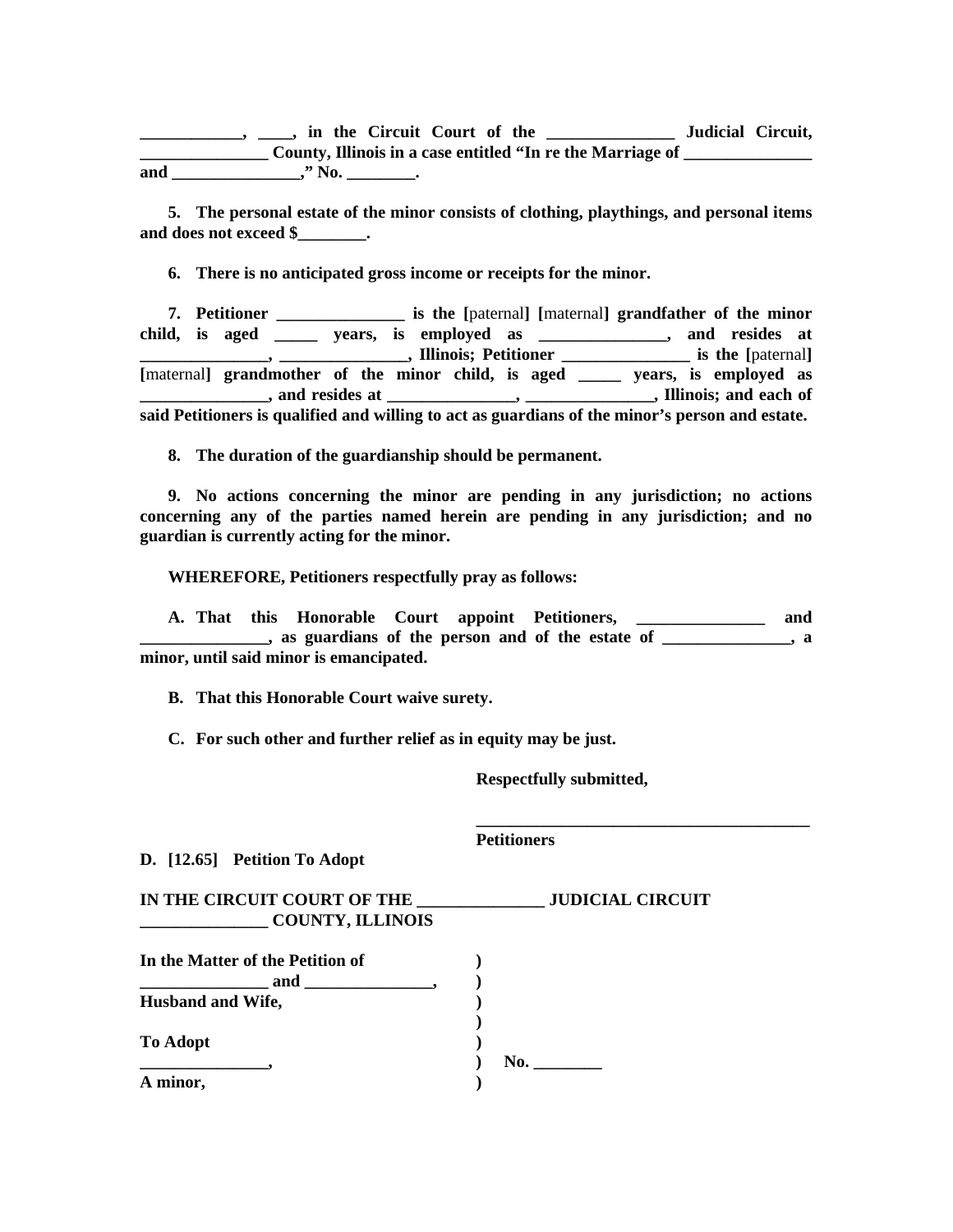**\_\_\_\_\_\_\_\_\_\_\_\_, \_\_\_\_, in the Circuit Court of the \_\_\_\_\_\_\_\_\_\_\_\_\_\_\_ Judicial Circuit, \_\_\_\_\_\_\_\_\_\_\_\_\_\_\_\_\_\_\_\_\_ County, Illinois in a case entitled "In re the Marriage of \_\_\_\_\_\_\_\_\_\_\_\_\_\_\_\_** and \_\_\_\_\_\_\_\_\_\_\_\_\_\_," No. \_\_\_\_\_\_\_\_\_.

 **5. The personal estate of the minor consists of clothing, playthings, and personal items and does not exceed \$\_\_\_\_\_\_\_\_.** 

 **6. There is no anticipated gross income or receipts for the minor.** 

 **7. Petitioner \_\_\_\_\_\_\_\_\_\_\_\_\_\_\_ is the [**paternal**] [**maternal**] grandfather of the minor child, is aged \_\_\_\_\_ years, is employed as \_\_\_\_\_\_\_\_\_\_\_\_\_\_\_, and resides at EXECUTE:** THE **LEADER CONSTRAINING SET ASSESS** FELICITY **CONSTRAINING SET ASSESS** FELICITY **CONSTRAINING SET ASSESS** [maternal] grandmother of the minor child, is aged \_\_\_\_\_ years, is employed as **\_\_\_\_\_\_\_\_\_\_\_\_, and resides at \_\_\_\_\_\_\_\_\_\_\_\_\_\_, \_\_\_\_\_\_\_\_\_\_\_\_\_\_\_\_\_\_, Illinois; and each of said Petitioners is qualified and willing to act as guardians of the minor's person and estate.** 

 **8. The duration of the guardianship should be permanent.** 

 **9. No actions concerning the minor are pending in any jurisdiction; no actions concerning any of the parties named herein are pending in any jurisdiction; and no guardian is currently acting for the minor.** 

 **WHEREFORE, Petitioners respectfully pray as follows:** 

 **A. That this Honorable Court appoint Petitioners, \_\_\_\_\_\_\_\_\_\_\_\_\_\_\_ and Example 3** as guardians of the person and of the estate of \_\_\_\_\_\_\_\_\_\_\_\_\_, a **minor, until said minor is emancipated.** 

 **\_\_\_\_\_\_\_\_\_\_\_\_\_\_\_\_\_\_\_\_\_\_\_\_\_\_\_\_\_\_\_\_\_\_\_\_\_\_\_** 

 **B. That this Honorable Court waive surety.** 

 **C. For such other and further relief as in equity may be just.** 

 **Respectfully submitted,** 

**D. [12.65] Petition To Adopt** 

 **Petitioners** 

**IN THE CIRCUIT COURT OF THE \_\_\_\_\_\_\_\_\_\_\_\_\_\_\_ JUDICIAL CIRCUIT \_\_\_\_\_\_\_\_\_\_\_\_\_\_\_ COUNTY, ILLINOIS** 

| In the Matter of the Petition of |     |
|----------------------------------|-----|
| and                              |     |
| <b>Husband and Wife,</b>         |     |
|                                  |     |
| <b>To Adopt</b>                  |     |
|                                  | No. |
| A minor,                         |     |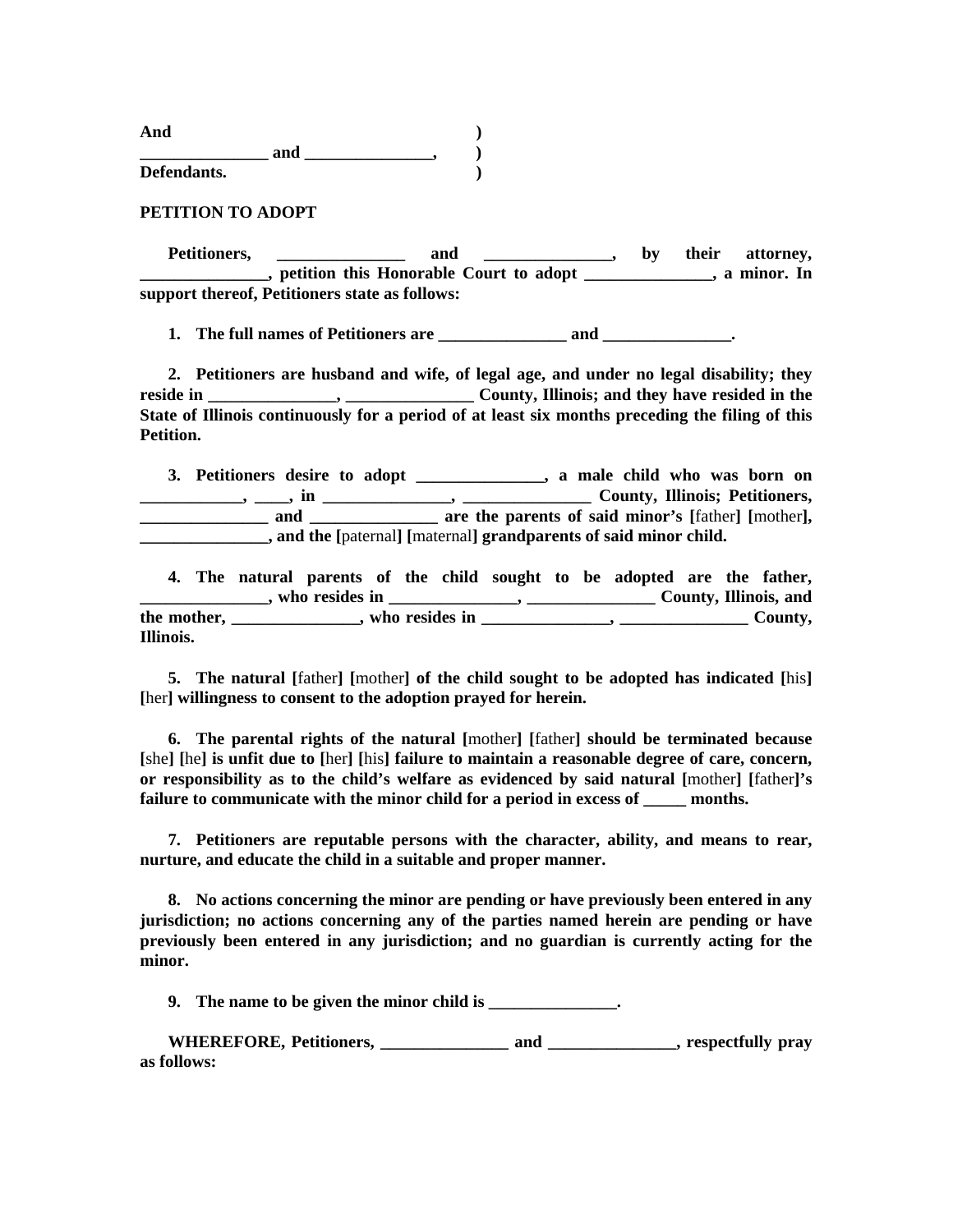**And ) and \_\_\_\_\_\_\_\_\_\_\_,**  ) **Defendants. )** 

**PETITION TO ADOPT** 

Petitioners, \_\_\_\_\_\_\_\_\_\_\_\_\_\_ and \_\_\_\_\_\_\_\_\_\_\_\_\_, by their attorney, **\_\_\_\_\_\_\_\_\_\_, petition this Honorable Court to adopt \_\_\_\_\_\_\_\_\_\_\_\_\_, a minor. In support thereof, Petitioners state as follows:** 

 **1. The full names of Petitioners are \_\_\_\_\_\_\_\_\_\_\_\_\_\_\_ and \_\_\_\_\_\_\_\_\_\_\_\_\_\_\_.** 

 **2. Petitioners are husband and wife, of legal age, and under no legal disability; they reside in \_\_\_\_\_\_\_\_\_\_\_\_\_\_\_, \_\_\_\_\_\_\_\_\_\_\_\_\_\_\_ County, Illinois; and they have resided in the State of Illinois continuously for a period of at least six months preceding the filing of this Petition.** 

 **3. Petitioners desire to adopt \_\_\_\_\_\_\_\_\_\_\_\_\_\_\_, a male child who was born on \_\_\_\_\_\_\_\_\_\_\_\_, \_\_\_\_, in \_\_\_\_\_\_\_\_\_\_\_\_\_\_\_, \_\_\_\_\_\_\_\_\_\_\_\_\_\_\_ County, Illinois; Petitioners, and \_\_\_\_\_\_\_\_\_\_\_\_ are the parents of said minor's [father] [mother], \_\_\_\_\_\_\_\_\_\_\_\_\_\_\_, and the [**paternal**] [**maternal**] grandparents of said minor child.** 

 **4. The natural parents of the child sought to be adopted are the father, \_\_\_\_\_\_\_\_\_\_\_\_\_\_\_, who resides in \_\_\_\_\_\_\_\_\_\_\_\_\_\_\_, \_\_\_\_\_\_\_\_\_\_\_\_\_\_\_ County, Illinois, and**  the mother, \_\_\_\_\_\_\_\_\_\_\_\_\_, who resides in \_\_\_\_\_\_\_\_\_\_\_\_, \_\_\_\_\_\_\_\_\_\_\_\_County, **Illinois.** 

 **5. The natural [**father**] [**mother**] of the child sought to be adopted has indicated [**his**] [**her**] willingness to consent to the adoption prayed for herein.** 

 **6. The parental rights of the natural [**mother**] [**father**] should be terminated because [**she**] [**he**] is unfit due to [**her**] [**his**] failure to maintain a reasonable degree of care, concern, or responsibility as to the child's welfare as evidenced by said natural [**mother**] [**father**]'s**  failure to communicate with the minor child for a period in excess of months.

 **7. Petitioners are reputable persons with the character, ability, and means to rear, nurture, and educate the child in a suitable and proper manner.** 

 **8. No actions concerning the minor are pending or have previously been entered in any jurisdiction; no actions concerning any of the parties named herein are pending or have previously been entered in any jurisdiction; and no guardian is currently acting for the minor.** 

 **9. The name to be given the minor child is \_\_\_\_\_\_\_\_\_\_\_\_\_\_\_.** 

 **WHEREFORE, Petitioners, \_\_\_\_\_\_\_\_\_\_\_\_\_\_\_ and \_\_\_\_\_\_\_\_\_\_\_\_\_\_\_, respectfully pray as follows:**